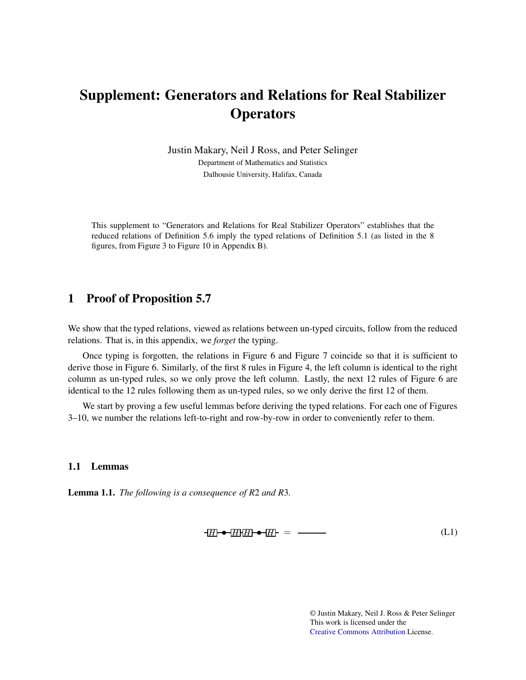# Supplement: Generators and Relations for Real Stabilizer **Operators**

Justin Makary, Neil J Ross, and Peter Selinger Department of Mathematics and Statistics Dalhousie University, Halifax, Canada

This supplement to "Generators and Relations for Real Stabilizer Operators" establishes that the reduced relations of Definition 5.6 imply the typed relations of Definition 5.1 (as listed in the 8 figures, from Figure 3 to Figure 10 in Appendix B).

#### 1 Proof of Proposition 5.7

We show that the typed relations, viewed as relations between un-typed circuits, follow from the reduced relations. That is, in this appendix, we *forget* the typing.

Once typing is forgotten, the relations in Figure 6 and Figure 7 coincide so that it is sufficient to derive those in Figure 6. Similarly, of the first 8 rules in Figure 4, the left column is identical to the right column as un-typed rules, so we only prove the left column. Lastly, the next 12 rules of Figure 6 are identical to the 12 rules following them as un-typed rules, so we only derive the first 12 of them.

We start by proving a few useful lemmas before deriving the typed relations. For each one of Figures 3–10, we number the relations left-to-right and row-by-row in order to conveniently refer to them.

#### 1.1 Lemmas

Lemma 1.1. *The following is a consequence of R*2 *and R*3*.*

$$
H \rightarrow H \rightarrow H \quad \bullet \quad H \quad \bullet \quad \text{(L1)}
$$

© Justin Makary, Neil J. Ross & Peter Selinger This work is licensed under the [Creative Commons](https://creativecommons.org) [Attribution](https://creativecommons.org/licenses/by/4.0/) License.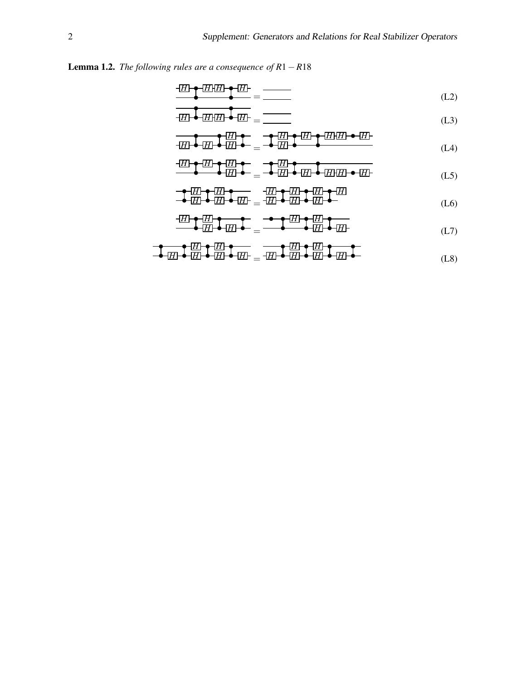#### Lemma 1.2. *The following rules are a consequence of R*1−*R*18

$$
\frac{H}{H} \frac{H}{H} \frac{H}{H} = \frac{1}{1 - \frac{1}{1 - \frac{1}{1 - \frac{1}{1 - \frac{1}{1 - \frac{1}{1 - \frac{1}{1 - \frac{1}{1 - \frac{1}{1 - \frac{1}{1 - \frac{1}{1 - \frac{1}{1 - \frac{1}{1 - \frac{1}{1 - \frac{1}{1 - \frac{1}{1 - \frac{1}{1 - \frac{1}{1 - \frac{1}{1 - \frac{1}{1 - \frac{1}{1 - \frac{1}{1 - \frac{1}{1 - \frac{1}{1 - \frac{1}{1 - \frac{1}{1 - \frac{1}{1 - \frac{1}{1 - \frac{1}{1 - \frac{1}{1 - \frac{1}{1 - \frac{1}{1 - \frac{1}{1 - \frac{1}{1 - \frac{1}{1 - \frac{1}{1 - \frac{1}{1 - \frac{1}{1 - \frac{1}{1 - \frac{1}{1 - \frac{1}{1 - \frac{1}{1 - \frac{1}{1 - \frac{1}{1 - \frac{1}{1 - \frac{1}{1 - \frac{1}{1 - \frac{1}{1 - \frac{1}{1 - \frac{1}{1 - \frac{1}{1 - \frac{1}{1 - \frac{1}{1 - \frac{1}{1 - \frac{1}{1 - \frac{1}{1 - \frac{1}{1 - \frac{1}{1 - \frac{1}{1 - \frac{1}{1 - \frac{1}{1 - \frac{1}{1 - \frac{1}{1 - \frac{1}{1 - \frac{1}{1 - \frac{1}{1 - \frac{1}{1 - \frac{1}{1 - \frac{1}{1 - \frac{1}{1 - \frac{1}{1 - \frac{1}{1 - \frac{1}{1 - \frac{1}{1 - \frac{1}{1 - \frac{1}{1 - \frac{1}{1 - \frac{1}{1 - \frac{1}{1 - \frac{1}{1 - \frac{1}{1 - \frac{1}{1 - \frac{1}{1 - \frac{1}{1 - \frac{1}{1 - \frac{1}{1 - \frac{1}{1 - \frac{1}{1 - \frac{1}{1 - \frac{1}{1 - \frac{1}{1 - \frac{1}{1 - \frac{1}{1 - \frac{1}{1 - \frac{1}{1 - \frac{1}{1 - \frac{1}{1 - \frac{1}{1 - \frac{1}{1 - \frac{1}{1 - \frac{1}{1 - \frac{1}{1 - \frac{1}{1 - \frac{1}{1 - \frac{1}{1 - \frac{
$$

$$
\overline{H} \stackrel{\blacktriangle}{\longrightarrow} \overline{H} H \stackrel{\blacktriangle}{\longrightarrow} \overline{H} \stackrel{\blacktriangle}{\longrightarrow} \overline{H} \stackrel{\blacktriangle}{\longrightarrow} \overline{H} \stackrel{\blacktriangle}{\longrightarrow} \overline{H} \stackrel{\blacktriangle}{\longrightarrow} \overline{H} \stackrel{\blacktriangle}{\longrightarrow} \overline{H} \stackrel{\blacktriangle}{\longrightarrow} \overline{H} \stackrel{\blacktriangle}{\longrightarrow} \overline{H} \stackrel{\blacktriangle}{\longrightarrow} \overline{H} \stackrel{\blacktriangle}{\longrightarrow} \overline{H} \stackrel{\blacktriangle}{\longrightarrow} \overline{H} \stackrel{\blacktriangle}{\longrightarrow} \overline{H} \stackrel{\blacktriangle}{\longrightarrow} \overline{H} \stackrel{\blacktriangle}{\longrightarrow} \overline{H} \stackrel{\blacktriangle}{\longrightarrow} \overline{H} \stackrel{\blacktriangle}{\longrightarrow} \overline{H} \stackrel{\blacktriangle}{\longrightarrow} \overline{H} \stackrel{\blacktriangle}{\longrightarrow} \overline{H} \stackrel{\blacktriangle}{\longrightarrow} \overline{H} \stackrel{\blacktriangle}{\longrightarrow} \overline{H} \stackrel{\blacktriangle}{\longrightarrow} \overline{H} \stackrel{\blacktriangle}{\longrightarrow} \overline{H} \stackrel{\blacktriangle}{\longrightarrow} \overline{H} \stackrel{\blacktriangle}{\longrightarrow} \overline{H} \stackrel{\blacktriangle}{\longrightarrow} \overline{H} \stackrel{\blacktriangle}{\longrightarrow} \overline{H} \stackrel{\blacktriangle}{\longrightarrow} \overline{H} \stackrel{\blacktriangle}{\longrightarrow} \overline{H} \stackrel{\blacktriangle}{\longrightarrow} \overline{H} \stackrel{\blacktriangle}{\longrightarrow} \overline{H} \stackrel{\blacktriangle}{\longrightarrow} \overline{H} \stackrel{\blacktriangle}{\longrightarrow} \overline{H} \stackrel{\blacktriangle}{\longrightarrow} \overline{H} \stackrel{\blacktriangle}{\longrightarrow} \overline{H} \stackrel{\blacktriangle}{\longrightarrow} \overline{H} \stackrel{\blacktriangle}{\longrightarrow} \overline{H} \stackrel{\blacktriangle}{\longrightarrow} \overline{H} \stackrel{\blacktriangle}{\longrightarrow} \overline{H} \stackrel{\blacktriangle}{\longrightarrow} \overline{H} \stackrel{\blacktriangle}{\longrightarrow} \overline{H} \stackrel{\blacktriangle}{\longrightarrow} \overline{H} \stackrel{\blacktriangle}{\longrightarrow} \overline{H} \stackrel{\blacktriangle}{\longrightarrow} \overline{H} \stackrel{\blacktriangle}{\longrightarrow} \overline{H} \stackrel{\blacktriangle}{\longrightarrow} \overline{H} \stackrel{\blacktriangle}{\longrightarrow} \overline{H} \
$$

$$
\overline{H} \stackrel{\bullet}{\bullet} \overline{H} \stackrel{\bullet}{\bullet} \overline{H} \stackrel{\bullet}{\bullet} \overline{H} \stackrel{\bullet}{\bullet} \stackrel{\bullet}{=} \overline{H} \stackrel{\bullet}{\bullet} \overline{H} \stackrel{\bullet}{\bullet} \overline{H} \stackrel{\bullet}{\bullet} \overline{H} \stackrel{\bullet}{\bullet} \overline{H} \stackrel{\bullet}{\bullet} \overline{H} \stackrel{\bullet}{\bullet} \overline{H} \stackrel{\bullet}{\bullet} \overline{H} \stackrel{\bullet}{\bullet} \overline{H} \stackrel{\bullet}{\bullet} \overline{H} \stackrel{\bullet}{\bullet} \overline{H} \stackrel{\bullet}{\bullet} \overline{H} \stackrel{\bullet}{\bullet} \overline{H} \stackrel{\bullet}{\bullet} \overline{H} \stackrel{\bullet}{\bullet} \overline{H} \stackrel{\bullet}{\bullet} \overline{H} \stackrel{\bullet}{\bullet} \overline{H} \stackrel{\bullet}{\bullet} \overline{H} \stackrel{\bullet}{\bullet} \overline{H} \stackrel{\bullet}{\bullet} \overline{H} \stackrel{\bullet}{\bullet} \overline{H} \stackrel{\bullet}{\bullet} \overline{H} \stackrel{\bullet}{\bullet} \overline{H} \stackrel{\bullet}{\bullet} \overline{H} \stackrel{\bullet}{\bullet} \overline{H} \stackrel{\bullet}{\bullet} \overline{H} \stackrel{\bullet}{\bullet} \overline{H} \stackrel{\bullet}{\bullet} \overline{H} \stackrel{\bullet}{\bullet} \overline{H} \stackrel{\bullet}{\bullet} \overline{H} \stackrel{\bullet}{\bullet} \overline{H} \stackrel{\bullet}{\bullet} \overline{H} \stackrel{\bullet}{\bullet} \overline{H} \stackrel{\bullet}{\bullet} \overline{H} \stackrel{\bullet}{\bullet} \overline{H} \stackrel{\bullet}{\bullet} \overline{H} \stackrel{\bullet}{\bullet} \overline{H} \stackrel{\bullet}{\bullet} \overline{H} \stackrel{\bullet}{\bullet} \overline{H} \stackrel{\bullet}{\bullet} \overline{H} \stackrel{\bullet}{\bullet} \overline{H} \stackrel{\bullet}{\bullet} \overline{H} \stackrel{\bullet}{\bullet} \overline{H} \stackrel{\bullet}{\bullet} \overline{H} \stackrel{\bullet}{\bullet} \overline{H} \stackrel{\bullet}{\bullet} \overline{H} \stackrel{\bullet}{\bullet} \overline
$$

$$
\frac{H}{H} \left( \frac{H}{H} \right) = \frac{H}{H} \left( \frac{H}{H} \right) = \frac{1}{H} \left( \frac{H}{H} \right) = \frac{1}{H} \left( \frac{H}{H} \right) = \frac{1}{H} \left( \frac{H}{H} \right) = \frac{1}{H} \left( \frac{H}{H} \right) = \frac{1}{H} \left( \frac{H}{H} \right) = \frac{1}{H} \left( \frac{H}{H} \right) = \frac{1}{H} \left( \frac{H}{H} \right) = \frac{1}{H} \left( \frac{H}{H} \right) = \frac{1}{H} \left( \frac{H}{H} \right) = \frac{1}{H} \left( \frac{H}{H} \right) = \frac{1}{H} \left( \frac{H}{H} \right) = \frac{1}{H} \left( \frac{H}{H} \right) = \frac{1}{H} \left( \frac{H}{H} \right) = \frac{1}{H} \left( \frac{H}{H} \right) = \frac{1}{H} \left( \frac{H}{H} \right) = \frac{1}{H} \left( \frac{H}{H} \right) = \frac{1}{H} \left( \frac{H}{H} \right) = \frac{1}{H} \left( \frac{H}{H} \right) = \frac{1}{H} \left( \frac{H}{H} \right) = \frac{1}{H} \left( \frac{H}{H} \right) = \frac{1}{H} \left( \frac{H}{H} \right) = \frac{1}{H} \left( \frac{H}{H} \right) = \frac{1}{H} \left( \frac{H}{H} \right) = \frac{1}{H} \left( \frac{H}{H} \right) = \frac{1}{H} \left( \frac{H}{H} \right) = \frac{1}{H} \left( \frac{H}{H} \right) = \frac{1}{H} \left( \frac{H}{H} \right) = \frac{1}{H} \left( \frac{H}{H} \right) = \frac{1}{H} \left( \frac{H}{H} \right) = \frac{1}{H} \left( \frac{H}{H} \right) = \frac{1}{H} \left( \frac{H}{H} \right) = \frac{1}{H} \left( \frac{H}{H} \right) = \frac{1}{H} \left( \frac{H}{H} \right) = \frac{1}{H} \left( \frac{H}{H} \right) = \frac{1
$$

$$
\begin{array}{c}\n\bullet \boxed{H} \bullet \boxed{H} \bullet \text{---} \quad \text{---} \quad \text{---} \quad \text{---} \quad \text{---} \quad \text{---} \quad \text{---} \quad \text{---} \quad \text{---} \\
\bullet \boxed{H} \bullet \boxed{H} \bullet \boxed{H} \text{---} \quad \text{---} \quad \text{---} \quad \text{---} \quad \text{---} \quad \text{---} \quad \text{---} \quad \text{---} \quad \text{---} \quad \text{---} \quad \text{---} \quad \text{---} \quad \text{---} \quad \text{---} \quad \text{---} \quad \text{---} \quad \text{---} \quad \text{---} \quad \text{---} \quad \text{---} \quad \text{---} \quad \text{---} \quad \text{---} \quad \text{---} \quad \text{---} \quad \text{---} \quad \text{---} \quad \text{---} \quad \text{---} \quad \text{---} \quad \text{---} \quad \text{---} \quad \text{---} \quad \text{---} \quad \text{---} \quad \text{---} \quad \text{---} \quad \text{---} \quad \text{---} \quad \text{---} \quad \text{---} \quad \text{---} \quad \text{---} \quad \text{---} \quad \text{---} \quad \text{---} \quad \text{---} \quad \text{---} \quad \text{---} \quad \text{---} \quad \text{---} \quad \text{---} \quad \text{---} \quad \text{---} \quad \text{---} \quad \text{---} \quad \text{---} \quad \text{---} \quad \text{---} \quad \text{---} \quad \text{---} \quad \text{---} \quad \text{---} \quad \text{---} \quad \text{---} \quad \text{---} \quad \text{---} \quad \text{---} \quad \text{---} \quad \text{---} \quad \text{---} \quad \text{---} \quad \text{---} \quad \text{---} \quad \text{---} \quad \text{---} \quad \text{---} \quad \text{---} \quad \text{---} \quad \text{---} \quad \text{---} \quad \text{---} \quad \text{---} \quad \text{---} \quad \text{---} \quad \text{---} \quad \text{---} \quad \text{---} \quad \text{---} \quad \text{---} \quad \text{---} \quad \text{---} \quad \text{---} \quad \text
$$

$$
\frac{H}{H} \left( \frac{H}{H} \right) = \frac{H}{H} \left( \frac{H}{H} \right) = \frac{H}{H} \left( \frac{H}{H} \right) = \frac{H}{H} \left( \frac{H}{H} \right)
$$
\n
$$
(L7)
$$

$$
\frac{\uparrow}{\downarrow} \frac{\uparrow}{\downarrow} \frac{\uparrow}{\downarrow} \frac{\uparrow}{\downarrow} \frac{\uparrow}{\downarrow} \frac{\uparrow}{\downarrow} \frac{\uparrow}{\downarrow} \frac{\uparrow}{\downarrow} \frac{\uparrow}{\downarrow} \frac{\uparrow}{\downarrow} \frac{\downarrow}{\downarrow} \frac{\uparrow}{\downarrow} \frac{\uparrow}{\downarrow} \frac{\downarrow}{\downarrow} \frac{\uparrow}{\downarrow} \frac{\downarrow}{\downarrow} \frac{\downarrow}{\downarrow} \frac{\downarrow}{\downarrow} \frac{\downarrow}{\downarrow} \frac{\downarrow}{\downarrow} \frac{\downarrow}{\downarrow} \frac{\downarrow}{\downarrow} \frac{\downarrow}{\downarrow} \frac{\downarrow}{\downarrow} \frac{\downarrow}{\downarrow} \frac{\downarrow}{\downarrow} \frac{\downarrow}{\downarrow} \frac{\downarrow}{\downarrow} \frac{\downarrow}{\downarrow} \frac{\downarrow}{\downarrow} \frac{\downarrow}{\downarrow} \frac{\downarrow}{\downarrow} \frac{\downarrow}{\downarrow} \frac{\downarrow}{\downarrow} \frac{\downarrow}{\downarrow} \frac{\downarrow}{\downarrow} \frac{\downarrow}{\downarrow} \frac{\downarrow}{\downarrow} \frac{\downarrow}{\downarrow} \frac{\downarrow}{\downarrow} \frac{\downarrow}{\downarrow} \frac{\downarrow}{\downarrow} \frac{\downarrow}{\downarrow} \frac{\downarrow}{\downarrow} \frac{\downarrow}{\downarrow} \frac{\downarrow}{\downarrow} \frac{\downarrow}{\downarrow} \frac{\downarrow}{\downarrow} \frac{\downarrow}{\downarrow} \frac{\downarrow}{\downarrow} \frac{\downarrow}{\downarrow} \frac{\downarrow}{\downarrow} \frac{\downarrow}{\downarrow} \frac{\downarrow}{\downarrow} \frac{\downarrow}{\downarrow} \frac{\downarrow}{\downarrow} \frac{\downarrow}{\downarrow} \frac{\downarrow}{\downarrow} \frac{\downarrow}{\downarrow} \frac{\downarrow}{\downarrow} \frac{\downarrow}{\downarrow} \frac{\downarrow}{\downarrow} \frac{\downarrow}{\downarrow} \frac{\downarrow}{\downarrow} \frac{\downarrow}{\downarrow} \frac{\downarrow}{\downarrow} \frac{\downarrow}{\downarrow} \frac{\downarrow}{\downarrow} \frac{\downarrow}{\downarrow} \frac{\downarrow}{\downarrow} \frac{\downarrow}{\downarrow} \frac{\downarrow}{\downarrow} \frac{\downarrow}{\downarrow} \frac{\downarrow}{\downarrow} \frac{\downarrow}{\downarrow} \frac{\downarrow}{\downarrow}
$$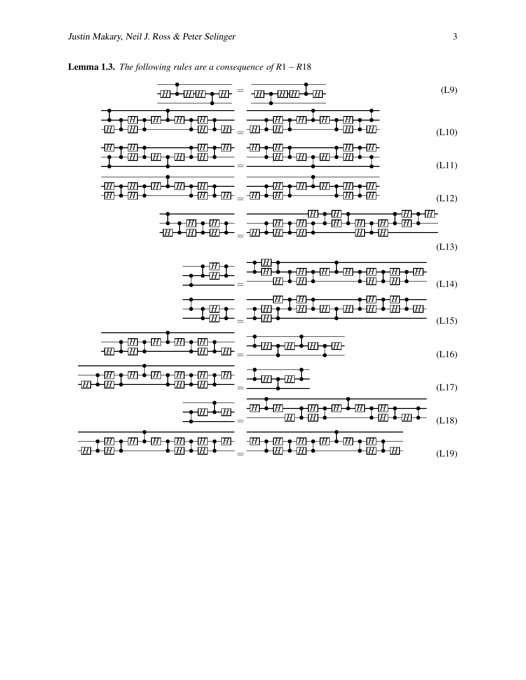Lemma 1.3. *The following rules are a consequence of R*1−*R*18

$$
\frac{1}{100} \frac{1}{100} \frac{1}{100} \frac{1}{100} \frac{1}{100} = \frac{1}{100} \frac{1}{100} \frac{1}{100} \frac{1}{100} \frac{1}{100} \tag{L9}
$$

$$
\begin{array}{ccccccccccccccccc}\n\bullet & \bullet & \boxed{H} & \bullet & \boxed{H} & \bullet & \boxed{H} & \bullet & \boxed{H} & \bullet & \boxed{H} & \bullet & \boxed{H} & \bullet & \boxed{H} & \bullet & \boxed{H} & \bullet & \boxed{H} & \bullet & \boxed{H} & \bullet & \boxed{H} & \bullet & \boxed{H} & \bullet & \boxed{H} & \bullet & \boxed{H} & \bullet & \boxed{H} & \bullet & \boxed{H} & \bullet & \boxed{H} & \bullet & \boxed{H} & \bullet & \boxed{H} & \bullet & \boxed{H} & \bullet & \boxed{H} & \bullet & \boxed{H} & \bullet & \boxed{H} & \bullet & \boxed{H} & \bullet & \boxed{H} & \bullet & \boxed{H} & \bullet & \boxed{H} & \bullet & \boxed{H} & \bullet & \boxed{H} & \bullet & \boxed{H} & \bullet & \boxed{H} & \bullet & \boxed{H} & \bullet & \boxed{H} & \bullet & \boxed{H} & \bullet & \boxed{H} & \bullet & \boxed{H} & \bullet & \boxed{H} & \bullet & \boxed{H} & \bullet & \boxed{H} & \bullet & \boxed{H} & \bullet & \boxed{H} & \bullet & \boxed{H} & \bullet & \boxed{H} & \bullet & \boxed{H} & \bullet & \boxed{H} & \bullet & \boxed{H} & \bullet & \boxed{H} & \bullet & \boxed{H} & \bullet & \boxed{H} & \bullet & \boxed{H} & \bullet & \boxed{H} & \bullet & \boxed{H} & \bullet & \boxed{H} & \bullet & \boxed{H} & \bullet & \boxed{H} & \bullet & \boxed{H} & \bullet & \boxed{H} & \bullet & \boxed{H} & \bullet & \boxed{H} & \bullet & \boxed{H} & \bullet & \boxed{H} & \bullet & \boxed{H} & \bullet & \boxed{H} & \bullet & \boxed{H} & \bullet & \boxed{H} & \bullet & \boxed{H} & \bullet & \boxed{H} & \bullet & \boxed{H} & \bullet & \boxed{H} & \bullet & \boxed{H} & \bullet & \boxed{H} & \bullet & \boxed{H} & \bullet & \boxed{H} & \bullet & \boxed{H} & \bullet & \boxed{H} & \bullet & \boxed{H} & \bullet & \boxed{H} & \bullet & \boxed{H} & \bullet & \boxed{H} & \bullet & \boxed{H} & \bullet & \boxed{H} & \bullet & \boxed{H} & \bullet & \boxed{H
$$

$$
\frac{1}{\sqrt{1-\frac{1}{2}\ln\left(\frac{1}{2}\ln\left(\frac{1}{2}\ln\left(\frac{1}{2}\ln\left(\frac{1}{2}\ln\left(\frac{1}{2}\ln\left(\frac{1}{2}\ln\left(\frac{1}{2}\ln\left(\frac{1}{2}\ln\left(\frac{1}{2}\ln\left(\frac{1}{2}\ln\left(\frac{1}{2}\ln\left(\frac{1}{2}\ln\left(\frac{1}{2}\ln\left(\frac{1}{2}\ln\left(\frac{1}{2}\ln\left(\frac{1}{2}\ln\left(\frac{1}{2}\ln\left(\frac{1}{2}\ln\left(\frac{1}{2}\ln\left(\frac{1}{2}\ln\left(\frac{1}{2}\ln\left(\frac{1}{2}\ln\left(\frac{1}{2}\ln\left(\frac{1}{2}\ln\left(\frac{1}{2}\ln\left(\frac{1}{2}\ln\left(\frac{1}{2}\ln\left(\frac{1}{2}\ln\left(\frac{1}{2}\ln\left(\frac{1}{2}\ln\left(\frac{1}{2}\ln\left(\frac{1}{2}\ln\left(\frac{1}{2}\ln\left(\frac{1}{2}\ln\left(\frac{1}{2}\ln\left(\frac{1}{2}\ln\left(\frac{1}{2}\ln\left(\frac{1}{2}\ln\left(\frac{1}{2}\ln\left(\frac{1}{2}\ln\left(\frac{1}{2}\ln\left(\frac{1}{2}\ln\left(\frac{1}{2}\ln\left(\frac{1}{2}\ln\left(\frac{1}{2}\ln\left(\frac{1}{2}\ln\left(\frac{1}{2}\ln\left(\frac{1}{2}\ln\left(\frac{1}{2}\ln\left(\frac{1}{2}\ln\left(\frac{1}{2}\ln\left(\frac{1}{2}\ln\left(\frac{1}{2}\ln\left(\frac{1}{2}\ln\left(\frac{1}{2}\ln\left(\frac{1}{2}\ln\left(\frac{1}{2}\ln\left(\frac{1}{2}\ln\left(\frac{1}{2}\ln\left(\frac{1}{2}\ln\left(\frac{1}{2}\ln\left(\frac{1}{2}\ln\left(\frac{1}{2}\ln\left(\frac{1}{2}\ln\left(\frac{1}{2}\ln\left(\frac{1}{2}\ln\left(\frac{1}{2}\ln\left(\frac{1}{2}\ln\left(\frac{1}{2}\ln\left(\frac{1}{2}\ln\left(\frac{1}{2}\ln\left(\frac{1}{2}\ln\left(\frac{1}{2}\ln\left(\frac{1}{2}\ln\left(\
$$

$$
\frac{1}{1} \left( \frac{1}{1} \right) \leftarrow \frac{1}{1} \left( \frac{1}{1} \right) \left( \frac{1}{1} \right) \left( \frac{1}{1} \right) \left( \frac{1}{1} \right) \left( \frac{1}{1} \right) \left( \frac{1}{1} \right) \left( \frac{1}{1} \right) \left( \frac{1}{1} \right) \left( \frac{1}{1} \right) \left( \frac{1}{1} \right) \left( \frac{1}{1} \right) \left( \frac{1}{1} \right) \left( \frac{1}{1} \right) \left( \frac{1}{1} \right) \left( \frac{1}{1} \right) \left( \frac{1}{1} \right) \left( \frac{1}{1} \right) \left( \frac{1}{1} \right) \left( \frac{1}{1} \right) \left( \frac{1}{1} \right) \left( \frac{1}{1} \right) \left( \frac{1}{1} \right) \left( \frac{1}{1} \right) \left( \frac{1}{1} \right) \left( \frac{1}{1} \right) \left( \frac{1}{1} \right) \left( \frac{1}{1} \right) \left( \frac{1}{1} \right) \left( \frac{1}{1} \right) \left( \frac{1}{1} \right) \left( \frac{1}{1} \right) \left( \frac{1}{1} \right) \left( \frac{1}{1} \right) \left( \frac{1}{1} \right) \left( \frac{1}{1} \right) \left( \frac{1}{1} \right) \left( \frac{1}{1} \right) \left( \frac{1}{1} \right) \left( \frac{1}{1} \right) \left( \frac{1}{1} \right) \left( \frac{1}{1} \right) \left( \frac{1}{1} \right) \left( \frac{1}{1} \right) \left( \frac{1}{1} \right) \left( \frac{1}{1} \right) \left( \frac{1}{1} \right) \left( \frac{1}{1} \right) \left( \frac{1}{1} \right) \left( \frac{1}{1} \right) \left( \frac{1}{1} \right) \left( \frac{1}{1} \right) \left( \frac{1}{1} \right) \left( \frac{1}{1} \right) \left( \frac{1}{1} \right) \left( \frac{1}{1} \right) \left( \frac{1}{1} \right) \left
$$

$$
\frac{1}{\sqrt{21}} \div \frac{1}{\sqrt{21}} \div \frac{1}{\sqrt{21}} \div \frac{1}{\sqrt{21}} \div \frac{1}{\sqrt{21}} \div \frac{1}{\sqrt{21}} \div \frac{1}{\sqrt{21}} \div \frac{1}{\sqrt{21}} \div \frac{1}{\sqrt{21}} \div \frac{1}{\sqrt{21}} \div \frac{1}{\sqrt{21}} \div \frac{1}{\sqrt{21}} \div \frac{1}{\sqrt{21}} \div \frac{1}{\sqrt{21}} \div \frac{1}{\sqrt{21}} \div \frac{1}{\sqrt{21}} \div \frac{1}{\sqrt{21}} \div \frac{1}{\sqrt{21}} \div \frac{1}{\sqrt{21}} \div \frac{1}{\sqrt{21}} \div \frac{1}{\sqrt{21}} \div \frac{1}{\sqrt{21}} \div \frac{1}{\sqrt{21}} \div \frac{1}{\sqrt{21}} \div \frac{1}{\sqrt{21}} \div \frac{1}{\sqrt{21}} \div \frac{1}{\sqrt{21}} \div \frac{1}{\sqrt{21}} \div \frac{1}{\sqrt{21}} \div \frac{1}{\sqrt{21}} \div \frac{1}{\sqrt{21}} \div \frac{1}{\sqrt{21}} \div \frac{1}{\sqrt{21}} \div \frac{1}{\sqrt{21}} \div \frac{1}{\sqrt{21}} \div \frac{1}{\sqrt{21}} \div \frac{1}{\sqrt{21}} \div \frac{1}{\sqrt{21}} \div \frac{1}{\sqrt{21}} \div \frac{1}{\sqrt{21}} \div \frac{1}{\sqrt{21}} \div \frac{1}{\sqrt{21}} \div \frac{1}{\sqrt{21}} \div \frac{1}{\sqrt{21}} \div \frac{1}{\sqrt{21}} \div \frac{1}{\sqrt{21}} \div \frac{1}{\sqrt{21}} \div \frac{1}{\sqrt{21}} \div \frac{1}{\sqrt{21}} \div \frac{1}{\sqrt{21}} \div \frac{1}{\sqrt{21}} \div \frac{1}{\sqrt{21}} \div \frac{1}{\sqrt{21}} \div \frac{1}{\sqrt{21}} \div \frac{1}{\sqrt{21}} \div \frac{1}{\sqrt{21}} \div \frac{1}{\sqrt{21}} \div \frac{1}{\sqrt{21}} \div \frac{1}{\
$$

$$
\frac{\frac{1}{\sqrt{2}}\frac{1}{\sqrt{2}}\frac{1}{\sqrt{2}}\frac{1}{\sqrt{2}}\frac{1}{\sqrt{2}}\frac{1}{\sqrt{2}}\frac{1}{\sqrt{2}}\frac{1}{\sqrt{2}}\frac{1}{\sqrt{2}}\frac{1}{\sqrt{2}}\frac{1}{\sqrt{2}}\frac{1}{\sqrt{2}}\frac{1}{\sqrt{2}}\frac{1}{\sqrt{2}}\frac{1}{\sqrt{2}}\frac{1}{\sqrt{2}}\frac{1}{\sqrt{2}}\frac{1}{\sqrt{2}}\frac{1}{\sqrt{2}}\frac{1}{\sqrt{2}}\frac{1}{\sqrt{2}}\frac{1}{\sqrt{2}}\frac{1}{\sqrt{2}}\frac{1}{\sqrt{2}}\frac{1}{\sqrt{2}}\frac{1}{\sqrt{2}}\frac{1}{\sqrt{2}}\frac{1}{\sqrt{2}}\frac{1}{\sqrt{2}}\frac{1}{\sqrt{2}}\frac{1}{\sqrt{2}}\frac{1}{\sqrt{2}}\frac{1}{\sqrt{2}}\frac{1}{\sqrt{2}}\frac{1}{\sqrt{2}}\frac{1}{\sqrt{2}}\frac{1}{\sqrt{2}}\frac{1}{\sqrt{2}}\frac{1}{\sqrt{2}}\frac{1}{\sqrt{2}}\frac{1}{\sqrt{2}}\frac{1}{\sqrt{2}}\frac{1}{\sqrt{2}}\frac{1}{\sqrt{2}}\frac{1}{\sqrt{2}}\frac{1}{\sqrt{2}}\frac{1}{\sqrt{2}}\frac{1}{\sqrt{2}}\frac{1}{\sqrt{2}}\frac{1}{\sqrt{2}}\frac{1}{\sqrt{2}}\frac{1}{\sqrt{2}}\frac{1}{\sqrt{2}}\frac{1}{\sqrt{2}}\frac{1}{\sqrt{2}}\frac{1}{\sqrt{2}}\frac{1}{\sqrt{2}}\frac{1}{\sqrt{2}}\frac{1}{\sqrt{2}}\frac{1}{\sqrt{2}}\frac{1}{\sqrt{2}}\frac{1}{\sqrt{2}}\frac{1}{\sqrt{2}}\frac{1}{\sqrt{2}}\frac{1}{\sqrt{2}}\frac{1}{\sqrt{2}}\frac{1}{\sqrt{2}}\frac{1}{\sqrt{2}}\frac{1}{\sqrt{2}}\frac{1}{\sqrt{2}}\frac{1}{\sqrt{2}}\frac{1}{\sqrt{2}}\frac{1}{\sqrt{2}}\frac{1}{\sqrt{2}}\frac{1}{\sqrt{2}}\frac{1}{\sqrt{
$$

$$
\frac{1}{\sqrt{H}}\left\{\frac{1}{\sqrt{H}}\right\}=\frac{1}{\sqrt{H}}\left\{\frac{1}{\sqrt{H}}\right\}=\frac{1}{\sqrt{H}}\left\{\frac{1}{\sqrt{H}}\right\}=\frac{1}{\sqrt{H}}\left\{\frac{1}{\sqrt{H}}\right\}=\frac{1}{\sqrt{H}}\left\{\frac{1}{\sqrt{H}}\right\}=\frac{1}{\sqrt{H}}\left\{\frac{1}{\sqrt{H}}\right\}=\frac{1}{\sqrt{H}}\left\{\frac{1}{\sqrt{H}}\right\}=\frac{1}{\sqrt{H}}\left\{\frac{1}{\sqrt{H}}\right\}=\frac{1}{\sqrt{H}}\left\{\frac{1}{\sqrt{H}}\right\}=\frac{1}{\sqrt{H}}\left\{\frac{1}{\sqrt{H}}\right\}=\frac{1}{\sqrt{H}}\left\{\frac{1}{\sqrt{H}}\right\}=\frac{1}{\sqrt{H}}\left\{\frac{1}{\sqrt{H}}\right\}=\frac{1}{\sqrt{H}}\left\{\frac{1}{\sqrt{H}}\right\}=\frac{1}{\sqrt{H}}\left\{\frac{1}{\sqrt{H}}\right\}=\frac{1}{\sqrt{H}}\left\{\frac{1}{\sqrt{H}}\right\}=\frac{1}{\sqrt{H}}\left\{\frac{1}{\sqrt{H}}\right\}=\frac{1}{\sqrt{H}}\left\{\frac{1}{\sqrt{H}}\right\}=\frac{1}{\sqrt{H}}\left\{\frac{1}{\sqrt{H}}\right\}=\frac{1}{\sqrt{H}}\left\{\frac{1}{\sqrt{H}}\right\}=\frac{1}{\sqrt{H}}\left\{\frac{1}{\sqrt{H}}\right\}=\frac{1}{\sqrt{H}}\left\{\frac{1}{\sqrt{H}}\right\}=\frac{1}{\sqrt{H}}\left\{\frac{1}{\sqrt{H}}\right\}=\frac{1}{\sqrt{H}}\left\{\frac{1}{\sqrt{H}}\right\}=\frac{1}{\sqrt{H}}\left\{\frac{1}{\sqrt{H}}\right\}=\frac{1}{\sqrt{H}}\left\{\frac{1}{\sqrt{H}}\right\}=\frac{1}{\sqrt{H}}\left\{\frac{1}{\sqrt{H}}\right\}=\frac{1}{\sqrt{H}}\left\{\frac{1}{\sqrt{H}}\right\}=\frac{1}{\sqrt{H}}\left\{\frac{1}{\sqrt{H}}\right\}=\frac{1
$$

$$
\frac{1}{\sqrt{2}}\frac{1}{\sqrt{2}}\frac{1}{\sqrt{2}}\frac{1}{\sqrt{2}}\frac{1}{\sqrt{2}}\frac{1}{\sqrt{2}}\frac{1}{\sqrt{2}}\frac{1}{\sqrt{2}}\frac{1}{\sqrt{2}}\frac{1}{\sqrt{2}}\frac{1}{\sqrt{2}}\frac{1}{\sqrt{2}}\frac{1}{\sqrt{2}}\frac{1}{\sqrt{2}}\frac{1}{\sqrt{2}}\frac{1}{\sqrt{2}}\frac{1}{\sqrt{2}}\frac{1}{\sqrt{2}}\frac{1}{\sqrt{2}}\frac{1}{\sqrt{2}}\frac{1}{\sqrt{2}}\frac{1}{\sqrt{2}}\frac{1}{\sqrt{2}}\frac{1}{\sqrt{2}}\frac{1}{\sqrt{2}}\frac{1}{\sqrt{2}}\frac{1}{\sqrt{2}}\frac{1}{\sqrt{2}}\frac{1}{\sqrt{2}}\frac{1}{\sqrt{2}}\frac{1}{\sqrt{2}}\frac{1}{\sqrt{2}}\frac{1}{\sqrt{2}}\frac{1}{\sqrt{2}}\frac{1}{\sqrt{2}}\frac{1}{\sqrt{2}}\frac{1}{\sqrt{2}}\frac{1}{\sqrt{2}}\frac{1}{\sqrt{2}}\frac{1}{\sqrt{2}}\frac{1}{\sqrt{2}}\frac{1}{\sqrt{2}}\frac{1}{\sqrt{2}}\frac{1}{\sqrt{2}}\frac{1}{\sqrt{2}}\frac{1}{\sqrt{2}}\frac{1}{\sqrt{2}}\frac{1}{\sqrt{2}}\frac{1}{\sqrt{2}}\frac{1}{\sqrt{2}}\frac{1}{\sqrt{2}}\frac{1}{\sqrt{2}}\frac{1}{\sqrt{2}}\frac{1}{\sqrt{2}}\frac{1}{\sqrt{2}}\frac{1}{\sqrt{2}}\frac{1}{\sqrt{2}}\frac{1}{\sqrt{2}}\frac{1}{\sqrt{2}}\frac{1}{\sqrt{2}}\frac{1}{\sqrt{2}}\frac{1}{\sqrt{2}}\frac{1}{\sqrt{2}}\frac{1}{\sqrt{2}}\frac{1}{\sqrt{2}}\frac{1}{\sqrt{2}}\frac{1}{\sqrt{2}}\frac{1}{\sqrt{2}}\frac{1}{\sqrt{2}}\frac{1}{\sqrt{2}}\frac{1}{\sqrt{2}}\frac{1}{\sqrt{2}}\frac{1}{\sqrt{2}}\frac{1}{\sqrt{2}}\frac{1}{\sqrt{2}}\frac{1}{\sqrt{2}}
$$

$$
\frac{\sqrt{H}}{\sqrt{H}} = \frac{\sqrt{H}}{\sqrt{H}} = \frac{\sqrt{H}}{\sqrt{H}} \frac{\sqrt{H}}{\sqrt{H}} \frac{\sqrt{H}}{\sqrt{H}} \frac{\sqrt{H}}{\sqrt{H}} \frac{\sqrt{H}}{\sqrt{H}} \frac{\sqrt{H}}{\sqrt{H}} \frac{\sqrt{H}}{\sqrt{H}} \frac{\sqrt{H}}{\sqrt{H}} \frac{\sqrt{H}}{\sqrt{H}} \frac{\sqrt{H}}{\sqrt{H}} \frac{\sqrt{H}}{\sqrt{H}} \frac{\sqrt{H}}{\sqrt{H}} \frac{\sqrt{H}}{\sqrt{H}} \frac{\sqrt{H}}{\sqrt{H}} \frac{\sqrt{H}}{\sqrt{H}} \frac{\sqrt{H}}{\sqrt{H}} \frac{\sqrt{H}}{\sqrt{H}} \frac{\sqrt{H}}{\sqrt{H}} \frac{\sqrt{H}}{\sqrt{H}} \frac{\sqrt{H}}{\sqrt{H}} \frac{\sqrt{H}}{\sqrt{H}} \frac{\sqrt{H}}{\sqrt{H}} \frac{\sqrt{H}}{\sqrt{H}} \frac{\sqrt{H}}{\sqrt{H}} \frac{\sqrt{H}}{\sqrt{H}} \frac{\sqrt{H}}{\sqrt{H}} \frac{\sqrt{H}}{\sqrt{H}} \frac{\sqrt{H}}{\sqrt{H}} \frac{\sqrt{H}}{\sqrt{H}} \frac{\sqrt{H}}{\sqrt{H}} \frac{\sqrt{H}}{\sqrt{H}} \frac{\sqrt{H}}{\sqrt{H}} \frac{\sqrt{H}}{\sqrt{H}} \frac{\sqrt{H}}{\sqrt{H}} \frac{\sqrt{H}}{\sqrt{H}} \frac{\sqrt{H}}{\sqrt{H}} \frac{\sqrt{H}}{\sqrt{H}} \frac{\sqrt{H}}{\sqrt{H}} \frac{\sqrt{H}}{\sqrt{H}} \frac{\sqrt{H}}{\sqrt{H}} \frac{\sqrt{H}}{\sqrt{H}} \frac{\sqrt{H}}{\sqrt{H}} \frac{\sqrt{H}}{\sqrt{H}} \frac{\sqrt{H}}{\sqrt{H}} \frac{\sqrt{H}}{\sqrt{H}} \frac{\sqrt{H}}{\sqrt{H}} \frac{\sqrt{H}}{\sqrt{H}} \frac{\sqrt{H}}{\sqrt{H}} \frac{\sqrt{H}}{\sqrt{H}} \frac{\sqrt{H}}{\sqrt{H}} \frac{\sqrt{H}}{\sqrt{H}} \frac{\sqrt{H}}{\sqrt{H}} \frac{\sqrt{H}}{\sqrt{H}} \frac{\sqrt{H}}{\sqrt{H}} \frac{\sqrt{H}}{\sqrt{H}} \frac{\sqrt{H}}{\sqrt{H}} \frac{\sqrt{H}}{\sqrt{H}} \frac{\sqrt{H}}{\sqrt{H}} \frac{\sqrt{H}}{\sqrt{H}} \frac{\sqrt{H}}{\sqrt{H}} \frac{\sqrt{H}}{\sqrt{H}} \frac
$$

*H H H H H H H H H H* = *H H H H H H H H H H* (L19)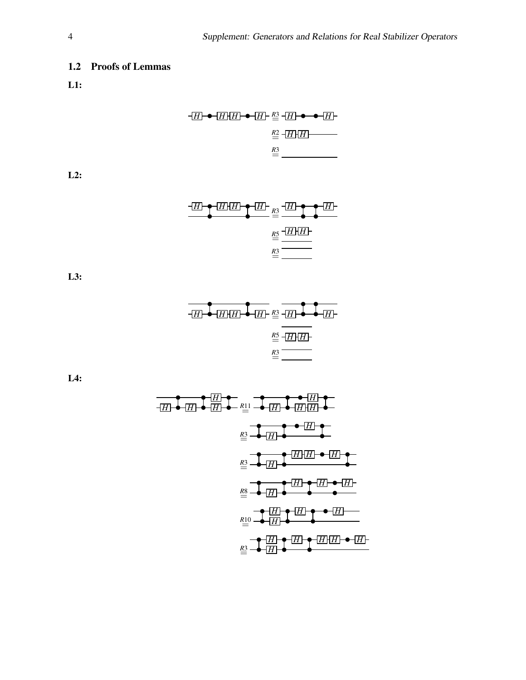### 1.2 Proofs of Lemmas

L1:

*<sup>H</sup> <sup>H</sup> <sup>H</sup> <sup>H</sup> <sup>R</sup>*3= *<sup>H</sup> <sup>H</sup> <sup>R</sup>*2= *<sup>H</sup> <sup>H</sup> R*3=

L2:

$$
\frac{H\rightarrow HH\rightarrow HH}{\mathbb{E}\frac{H\rightarrow H\rightarrow H}{\mathbb{E}\frac{H\rightarrow H\rightarrow H}{\mathbb{E}\frac{H\rightarrow H\rightarrow H}{\mathbb{E}\frac{H\rightarrow H\rightarrow H}{\mathbb{E}\frac{H\rightarrow H\rightarrow H}{\mathbb{E}\frac{H\rightarrow H\rightarrow H}{\mathbb{E}\frac{H\rightarrow H\rightarrow H}{\mathbb{E}\frac{H\rightarrow H\rightarrow H}{\mathbb{E}\frac{H\rightarrow H\rightarrow H}{\mathbb{E}\frac{H\rightarrow H\rightarrow H}{\mathbb{E}\frac{H\rightarrow H\rightarrow H}{\mathbb{E}\frac{H\rightarrow H\rightarrow H}{\mathbb{E}\frac{H\rightarrow H\rightarrow H}{\mathbb{E}\frac{H\rightarrow H\rightarrow H}{\mathbb{E}\frac{H\rightarrow H\rightarrow H}{\mathbb{E}\frac{H\rightarrow H\rightarrow H}{\mathbb{E}\frac{H\rightarrow H\rightarrow H}{\mathbb{E}\frac{H\rightarrow H\rightarrow H}{\mathbb{E}\frac{H\rightarrow H\rightarrow H}{\mathbb{E}\frac{H\rightarrow H\rightarrow H}{\mathbb{E}\frac{H\rightarrow H\rightarrow H}{\mathbb{E}\frac{H\rightarrow H\rightarrow H}{\mathbb{E}\frac{H\rightarrow H\rightarrow H}{\mathbb{E}\frac{H\rightarrow H\rightarrow H}{\mathbb{E}\frac{H\rightarrow H\rightarrow H}{\mathbb{E}\frac{H\rightarrow H\rightarrow H}{\mathbb{E}\frac{H\rightarrow H\rightarrow H}{\mathbb{E}\frac{H\rightarrow H\rightarrow H}{\mathbb{E}\frac{H\rightarrow H\rightarrow H}{\mathbb{E}\frac{H\rightarrow H\rightarrow H}{\mathbb{E}\frac{H\rightarrow H\rightarrow H}{\mathbb{E}\frac{H\rightarrow H\rightarrow H}{\mathbb{E}\frac{H\rightarrow H\rightarrow H}{\mathbb{E}\frac{H\rightarrow H\rightarrow H}{\mathbb{E}\frac{H\rightarrow H\rightarrow H}{\mathbb{E}\frac{H\rightarrow H\rightarrow H}{\mathbb{E}\frac{H\rightarrow H\rightarrow H}{\mathbb{E}\frac{H\rightarrow H\rightarrow H}}{\mathbb{E}\frac{H\rightarrow H\rightarrow H\rightarrow H}}}}}}}
$$

L3:

$$
\begin{array}{c}\n\hline\n\end{array}
$$

L4:

*H H H H <sup>H</sup> <sup>R</sup>*<sup>11</sup> = *<sup>H</sup> <sup>H</sup> H H <sup>R</sup>*3= *<sup>H</sup> H H H <sup>R</sup>*3= *<sup>H</sup> H H H <sup>R</sup>*8= *<sup>H</sup> H H H <sup>R</sup>*<sup>10</sup> = *<sup>H</sup> H H H H H<sup>R</sup>*3= *<sup>H</sup>*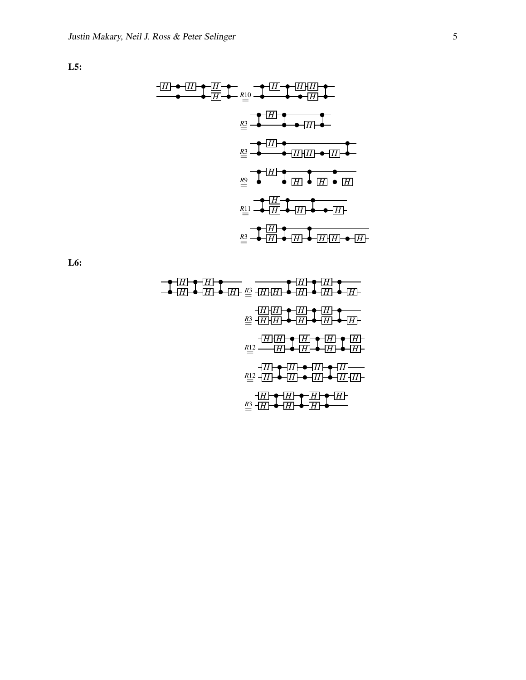L5:

$$
\begin{array}{c}\n\begin{array}{c}\n\begin{array}{c}\n\begin{array}{c}\n\overline{H} \\
\overline{H} \\
\overline{H} \\
\overline{H}\n\end{array} & \overline{H} \\
\overline{H} \\
\overline{H} \\
\overline{H} \\
\overline{H}\n\end{array}\n\end{array}
$$
\n
$$
\begin{array}{c}\n\underline{R} \\
\overline{R} \\
\overline{H} \\
\overline{H}\n\end{array}
$$
\n
$$
\begin{array}{c}\n\underline{R} \\
\overline{R} \\
\overline{H}\n\end{array}
$$
\n
$$
\begin{array}{c}\n\begin{array}{c}\n\overline{H} \\
\overline{H} \\
\overline{H}\n\end{array}
$$
\n
$$
\begin{array}{c}\n\overline{H} \\
\overline{H}\n\end{array}
$$
\n
$$
\begin{array}{c}\n\overline{H} \\
\overline{H}\n\end{array}
$$
\n
$$
\begin{array}{c}\n\overline{H} \\
\overline{H}\n\end{array}
$$
\n
$$
\begin{array}{c}\n\overline{H} \\
\overline{H}\n\end{array}
$$
\n
$$
\begin{array}{c}\n\overline{H} \\
\overline{H}\n\end{array}
$$
\n
$$
\begin{array}{c}\n\overline{H} \\
\overline{H}\n\end{array}
$$
\n
$$
\begin{array}{c}\n\overline{H} \\
\overline{H}\n\end{array}
$$
\n
$$
\begin{array}{c}\n\overline{H} \\
\overline{H}\n\end{array}
$$
\n
$$
\begin{array}{c}\n\overline{H} \\
\overline{H}\n\end{array}
$$
\n
$$
\begin{array}{c}\n\overline{H} \\
\overline{H}\n\end{array}
$$
\n
$$
\begin{array}{c}\n\overline{H} \\
\overline{H}\n\end{array}
$$
\n
$$
\begin{array}{c}\n\overline{H}\n\end{array}
$$
\n
$$
\begin{array}{c}\n\overline{H}\n\end{array}
$$

L6:

$$
\begin{array}{c}\n\begin{array}{c}\n\hline\n\end{array}\n\end{array}
$$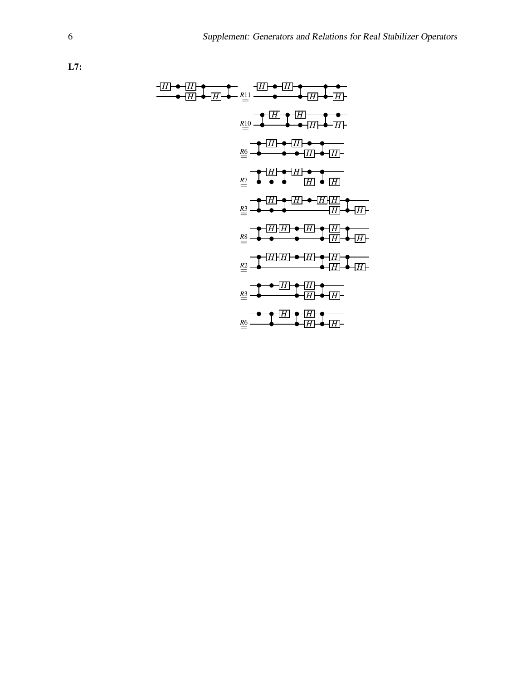L7:

$$
\frac{1}{2}
$$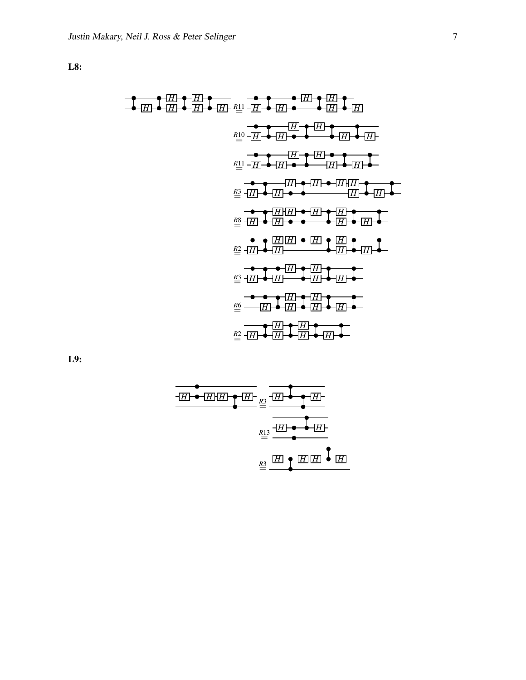L8:

*H H H H <sup>H</sup> <sup>R</sup>*<sup>11</sup> = *<sup>H</sup> <sup>H</sup> H H H H H H H <sup>R</sup>*<sup>10</sup> = *<sup>H</sup> <sup>H</sup> H H H H <sup>R</sup>*<sup>11</sup> = *<sup>H</sup> <sup>H</sup> H H H H H H <sup>R</sup>*3= *<sup>H</sup> <sup>H</sup> H H H H H H <sup>R</sup>*8= *<sup>H</sup> <sup>H</sup> H H H H H H <sup>R</sup>*2= *<sup>H</sup> H H H H H <sup>R</sup>*3= *<sup>H</sup> H H H H H <sup>R</sup>*6= *<sup>H</sup> H H H H H <sup>R</sup>*2= *<sup>H</sup> H H H*

L9:

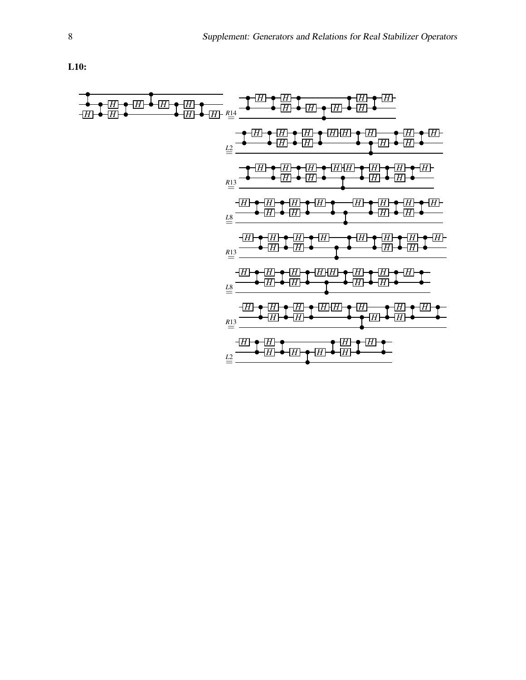L10:

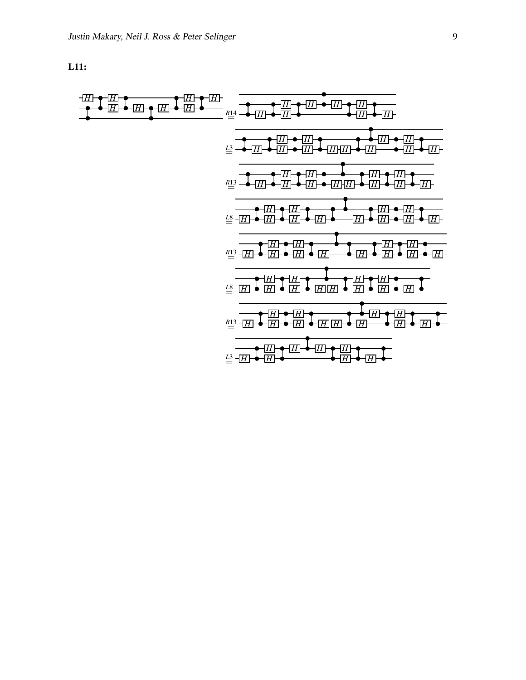L11:

*H H H H H H H H <sup>R</sup>*<sup>14</sup> = *<sup>H</sup> <sup>H</sup> H H H H H H <sup>L</sup>*3= *<sup>H</sup> <sup>H</sup> H H H H H H H H H H <sup>R</sup>*<sup>13</sup> = *<sup>H</sup> <sup>H</sup> H H H H H H H H H H <sup>L</sup>*8= *<sup>H</sup> <sup>H</sup> H H H H H H H H H H <sup>R</sup>*<sup>13</sup> = *<sup>H</sup> <sup>H</sup> H H H H H H H H H H <sup>L</sup>*8= *<sup>H</sup> <sup>H</sup> H H H H H H H H H H <sup>R</sup>*<sup>13</sup> = *<sup>H</sup> <sup>H</sup> H H H H H H H H H H <sup>L</sup>*3= *<sup>H</sup> <sup>H</sup> H H H H H H*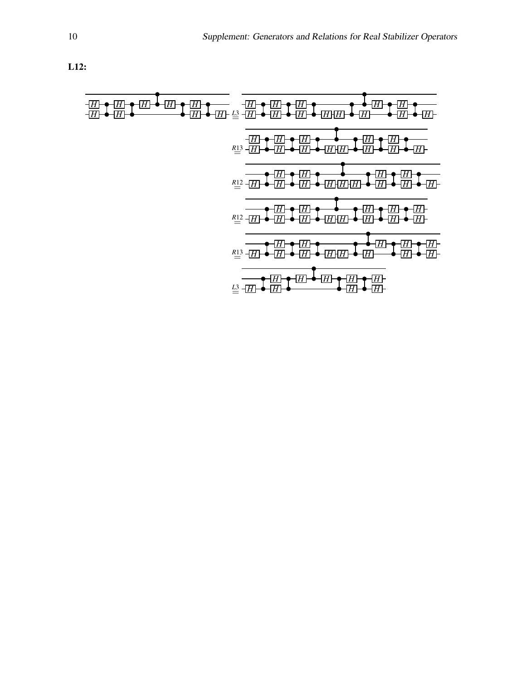L12:

*H H H H H H H H H H <sup>H</sup> <sup>H</sup> <sup>L</sup>*3= *H H H H H H H H H H H H H H H R*13 = *H H H H H H H H H H H H <sup>R</sup>*<sup>12</sup> = *<sup>H</sup> H H H H H H H H H H H H H R*12 = *H H H H H H H H H H H H H <sup>R</sup>*<sup>13</sup> = *<sup>H</sup> H H H H H H H H H H H HH <sup>L</sup>*3= *<sup>H</sup> H H*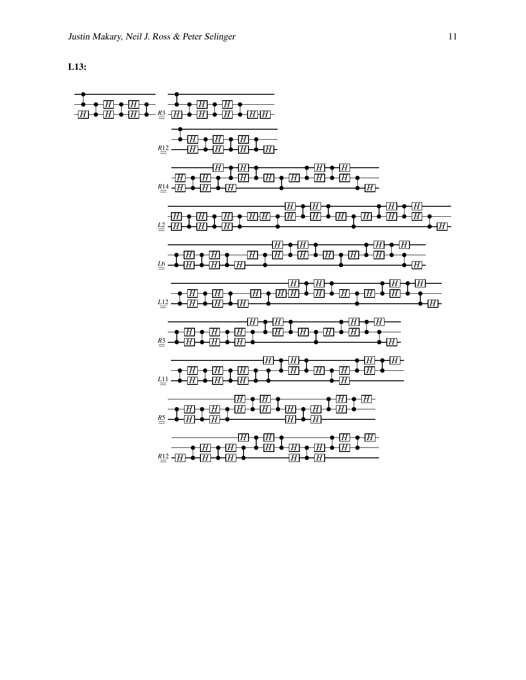L13:

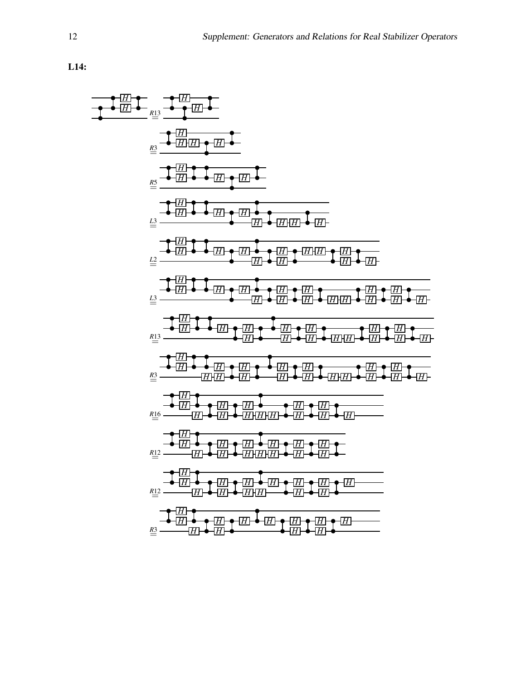

L14: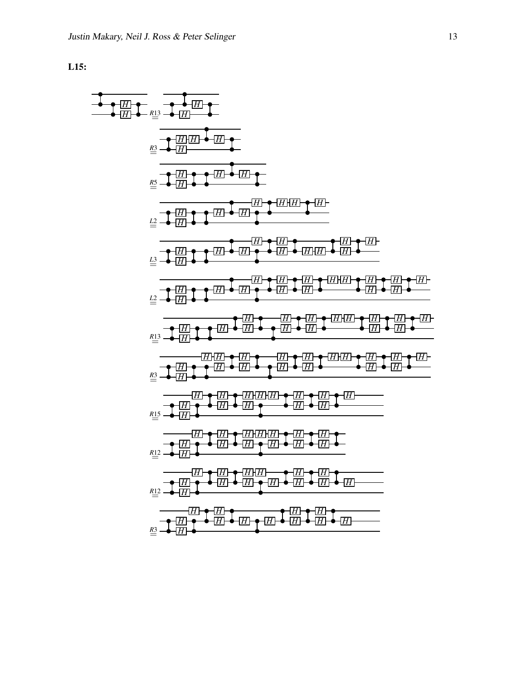

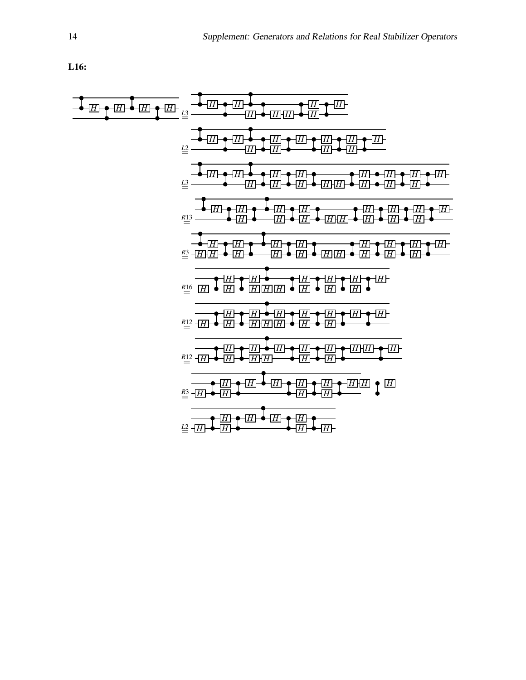L16:

$$
\frac{1}{1} \frac{1}{1} \frac{1}{1} \frac{1}{1} \frac{1}{1} \frac{1}{1} \frac{1}{1} \frac{1}{1} \frac{1}{1} \frac{1}{1} \frac{1}{1} \frac{1}{1} \frac{1}{1} \frac{1}{1} \frac{1}{1} \frac{1}{1} \frac{1}{1} \frac{1}{1} \frac{1}{1} \frac{1}{1} \frac{1}{1} \frac{1}{1} \frac{1}{1} \frac{1}{1} \frac{1}{1} \frac{1}{1} \frac{1}{1} \frac{1}{1} \frac{1}{1} \frac{1}{1} \frac{1}{1} \frac{1}{1} \frac{1}{1} \frac{1}{1} \frac{1}{1} \frac{1}{1} \frac{1}{1} \frac{1}{1} \frac{1}{1} \frac{1}{1} \frac{1}{1} \frac{1}{1} \frac{1}{1} \frac{1}{1} \frac{1}{1} \frac{1}{1} \frac{1}{1} \frac{1}{1} \frac{1}{1} \frac{1}{1} \frac{1}{1} \frac{1}{1} \frac{1}{1} \frac{1}{1} \frac{1}{1} \frac{1}{1} \frac{1}{1} \frac{1}{1} \frac{1}{1} \frac{1}{1} \frac{1}{1} \frac{1}{1} \frac{1}{1} \frac{1}{1} \frac{1}{1} \frac{1}{1} \frac{1}{1} \frac{1}{1} \frac{1}{1} \frac{1}{1} \frac{1}{1} \frac{1}{1} \frac{1}{1} \frac{1}{1} \frac{1}{1} \frac{1}{1} \frac{1}{1} \frac{1}{1} \frac{1}{1} \frac{1}{1} \frac{1}{1} \frac{1}{1} \frac{1}{1} \frac{1}{1} \frac{1}{1} \frac{1}{1} \frac{1}{1} \frac{1}{1} \frac{1}{1} \frac{1}{1} \frac{1}{1} \frac{1}{1} \frac{1}{1} \frac{1}{1} \frac{1}{1} \frac{1}{1} \frac{1}{1} \frac{1}{1} \frac{1}{1} \frac{1}{1} \frac{1}{1} \frac{1}{1} \frac{1}{1} \frac{1}{1} \frac{1}{1} \frac{1}{1} \frac{1}{1} \frac{1}{1} \frac{1
$$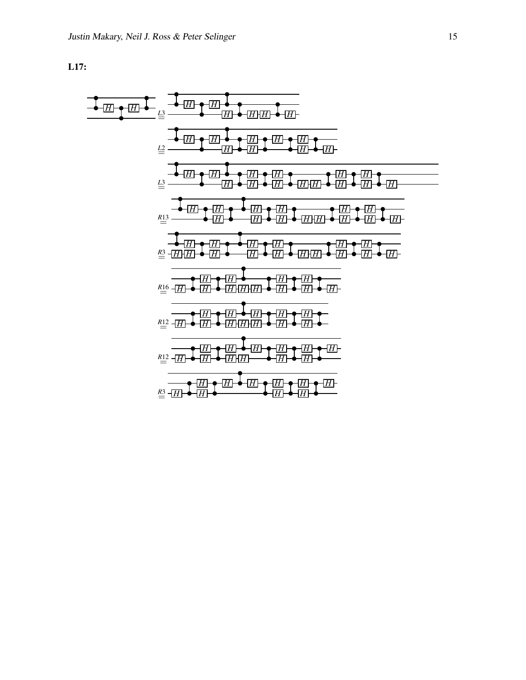L17:

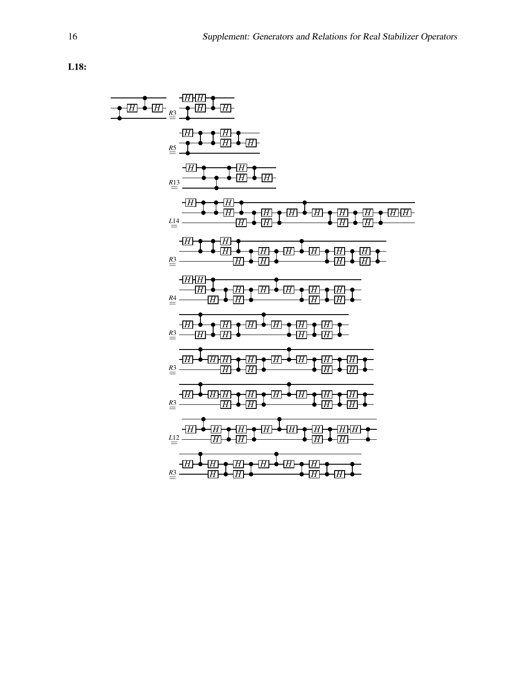L18:

$$
\frac{1}{\frac{1}{2} \cdot \frac{1}{2} \cdot \frac{1}{2} \cdot \frac{1}{2} \cdot \frac{1}{2} \cdot \frac{1}{2} \cdot \frac{1}{2} \cdot \frac{1}{2} \cdot \frac{1}{2} \cdot \frac{1}{2} \cdot \frac{1}{2} \cdot \frac{1}{2} \cdot \frac{1}{2} \cdot \frac{1}{2} \cdot \frac{1}{2} \cdot \frac{1}{2} \cdot \frac{1}{2} \cdot \frac{1}{2} \cdot \frac{1}{2} \cdot \frac{1}{2} \cdot \frac{1}{2} \cdot \frac{1}{2} \cdot \frac{1}{2} \cdot \frac{1}{2} \cdot \frac{1}{2} \cdot \frac{1}{2} \cdot \frac{1}{2} \cdot \frac{1}{2} \cdot \frac{1}{2} \cdot \frac{1}{2} \cdot \frac{1}{2} \cdot \frac{1}{2} \cdot \frac{1}{2} \cdot \frac{1}{2} \cdot \frac{1}{2} \cdot \frac{1}{2} \cdot \frac{1}{2} \cdot \frac{1}{2} \cdot \frac{1}{2} \cdot \frac{1}{2} \cdot \frac{1}{2} \cdot \frac{1}{2} \cdot \frac{1}{2} \cdot \frac{1}{2} \cdot \frac{1}{2} \cdot \frac{1}{2} \cdot \frac{1}{2} \cdot \frac{1}{2} \cdot \frac{1}{2} \cdot \frac{1}{2} \cdot \frac{1}{2} \cdot \frac{1}{2} \cdot \frac{1}{2} \cdot \frac{1}{2} \cdot \frac{1}{2} \cdot \frac{1}{2} \cdot \frac{1}{2} \cdot \frac{1}{2} \cdot \frac{1}{2} \cdot \frac{1}{2} \cdot \frac{1}{2} \cdot \frac{1}{2} \cdot \frac{1}{2} \cdot \frac{1}{2} \cdot \frac{1}{2} \cdot \frac{1}{2} \cdot \frac{1}{2} \cdot \frac{1}{2} \cdot \frac{1}{2} \cdot \frac{1}{2} \cdot \frac{1}{2} \cdot \frac{1}{2} \cdot \frac{1}{2} \cdot \frac{1}{2} \cdot \frac{1}{2} \cdot \frac{1}{2} \cdot \frac{1}{2} \cdot \frac{1}{2} \cdot \frac{1}{2} \cdot \frac{1}{2} \cdot \frac{1}{2} \cdot \frac{1}{2} \cdot \frac{1}{2} \cdot \frac{1}{2} \
$$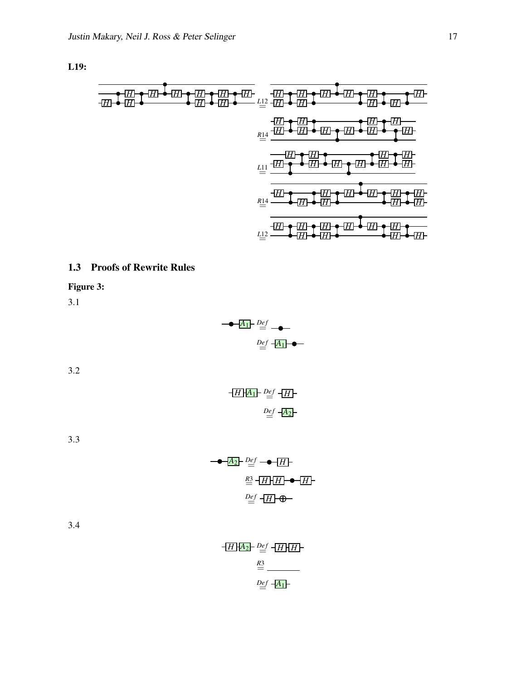L19:

*H H H H H H H H H H <sup>L</sup>*<sup>12</sup> = *<sup>H</sup> H H H H H H H H H R*14 = *H H H H H H H H H H L*11 = *H H H H H H H H H H R*14 = *H H H H H H H H H H L*12 = *H H H H H H H H H H*

### 1.3 Proofs of Rewrite Rules

Figure 3:

3.1

$$
\begin{array}{r}\n\hline\n-\bullet - A_1 \quad \text{Def} \\
\hline\n\text{Def} - A_1 \quad \text{Def} \\
\hline\n\end{array}
$$

3.2

$$
\begin{array}{c}\n\begin{array}{c}\n\begin{array}{c}\nH \mid A_1\n\end{array} & \stackrel{Def}{=} \begin{array}{c}\nH \\
\end{array}\n\end{array}
$$
\n
$$
\begin{array}{c}\n\stackrel{Def}{=} \begin{array}{c}\n\begin{array}{c}\nH \mid A_2\n\end{array}\n\end{array}
$$

3.3

$$
\begin{array}{c}\n\begin{array}{c}\n\hline\n-\blacktriangleright & \Delta_2 \vdash \stackrel{Def}{=} \neg \blacktriangleright \\
\hline\n\frac{RS}{=} & \frac{H}{H} \\
\hline\n\end{array}\n\end{array}
$$

| $-H[A_2]$ $-\frac{Def}{H}[H]$ |
|-------------------------------|
| R3                            |
| $Def -A_1$                    |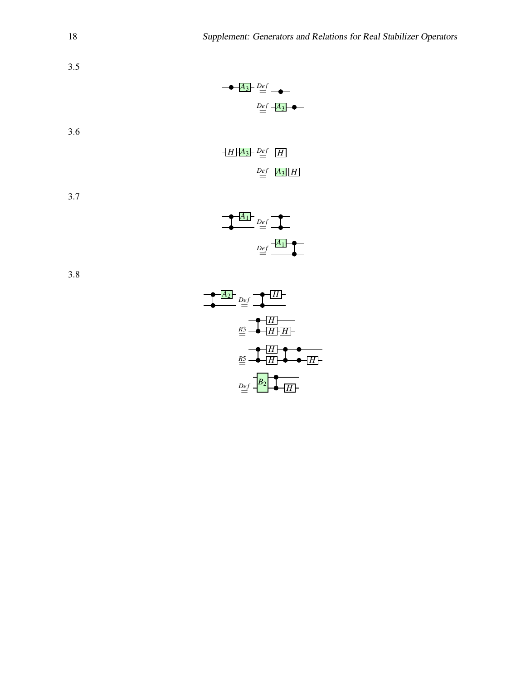



3.5

3.6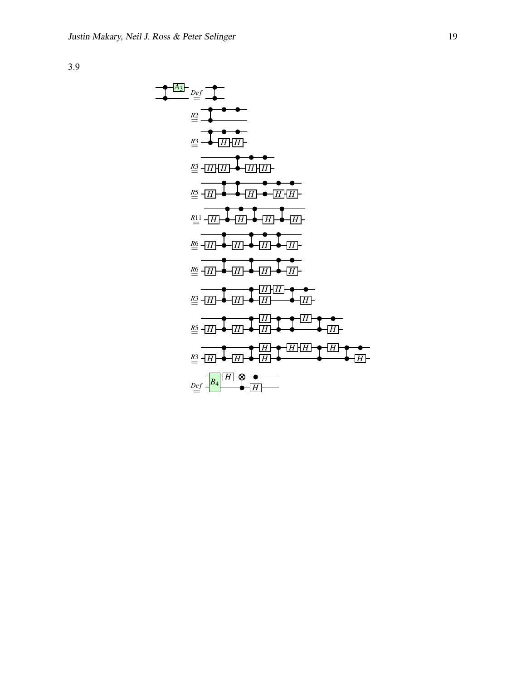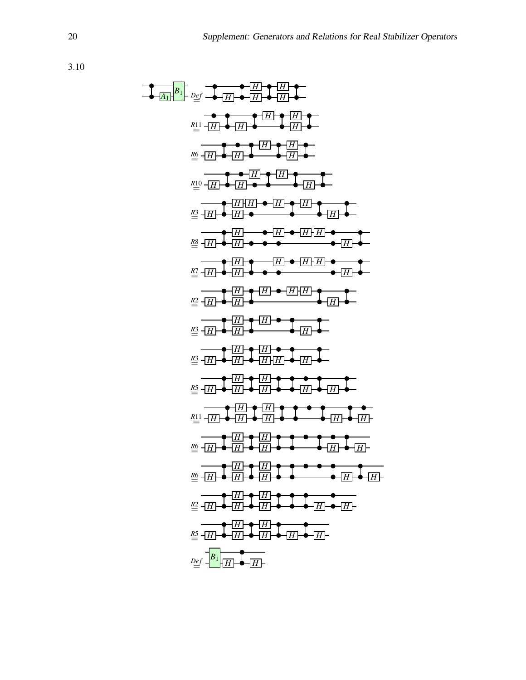$$
\frac{1}{\frac{2}{2}}\frac{\frac{1}{2}}{\frac{1}{2}}\frac{\frac{1}{2}}{\frac{1}{2}}\frac{\frac{1}{2}}{\frac{1}{2}}\frac{\frac{1}{2}}{\frac{1}{2}}\frac{\frac{1}{2}}{\frac{1}{2}}\frac{\frac{1}{2}}{\frac{1}{2}}\frac{\frac{1}{2}}{\frac{1}{2}}\frac{\frac{1}{2}}{\frac{1}{2}}\frac{\frac{1}{2}}{\frac{1}{2}}\frac{\frac{1}{2}}{\frac{1}{2}}\frac{\frac{1}{2}}{\frac{1}{2}}\frac{\frac{1}{2}}{\frac{1}{2}}\frac{\frac{1}{2}}{\frac{1}{2}}\frac{\frac{1}{2}}{\frac{1}{2}}\frac{\frac{1}{2}}{\frac{1}{2}}\frac{\frac{1}{2}}{\frac{1}{2}}\frac{\frac{1}{2}}{\frac{1}{2}}\frac{\frac{1}{2}}{\frac{1}{2}}\frac{\frac{1}{2}}{\frac{1}{2}}\frac{\frac{1}{2}}{\frac{1}{2}}\frac{\frac{1}{2}}{\frac{1}{2}}\frac{\frac{1}{2}}{\frac{1}{2}}\frac{\frac{1}{2}}{\frac{1}{2}}\frac{\frac{1}{2}}{\frac{1}{2}}\frac{\frac{1}{2}}{\frac{1}{2}}\frac{\frac{1}{2}}{\frac{1}{2}}\frac{\frac{1}{2}}{\frac{1}{2}}\frac{\frac{1}{2}}{\frac{1}{2}}\frac{\frac{1}{2}}{\frac{1}{2}}\frac{\frac{1}{2}}{\frac{1}{2}}\frac{\frac{1}{2}}{\frac{1}{2}}\frac{\frac{1}{2}}{\frac{1}{2}}\frac{\frac{1}{2}}{\frac{1}{2}}\frac{\frac{1}{2}}{\frac{1}{2}}\frac{\frac{1}{2}}{\frac{1}{2}}\frac{\frac{1}{2}}{\frac{1}{2}}\frac{\frac{1}{2}}{\frac{1}{2}}\frac{\frac{1}{2}}{\frac{1}{2}}\frac{\frac{1}{2}}{\frac{1}{2}}\frac{\frac{1}{2}}{\frac{1}{2}}\frac{\frac{1}{2}}{\frac{1}{2}}\frac{\frac{1}{2}}{\frac{1}{2}}\frac{\frac{1}{2}}{\frac{1}{2}}\frac{\frac{1}{2}}{\frac{1}{2}}\frac{\frac{1}{2}}{\frac{1}{2}}\frac{\frac{1}{2}}{\frac{1}{2}}\frac{\frac{1}{2}}{\frac{
$$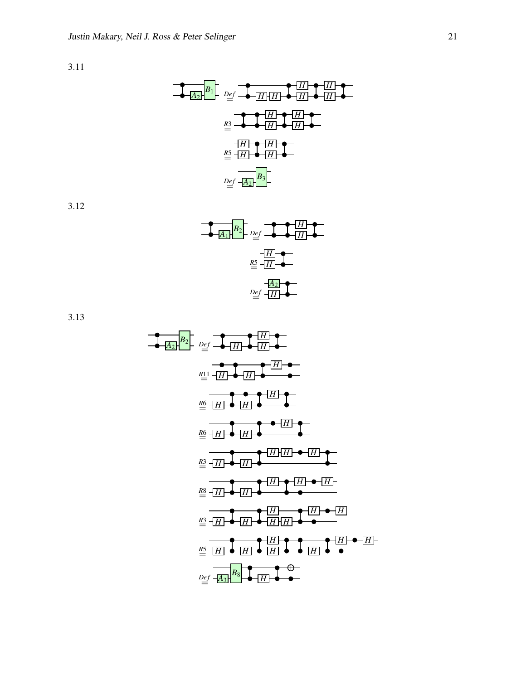$$
\begin{array}{c|c}\n\hline\n\end{array}
$$
\n
$$
\begin{array}{c}\n\hline\nB_1 \\
\hline\nB_2\n\end{array}
$$
\n
$$
\begin{array}{c}\nD_{eff} \\
\hline\nB_{eff} \\
\hline\nC_{eff} \\
\hline\nD_{eff} \\
\hline\nD_{eff} \\
\hline\nD_{eff} \\
\hline\nD_{eff} \\
\hline\nD_{eff} \\
\hline\nD_{eff} \\
\hline\nD_{eff} \\
\hline\nD_{eff} \\
\hline\nD_{eff} \\
\hline\nD_{eff} \\
\hline\nD_{eff} \\
\hline\nD_{eff} \\
\hline\nD_{eff} \\
\hline\nD_{eff} \\
\hline\nD_{eff} \\
\hline\nD_{eff} \\
\hline\nD_{eff} \\
\hline\nD_{eff} \\
\hline\nD_{eff} \\
\hline\nD_{eff} \\
\hline\nD_{eff} \\
\hline\nD_{eff} \\
\hline\nD_{eff} \\
\hline\nD_{eff} \\
\hline\nD_{eff} \\
\hline\nD_{eff} \\
\hline\nD_{eff} \\
\hline\nD_{eff} \\
\hline\nD_{eff} \\
\hline\nD_{eff} \\
\hline\nD_{eff} \\
\hline\nD_{eff} \\
\hline\nD_{eff} \\
\hline\nD_{eff} \\
\hline\nD_{eff} \\
\hline\nD_{eff} \\
\hline\nD_{eff} \\
\hline\nD_{eff} \\
\hline\nD_{eff} \\
\hline\nD_{eff} \\
\hline\nD_{eff} \\
\hline\nD_{eff} \\
\hline\nD_{eff} \\
\hline\nD_{eff} \\
\hline\nD_{eff} \\
\hline\nD_{eff} \\
\hline\nD_{eff} \\
\hline\nD_{eff} \\
\hline\nD_{eff} \\
\hline\nD_{eff} \\
\hline\nD_{eff} \\
\hline\nD_{eff} \\
\hline\nD_{eff} \\
\hline\nD_{eff} \\
\hline\nD_{eff} \\
\hline\nD_{eff} \\
\hline\nD_{eff} \\
\hline\nD_{eff} \\
\hline\nD_{eff} \\
\hline\nD_{eff} \\
\hline\nD_{eff} \\
\hline\nD_{eff} \\
\hline\nD_{eff} \\
\hline\nD_{eff} \\
\hline\nD_{eff} \\
\hline\nD_{eff} \\
\hline\nD_{eff} \\
\hline\nD_{eff} \\
\hline\nD_{eff} \\
\hline\nD_{eff} \\
\hline\nD_{eff} \\
\hline\nD_{eff} \\
\hline\nD_{eff} \\
\hline\nD_{eff}
$$

3.12

$$
\begin{array}{c|c}\n\hline\nA_1 & B_2 \\
\hline\n\end{array}\n\quad\n\begin{array}{c}\nD_{\underline{e}}f & \overline{f} & H \\
\hline\n\end{array}
$$

$$
\frac{B_2}{\frac{1}{2}} = \frac{B_2}{\frac{1}{2}} = \frac{B_2}{\frac{1}{2}} = \frac{B_2}{\frac{1}{2}} = \frac{B_2}{\frac{1}{2}} = \frac{B_2}{\frac{1}{2}} = \frac{B_2}{\frac{1}{2}} = \frac{B_2}{\frac{1}{2}} = \frac{B_2}{\frac{1}{2}} = \frac{B_2}{\frac{1}{2}} = \frac{B_2}{\frac{1}{2}} = \frac{B_2}{\frac{1}{2}} = \frac{B_2}{\frac{1}{2}} = \frac{B_2}{\frac{1}{2}} = \frac{B_2}{\frac{1}{2}} = \frac{B_2}{\frac{1}{2}} = \frac{B_2}{\frac{1}{2}} = \frac{B_2}{\frac{1}{2}} = \frac{B_2}{\frac{1}{2}} = \frac{B_2}{\frac{1}{2}} = \frac{B_2}{\frac{1}{2}} = \frac{B_2}{\frac{1}{2}} = \frac{B_2}{\frac{1}{2}} = \frac{B_2}{\frac{1}{2}} = \frac{B_2}{\frac{1}{2}} = \frac{B_2}{\frac{1}{2}} = \frac{B_2}{\frac{1}{2}} = \frac{B_2}{\frac{1}{2}} = \frac{B_2}{\frac{1}{2}} = \frac{B_2}{\frac{1}{2}} = \frac{B_2}{\frac{1}{2}} = \frac{B_2}{\frac{1}{2}} = \frac{B_2}{\frac{1}{2}} = \frac{B_2}{\frac{1}{2}} = \frac{B_2}{\frac{1}{2}} = \frac{B_2}{\frac{1}{2}} = \frac{B_2}{\frac{1}{2}} = \frac{B_2}{\frac{1}{2}} = \frac{B_2}{\frac{1}{2}} = \frac{B_2}{\frac{1}{2}} = \frac{B_2}{\frac{1}{2}} = \frac{B_2}{\frac{1}{2}} = \frac{B_2}{\frac{1}{2}} = \frac{B_2}{\frac{1}{2}} = \frac{B_2}{\frac{1}{2}} = \frac{B_2}{\frac{1}{2}} = \frac{B_2}{\frac{1}{2}} = \frac{B_2}{\frac{1}{2}} = \frac{B_2}{\frac{1}{2}} = \frac{B_2}{\frac{1}{2}} = \frac{B_2}{\frac{
$$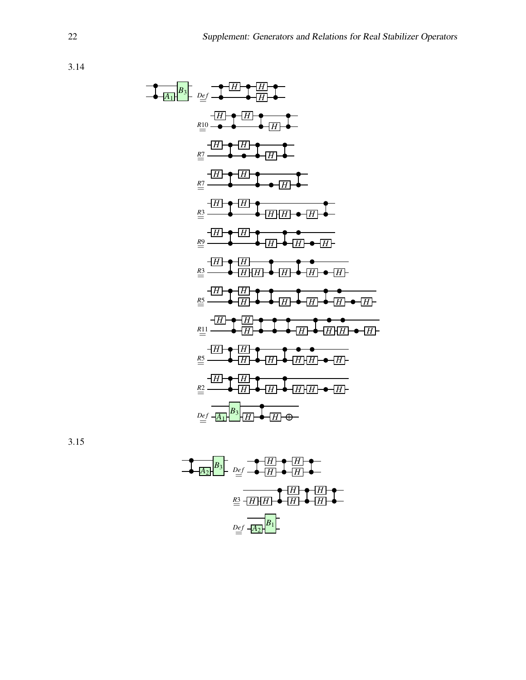| $B_3$ | $Def$        | $-\boxed{H}$ | $-\boxed{H}$ | $-\boxed{H}$ |
|-------|--------------|--------------|--------------|--------------|
| $20$  | $-\boxed{H}$ | $-\boxed{H}$ |              |              |
| $21$  | $-\boxed{H}$ | $-\boxed{H}$ |              |              |
| $22$  | $-\boxed{H}$ | $-\boxed{H}$ |              |              |
| $22$  | $-\boxed{H}$ | $-\boxed{H}$ |              |              |
| $23$  | $-\boxed{H}$ | $-\boxed{H}$ |              |              |
| $24$  | $-\boxed{H}$ | $-\boxed{H}$ |              |              |
| $25$  | $-\boxed{H}$ | $-\boxed{H}$ |              |              |
| $25$  | $-\boxed{H}$ | $-\boxed{H}$ |              |              |
| $25$  | $-\boxed{H}$ | $-\boxed{H}$ | $-\boxed{H}$ |              |
| $25$  | $-\boxed{H}$ | $-\boxed{H}$ | $-\boxed{H}$ |              |
| $21$  | $-\boxed{H}$ | $-\boxed{H}$ | $-\boxed{H}$ |              |
| $22$  | $-\boxed{H}$ | $-\boxed{H}$ | $-\boxed{H}$ |              |
| $22$  | $-\boxed{H}$ | $-\boxed{H}$ | $-\boxed{H}$ |              |
| <     |              |              |              |              |

$$
\begin{array}{c|c}\n\hline\n\end{array}\n\qquad\n\begin{array}{c}\nB_3 \\
\hline\n\end{array}\n\qquad\n\begin{array}{c}\nD_{\underline{e}f} \\
\hline\n\end{array}\n\qquad\n\begin{array}{c}\n\hline\n\end{array}\n\qquad\n\begin{array}{c}\n\hline\n\end{array}\n\qquad\n\begin{array}{c}\n\hline\n\end{array}\n\qquad\n\begin{array}{c}\n\hline\n\end{array}\n\qquad\n\begin{array}{c}\n\hline\n\end{array}\n\qquad\n\begin{array}{c}\n\hline\n\end{array}\n\qquad\n\begin{array}{c}\n\hline\n\end{array}\n\qquad\n\begin{array}{c}\n\hline\n\end{array}\n\qquad\n\begin{array}{c}\n\hline\n\end{array}\n\qquad\n\begin{array}{c}\n\hline\n\end{array}\n\qquad\n\begin{array}{c}\n\hline\n\end{array}\n\qquad\n\begin{array}{c}\n\hline\n\end{array}\n\qquad\n\begin{array}{c}\n\hline\n\end{array}\n\qquad\n\begin{array}{c}\n\hline\n\end{array}\n\qquad\n\begin{array}{c}\n\hline\n\end{array}\n\qquad\n\begin{array}{c}\n\hline\n\end{array}\n\qquad\n\begin{array}{c}\n\hline\n\end{array}\n\qquad\n\begin{array}{c}\n\hline\n\end{array}\n\qquad\n\begin{array}{c}\n\hline\n\end{array}\n\qquad\n\begin{array}{c}\n\hline\n\end{array}\n\qquad\n\begin{array}{c}\n\hline\n\end{array}\n\qquad\n\begin{array}{c}\n\hline\n\end{array}\n\qquad\n\begin{array}{c}\n\hline\n\end{array}\n\qquad\n\begin{array}{c}\n\hline\n\end{array}\n\qquad\n\begin{array}{c}\n\hline\n\end{array}\n\qquad\n\begin{array}{c}\n\hline\n\end{array}\n\qquad\n\begin{array}{c}\n\hline\n\end{array}\n\qquad\n\begin{array}{c}\n\hline\n\end{array}\n\qquad\n\begin{array}{c}\n\hline\n\end{array}\n\qquad\n\begin{array}{c}\n\hline\n\end{array}\n\qquad\n\begin{array}{c}\n\hline\n\end{array}
$$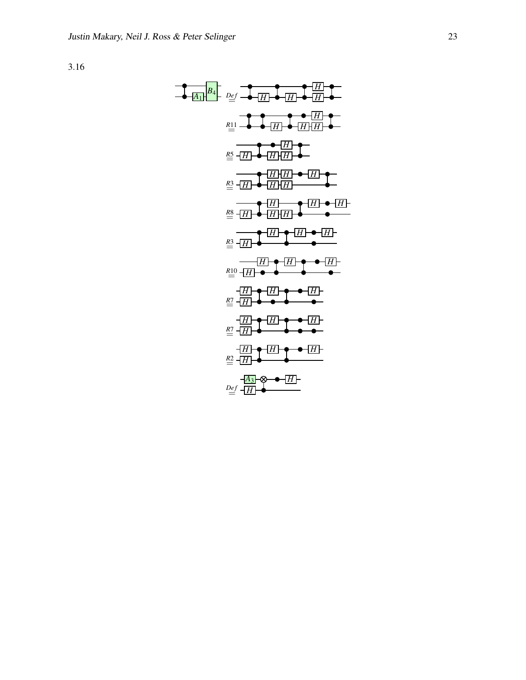| $A_1$ | $P_2$ | $P_1$ | $P_2$ | $P_1$ | $P_1$ | $P_2$ |       |       |       |       |       |       |       |       |       |       |       |       |       |       |       |       |       |       |       |       |       |       |       |       |       |       |       |       |       |       |       |       |       |       |       |       |       |       |       |       |       |       |       |       |       |       |       |       |      |
|-------|-------|-------|-------|-------|-------|-------|-------|-------|-------|-------|-------|-------|-------|-------|-------|-------|-------|-------|-------|-------|-------|-------|-------|-------|-------|-------|-------|-------|-------|-------|-------|-------|-------|-------|-------|-------|-------|-------|-------|-------|-------|-------|-------|-------|-------|-------|-------|-------|-------|-------|-------|-------|-------|-------|------|
| $R_1$ | $R_2$ | $R_1$ | $R_2$ | $R_1$ | $R_2$ | $R_1$ | $R_2$ | $R_2$ | $R_2$ | $R_1$ | $R_2$ | $R_2$ | $R_1$ | $R_2$ | $R_2$ | $R_2$ | $R_2$ | $R_2$ | $R_2$ | $R_2$ | $R_2$ | $R_2$ | $R_2$ | $R_2$ | $R_2$ | $R_2$ | $R_2$ | $R_2$ | $R_2$ | $R_2$ | $R_2$ | $R_2$ | $R_2$ | $R_2$ | $R_2$ | $R_2$ | $R_2$ | $R_2$ | $R_2$ | $R_2$ | $R_2$ | $R_2$ | $R_2$ | $R_2$ | $R_2$ | $R_2$ | $R_2$ | $R_2$ | $R_2$ | $R_2$ | $R_2$ | $R_2$ | $R_2$ | $R_2$ | $R_$ |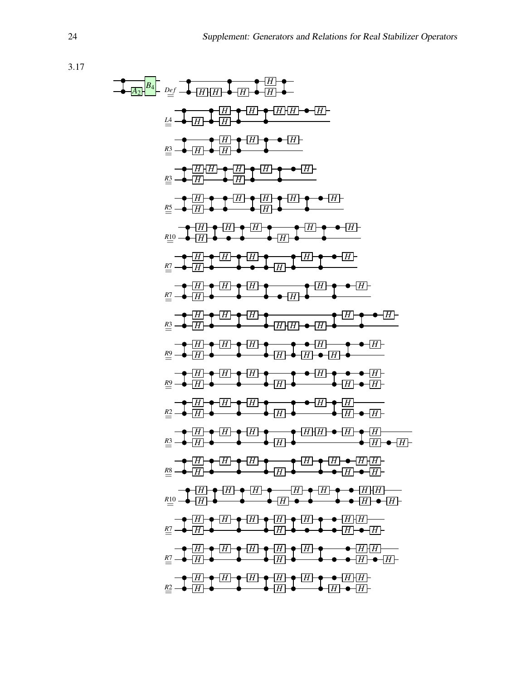| $a$ | $b$ | $b$ | $c$ | $c$ | $c$ | $c$ | $c$ | $c$ | $c$ | $c$ | $c$ | $c$ | $c$ | $c$ | $c$ | $c$ | $c$ | $c$ | $c$ | $c$ | $c$ | $c$ | $c$ | $c$ | $c$ | $c$ | $c$ | $c$ | $c$ | $c$ | $c$ | $c$ | $c$ | $c$ | $c$ | $c$ | $c$ | $c$ | $c$ | $c$ | $c$ | $c$ | $c$ | $c$ | $c$ | $c$ | $c$ | $c$ | $c$ | $c$ | $c$ | $c$ | $c$ | $c$ | $c$ | $c$ | $c$ | $c$ | $c$ | $c$ | $c$ | $c$ | $c$ | $c$ | $c$ | $c$ | $c$ | $c$ | $c$ | $c$ | $c$ | $c$ | $c$ | $c$ | $c$ |
|-----|-----|-----|-----|-----|-----|-----|-----|-----|-----|-----|-----|-----|-----|-----|-----|-----|-----|-----|-----|-----|-----|-----|-----|-----|-----|-----|-----|-----|-----|-----|-----|-----|-----|-----|-----|-----|-----|-----|-----|-----|-----|-----|-----|-----|-----|-----|-----|-----|-----|-----|-----|-----|-----|-----|-----|-----|-----|-----|-----|-----|-----|-----|-----|-----|-----|-----|-----|-----|-----|-----|-----|-----|-----|-----|-----|
|-----|-----|-----|-----|-----|-----|-----|-----|-----|-----|-----|-----|-----|-----|-----|-----|-----|-----|-----|-----|-----|-----|-----|-----|-----|-----|-----|-----|-----|-----|-----|-----|-----|-----|-----|-----|-----|-----|-----|-----|-----|-----|-----|-----|-----|-----|-----|-----|-----|-----|-----|-----|-----|-----|-----|-----|-----|-----|-----|-----|-----|-----|-----|-----|-----|-----|-----|-----|-----|-----|-----|-----|-----|-----|-----|-----|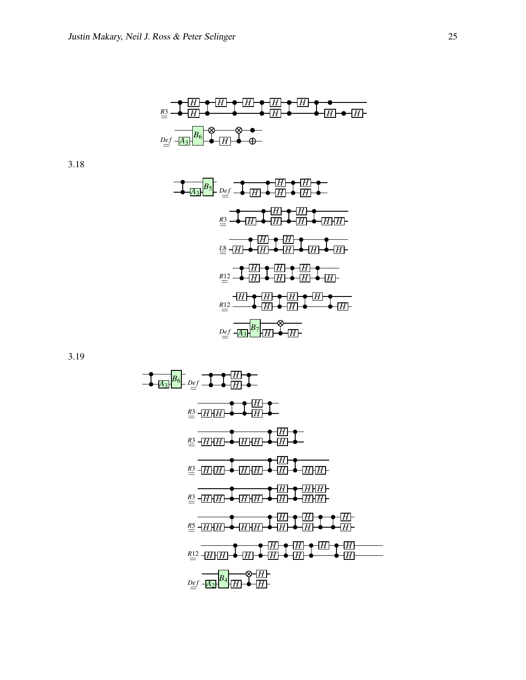*<sup>R</sup>*3= *<sup>H</sup> H H H H H H H H De f* = *A*3 *B*6 *H*

| $B_5$    | $Def$ | $+$ | $+$ | $+$                   | $+$ | $+$ |     |
|----------|-------|-----|-----|-----------------------|-----|-----|-----|
| $23$     | $+$   | $+$ | $+$ | $+$                   | $+$ |     |     |
| $24$     | $+$   | $+$ | $+$ | $+$                   | $+$ | $+$ |     |
| $+$      | $+$   | $+$ | $+$ | $+$                   | $+$ | $+$ |     |
| $+$      | $+$   | $+$ | $+$ | $+$                   | $+$ | $+$ |     |
| $+$      | $+$   | $+$ | $+$ | $+$                   | $+$ | $+$ |     |
| $R_{12}$ | $+$   | $+$ | $+$ | $+$                   | $+$ | $+$ | $+$ |
| $R_{12}$ | $+$   | $+$ | $+$ | $+$                   | $+$ | $+$ |     |
| $R_{12}$ | $+$   | $+$ | $+$ | $+$                   | $+$ | $+$ |     |
| $R_{12}$ | $+$   | $+$ | $+$ | <math< td=""></math<> |     |     |     |

$$
\frac{B_2}{4}
$$
\n
$$
\frac{B_2}{4}
$$
\n
$$
\frac{B_2}{4}
$$
\n
$$
\frac{B_2}{4}
$$
\n
$$
\frac{B_2}{4}
$$
\n
$$
\frac{B_2}{4}
$$
\n
$$
\frac{B_2}{4}
$$
\n
$$
\frac{B_2}{4}
$$
\n
$$
\frac{B_2}{4}
$$
\n
$$
\frac{B_2}{4}
$$
\n
$$
\frac{B_2}{4}
$$
\n
$$
\frac{B_2}{4}
$$
\n
$$
\frac{B_2}{4}
$$
\n
$$
\frac{B_2}{4}
$$
\n
$$
\frac{B_2}{4}
$$
\n
$$
\frac{B_2}{4}
$$
\n
$$
\frac{B_2}{4}
$$
\n
$$
\frac{B_2}{4}
$$
\n
$$
\frac{B_2}{4}
$$
\n
$$
\frac{B_2}{4}
$$
\n
$$
\frac{B_2}{4}
$$
\n
$$
\frac{B_2}{4}
$$
\n
$$
\frac{B_2}{4}
$$
\n
$$
\frac{B_2}{4}
$$
\n
$$
\frac{B_2}{4}
$$
\n
$$
\frac{B_2}{4}
$$
\n
$$
\frac{B_2}{4}
$$
\n
$$
\frac{B_2}{4}
$$
\n
$$
\frac{B_2}{4}
$$
\n
$$
\frac{B_2}{4}
$$
\n
$$
\frac{B_2}{4}
$$
\n
$$
\frac{B_2}{4}
$$
\n
$$
\frac{B_2}{4}
$$
\n
$$
\frac{B_2}{4}
$$
\n
$$
\frac{B_2}{4}
$$
\n
$$
\frac{B_2}{4}
$$
\n
$$
\frac{B_2}{4}
$$
\n
$$
\frac{B_2}{4}
$$
\n
$$
\frac{B_2}{4}
$$
\n
$$
\frac{B_2}{4}
$$
\n
$$
\frac{B_2}{4}
$$
\n
$$
\frac{B_2}{4}
$$
\n
$$
\frac{B_2}{4}
$$
\n
$$
\frac{B_2}{4}
$$
\n
$$
\frac{B_2}{4}
$$
\n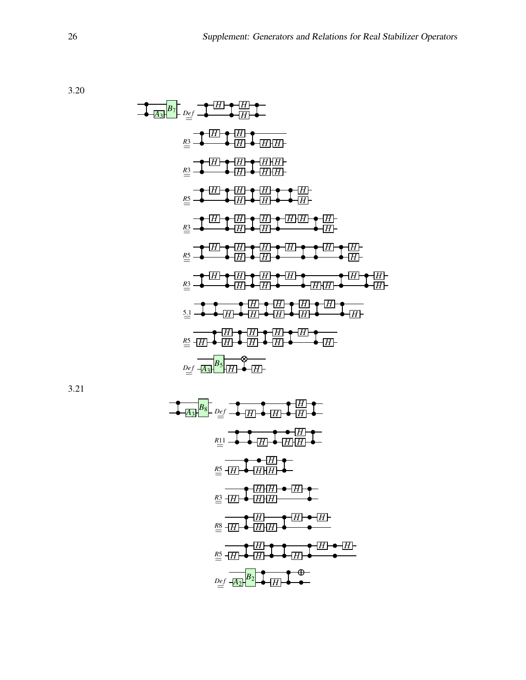$$
\frac{B_1}{2} + \frac{B_2}{2} + \frac{B_3}{2} + \frac{B_4}{2} + \frac{B_1}{2} + \frac{B_2}{2} + \frac{B_3}{2} + \frac{B_3}{2} + \frac{B_4}{2} + \frac{B_4}{2} + \frac{B_5}{2} + \frac{B_5}{2} + \frac{B_6}{2} + \frac{B_7}{2} + \frac{B_7}{2} + \frac{B_7}{2} + \frac{B_7}{2} + \frac{B_7}{2} + \frac{B_7}{2} + \frac{B_7}{2} + \frac{B_7}{2} + \frac{B_7}{2} + \frac{B_7}{2} + \frac{B_7}{2} + \frac{B_7}{2} + \frac{B_7}{2} + \frac{B_7}{2} + \frac{B_7}{2} + \frac{B_7}{2} + \frac{B_7}{2} + \frac{B_7}{2} + \frac{B_7}{2} + \frac{B_7}{2} + \frac{B_7}{2} + \frac{B_7}{2} + \frac{B_7}{2} + \frac{B_7}{2} + \frac{B_7}{2} + \frac{B_7}{2} + \frac{B_7}{2} + \frac{B_7}{2} + \frac{B_7}{2} + \frac{B_7}{2} + \frac{B_7}{2} + \frac{B_7}{2} + \frac{B_7}{2} + \frac{B_7}{2} + \frac{B_7}{2} + \frac{B_7}{2} + \frac{B_7}{2} + \frac{B_7}{2} + \frac{B_7}{2} + \frac{B_7}{2} + \frac{B_7}{2} + \frac{B_7}{2} + \frac{B_7}{2} + \frac{B_7}{2} + \frac{B_7}{2} + \frac{B_7}{2} + \frac{B_7}{2} + \frac{B_7}{2} + \frac{B_7}{2} + \frac{B_7}{2} + \frac{B_7}{2} + \frac{B_7}{2} + \frac{B_7}{2} + \frac{B_7}{2} + \frac{B_7}{2} + \frac{B_7}{2} + \frac{B_7}{2} + \frac{B_7}{2} + \frac{B_7}{2} + \frac{B_7}{2} + \frac{B_7}{2} + \frac{B_7}{2} + \frac{B_7}{2} +
$$

| $B_8$ | $Def$ | $1$   | $1$   | $1$   |
|-------|-------|-------|-------|-------|
| $III$ | $III$ | $III$ | $III$ |       |
| $III$ | $III$ | $III$ | $III$ |       |
| $III$ | $III$ | $III$ | $III$ |       |
| $III$ | $III$ | $III$ | $III$ |       |
| $III$ | $III$ | $III$ | $III$ |       |
| $III$ | $III$ | $III$ | $III$ |       |
| $III$ | $III$ | $III$ | $III$ |       |
| $III$ | $III$ | $III$ | $III$ |       |
| $III$ | $III$ | $III$ | $III$ |       |
| $III$ | $III$ | $III$ | $III$ | $III$ |
| $III$ | $III$ | $III$ | $III$ | $III$ |
| $III$ | $III$ | $III$ | $III$ | $III$ |
| $III$ | $III$ | $III$ | $III$ |       |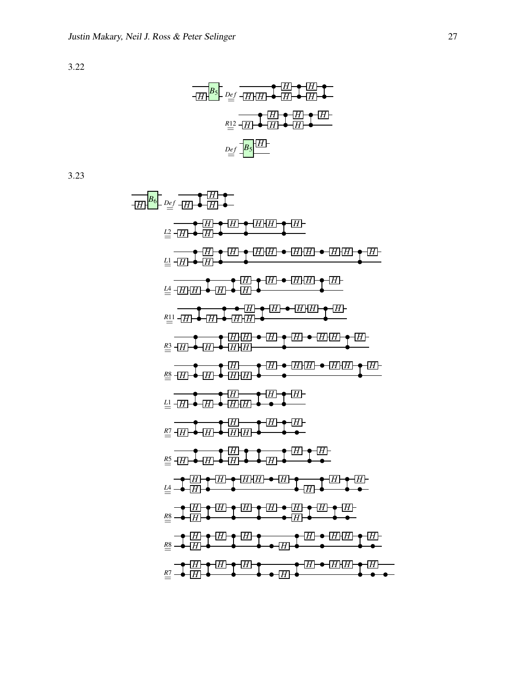| $B_5$         | $D_{eff}$ | $H$ | $H$ | $H$ |
|---------------|-----------|-----|-----|-----|
| $R_{\perp 2}$ | $H$       | $H$ | $H$ | $H$ |
| $R_{\perp 2}$ | $H$       | $H$ | $H$ | $H$ |
| $P_{\perp 2}$ | $H$       | $H$ | $H$ | $H$ |
| $D_{eff}$     | $B_5$     | $H$ |     |     |

$$
\frac{1}{2}
$$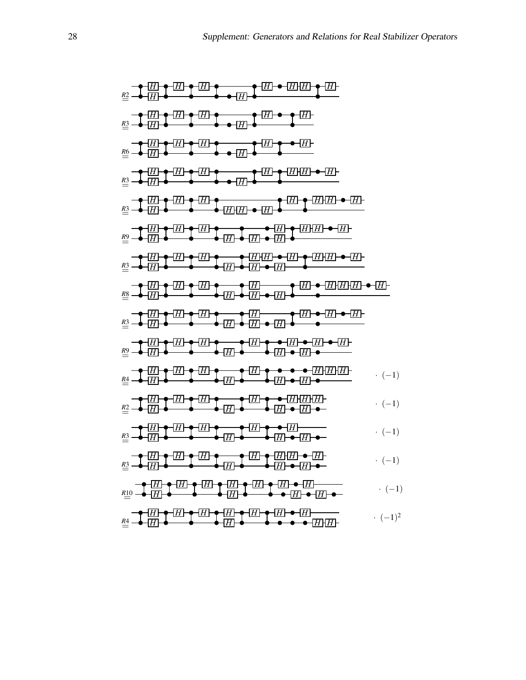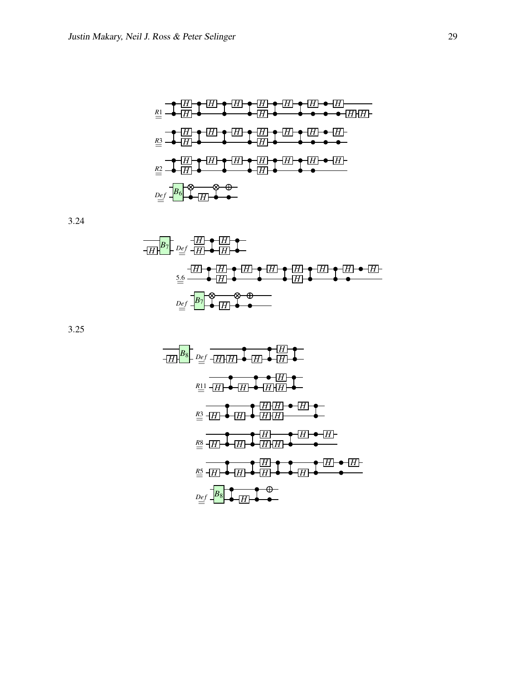

$$
\begin{array}{c}\n\overline{H} & \overline{H} & \overline{H} \\
\overline{H} & \overline{H} & \overline{H} \\
\overline{H} & \overline{H} & \overline{H} \\
\end{array}
$$
\n
$$
\begin{array}{c}\n\overline{H} & \overline{H} & \overline{H} \\
\overline{H} & \overline{H} & \overline{H} \\
\overline{H} & \overline{H} & \overline{H} \\
\end{array}
$$
\n
$$
\begin{array}{c}\n\overline{H} & \overline{H} & \overline{H} & \overline{H} \\
\overline{H} & \overline{H} & \overline{H} \\
\overline{H} & \overline{H} & \overline{H} \\
\end{array}
$$
\n
$$
\begin{array}{c}\n\overline{H} & \overline{H} & \overline{H} & \overline{H} \\
\overline{H} & \overline{H} & \overline{H} \\
\end{array}
$$

| $B_s$         | $Def$                            | $[\underline{H}][\underline{H}]$ | $[\underline{H}]$                |
|---------------|----------------------------------|----------------------------------|----------------------------------|
| $R_{\perp 1}$ | $[\underline{H}][\underline{H}]$ | $[\underline{H}]$                |                                  |
| $R_{\perp 1}$ | $[\underline{H}][\underline{H}]$ | $[\underline{H}][\underline{H}]$ |                                  |
| $R_{\perp 2}$ | $[\underline{H}][\underline{H}]$ | $[\underline{H}][\underline{H}]$ |                                  |
| $R_{\perp 2}$ | $[\underline{H}][\underline{H}]$ | $[\underline{H}][\underline{H}]$ |                                  |
| $R_{\perp 2}$ | $[\underline{H}][\underline{H}]$ | $[\underline{H}][\underline{H}]$ |                                  |
| $R_{\perp 2}$ | $[\underline{H}][\underline{H}]$ | $[\underline{H}][\underline{H}]$ |                                  |
| $R_{\perp 2}$ | $[\underline{H}][\underline{H}]$ | $[\underline{H}][\underline{H}]$ |                                  |
| $R_{\perp 2}$ | $[\underline{H}][\underline{H}]$ | $[\underline{H}][\underline{H}]$ | $[\underline{H}][\underline{H}]$ |
| $R_{\perp 2}$ | $[\underline{H}][\underline{H}]$ | $[\underline{H}][\underline{H}]$ | $[\underline{H}][\underline{H}]$ |
| $R_{\perp 2}$ | $[\underline{H}][\underline{H}]$ | $[\underline{H}][\underline{H}]$ | $[\underline{H}][\underline$     |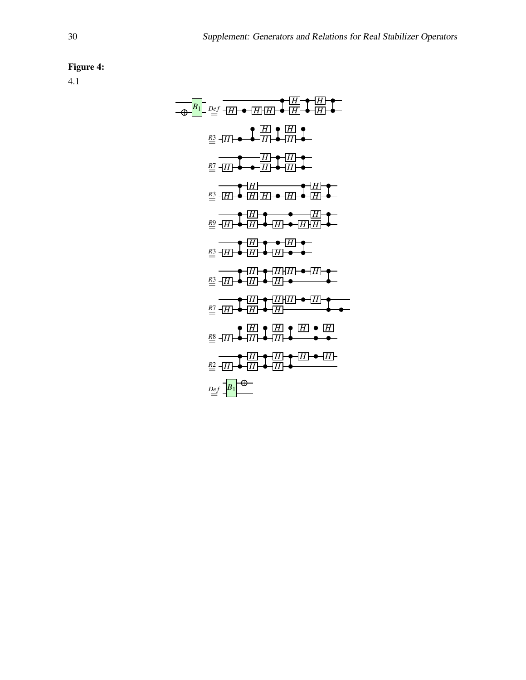## Figure 4:

*H H B*<sup>1</sup> *De f* = *H H H H H H H <sup>R</sup>*3= *<sup>H</sup> <sup>H</sup> H H H <sup>R</sup>*7= *<sup>H</sup> <sup>H</sup> H H H <sup>R</sup>*3= *<sup>H</sup> <sup>H</sup> H H H H H <sup>R</sup>*9= *<sup>H</sup> <sup>H</sup> H H H H H <sup>R</sup>*3= *<sup>H</sup> <sup>H</sup> H H H H H <sup>R</sup>*3= *<sup>H</sup> <sup>H</sup> H H H H H <sup>R</sup>*7= *<sup>H</sup> <sup>H</sup> H H H H H <sup>R</sup>*8= *<sup>H</sup> <sup>H</sup> H H H H H <sup>R</sup>*2= *<sup>H</sup> <sup>H</sup> H B*1*De f* =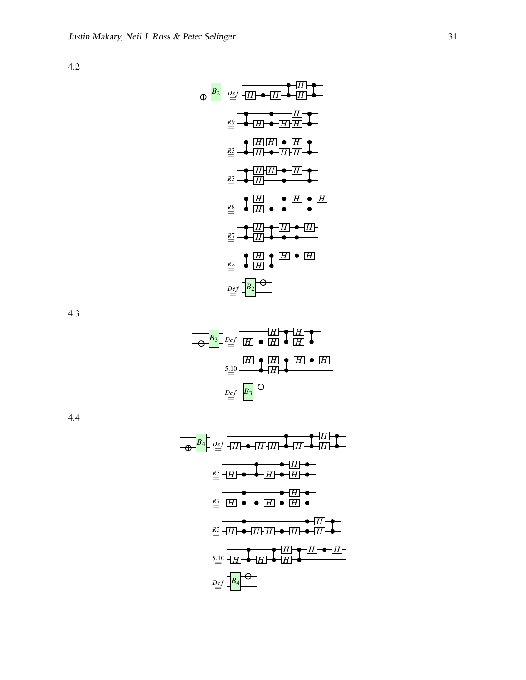$$
\begin{array}{c}\n\hline\n\text{AB} \\
\hline\n\text{AB} \\
\hline\n\end{array}
$$
\n
$$
\begin{array}{c}\n\hline\n\text{AB} \\
\hline\n\end{array}
$$
\n
$$
\begin{array}{c}\n\hline\n\text{AB} \\
\hline\n\end{array}
$$
\n
$$
\begin{array}{c}\n\hline\n\text{AB} \\
\hline\n\end{array}
$$
\n
$$
\begin{array}{c}\n\hline\n\text{AB} \\
\hline\n\end{array}
$$
\n
$$
\begin{array}{c}\n\hline\n\text{AB} \\
\hline\n\end{array}
$$
\n
$$
\begin{array}{c}\n\hline\n\text{AB} \\
\hline\n\end{array}
$$
\n
$$
\begin{array}{c}\n\hline\n\text{AB} \\
\hline\n\end{array}
$$
\n
$$
\begin{array}{c}\n\hline\n\text{AB} \\
\hline\n\end{array}
$$
\n
$$
\begin{array}{c}\n\hline\n\text{AB} \\
\hline\n\end{array}
$$
\n
$$
\begin{array}{c}\n\hline\n\text{AB} \\
\hline\n\end{array}
$$
\n
$$
\begin{array}{c}\n\hline\n\text{AB} \\
\hline\n\end{array}
$$
\n
$$
\begin{array}{c}\n\hline\n\text{AB} \\
\hline\n\end{array}
$$
\n
$$
\begin{array}{c}\n\hline\n\text{AB} \\
\hline\n\end{array}
$$
\n
$$
\begin{array}{c}\n\hline\n\text{AB} \\
\hline\n\end{array}
$$
\n
$$
\begin{array}{c}\n\hline\n\text{AB} \\
\hline\n\end{array}
$$
\n
$$
\begin{array}{c}\n\hline\n\text{AB} \\
\hline\n\end{array}
$$
\n
$$
\begin{array}{c}\n\hline\n\text{AB} \\
\hline\n\end{array}
$$
\n
$$
\begin{array}{c}\n\hline\n\text{AB} \\
\hline\n\end{array}
$$
\n
$$
\begin{array}{c}\n\hline\n\text{AB} \\
\hline\n\end{array}
$$
\n
$$
\begin{array}{c}\n\hline\n\text{AB} \\
\hline\n\end{array}
$$
\n
$$
\begin{array}{c}\n\hline\n\text{
$$



$$
\begin{array}{c}\n\frac{B_4}{\oplus} \quad D_{\underline{e}} f \\
\frac{B_3}{\oplus} \quad \frac{1}{\uparrow} \quad \frac{1}{\uparrow} \quad \frac{1}{\uparrow} \quad \frac{1}{\uparrow} \quad \frac{1}{\uparrow} \quad \frac{1}{\uparrow} \quad \frac{1}{\uparrow} \quad \frac{1}{\uparrow} \quad \frac{1}{\uparrow} \quad \frac{1}{\uparrow} \quad \frac{1}{\uparrow} \quad \frac{1}{\uparrow} \quad \frac{1}{\uparrow} \quad \frac{1}{\uparrow} \quad \frac{1}{\uparrow} \quad \frac{1}{\uparrow} \quad \frac{1}{\uparrow} \quad \frac{1}{\uparrow} \quad \frac{1}{\uparrow} \quad \frac{1}{\uparrow} \quad \frac{1}{\uparrow} \quad \frac{1}{\uparrow} \quad \frac{1}{\uparrow} \quad \frac{1}{\uparrow} \quad \frac{1}{\uparrow} \quad \frac{1}{\uparrow} \quad \frac{1}{\uparrow} \quad \frac{1}{\uparrow} \quad \frac{1}{\uparrow} \quad \frac{1}{\uparrow} \quad \frac{1}{\uparrow} \quad \frac{1}{\uparrow} \quad \frac{1}{\uparrow} \quad \frac{1}{\uparrow} \quad \frac{1}{\uparrow} \quad \frac{1}{\uparrow} \quad \frac{1}{\uparrow} \quad \frac{1}{\uparrow} \quad \frac{1}{\uparrow} \quad \frac{1}{\uparrow} \quad \frac{1}{\uparrow} \quad \frac{1}{\uparrow} \quad \frac{1}{\uparrow} \quad \frac{1}{\uparrow} \quad \frac{1}{\uparrow} \quad \frac{1}{\uparrow} \quad \frac{1}{\uparrow} \quad \frac{1}{\uparrow} \quad \frac{1}{\uparrow} \quad \frac{1}{\uparrow} \quad \frac{1}{\uparrow} \quad \frac{1}{\uparrow} \quad \frac{1}{\uparrow} \quad \frac{1}{\uparrow} \quad \frac{1}{\uparrow} \quad \frac{1}{\uparrow} \quad \frac{1}{\uparrow} \quad \frac{1}{\uparrow} \quad \frac{1}{\uparrow} \quad \frac{1}{\uparrow} \quad \frac{1}{\uparrow} \quad \frac{1}{\uparrow} \quad \frac{1}{\uparrow} \quad \frac{1}{\uparrow} \quad \frac{1}{\uparrow} \quad \frac
$$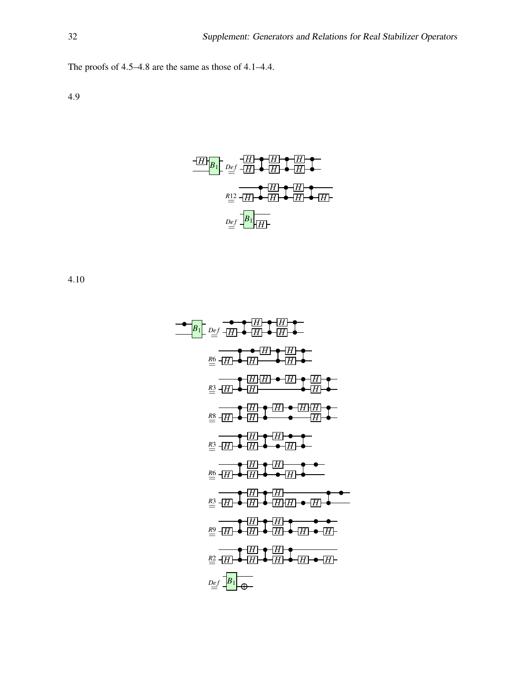The proofs of 4.5–4.8 are the same as those of 4.1–4.4.

4.9

$$
\begin{array}{c}\n\hline\n\text{H}\left[\mathbf{B}\right]\n\end{array}\n\quad\n\begin{array}{c}\n\hline\n\text{H}\left[\mathbf{H}\right]\n\end{array}\n\quad\n\begin{array}{c}\n\hline\n\text{H}\left[\mathbf{H}\right]\n\end{array}\n\quad\n\begin{array}{c}\n\hline\n\text{H}\left[\mathbf{H}\right]\n\end{array}\n\quad\n\begin{array}{c}\n\hline\n\text{H}\left[\mathbf{H}\right]\n\end{array}\n\quad\n\begin{array}{c}\n\hline\n\text{H}\left[\mathbf{H}\right]\n\end{array}\n\quad\n\begin{array}{c}\n\hline\n\text{H}\left[\mathbf{H}\right]\n\end{array}\n\quad\n\begin{array}{c}\n\hline\n\text{H}\left[\mathbf{H}\right]\n\end{array}\n\quad\n\begin{array}{c}\n\hline\n\text{H}\left[\mathbf{H}\right]\n\end{array}\n\quad\n\begin{array}{c}\n\hline\n\text{H}\left[\mathbf{H}\right]\n\end{array}\n\quad\n\begin{array}{c}\n\hline\n\text{H}\left[\mathbf{H}\right]\n\end{array}\n\quad\n\begin{array}{c}\n\hline\n\text{H}\left[\mathbf{H}\right]\n\end{array}\n\quad\n\begin{array}{c}\n\hline\n\text{H}\left[\mathbf{H}\right]\n\end{array}\n\quad\n\begin{array}{c}\n\hline\n\text{H}\left[\mathbf{H}\right]\n\end{array}\n\quad\n\begin{array}{c}\n\hline\n\text{H}\left[\mathbf{H}\right]\n\end{array}\n\quad\n\begin{array}{c}\n\hline\n\text{H}\left[\mathbf{H}\right]\n\end{array}\n\quad\n\begin{array}{c}\n\hline\n\text{H}\left[\mathbf{H}\right]\n\end{array}\n\quad\n\begin{array}{c}\n\hline\n\text{H}\left[\mathbf{H}\right]\n\end{array}\n\quad\n\begin{array}{c}\n\hline\n\text{H}\left[\mathbf{H}\right]\n\end{array}\n\quad\n\begin{array}{c}\n\hline\n\text{H}\left[\mathbf{H}\right]\n\end{array}\n\quad\n\begin{array}{c}\n\hline\n\text{H}\left[\mathbf{H}\right]\n\end{array}\n\quad\n\begin{array
$$

*H H B*<sup>1</sup> *De f* = *H H H H H <sup>R</sup>*6= *<sup>H</sup> <sup>H</sup> H H H H H <sup>R</sup>*3= *<sup>H</sup> <sup>H</sup> H H H H H <sup>R</sup>*8= *<sup>H</sup> <sup>H</sup> H H H <sup>R</sup>*3= *<sup>H</sup> <sup>H</sup> H H H <sup>R</sup>*6= *<sup>H</sup> <sup>H</sup> H H H <sup>R</sup>*3= *<sup>H</sup> <sup>H</sup> H H H H H <sup>R</sup>*9= *<sup>H</sup> <sup>H</sup> H H H H H <sup>R</sup>*2= *<sup>H</sup> <sup>H</sup> H H H B*1*De f* =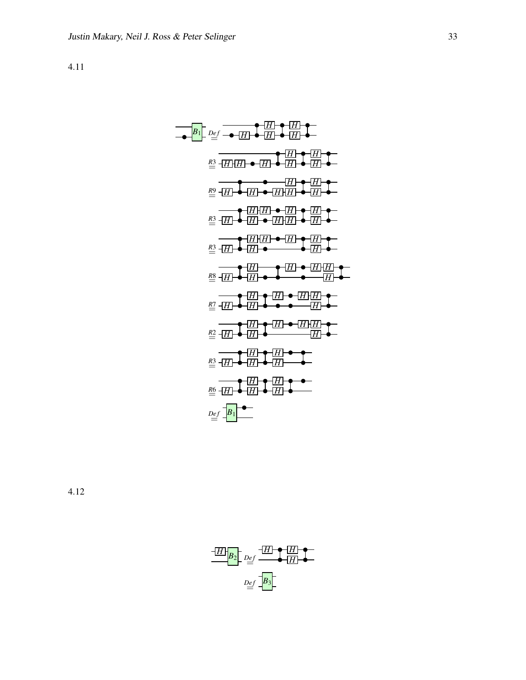| $B_1$ | $p_{ef}$ | $q_{ef}$ | $q_{ef}$ | $q_{ef}$ | $q_{ef}$ | $q_{ef}$ | $q_{ef}$ | $q_{ef}$ | $q_{ef}$ | $q_{ef}$ | $q_{ef}$ | $q_{ef}$ | $q_{ef}$ | $q_{ef}$ | $q_{ef}$ | $q_{ef}$ | $q_{ef}$ | $q_{ef}$ | $q_{ef}$ | $q_{ef}$ | $q_{ef}$ | $q_{ef}$ | $q_{ef}$ | $q_{ef}$ | $q_{ef}$ | $q_{ef}$ | $q_{ef}$ | $q_{ef}$ | $q_{ef}$ | $q_{ef}$ | $q_{ef}$ | $q_{ef}$ | $q_{ef}$ | $q_{ef}$ | $q_{ef}$ | $q_{ef}$ | $q_{ef}$ | $q_{ef}$ | $q_{ef}$ | $q_{ef}$ | $q_{ef}$ | $q_{ef}$ | $q_{ef}$ | $q_{ef}$ | $q_{ef}$ | $q_{ef}$ | $q_{ef}$ | $q_{ef}$ | $q_{ef}$ | $q_{ef}$ | $q_{ef}$ | $q_{ef}$ | $q_{ef}$ | $q_{ef}$ | $q_{ef}$ | $q_{ef}$ | $q_{ef}$ | $$ |
|-------|----------|----------|----------|----------|----------|----------|----------|----------|----------|----------|----------|----------|----------|----------|----------|----------|----------|----------|----------|----------|----------|----------|----------|----------|----------|----------|----------|----------|----------|----------|----------|----------|----------|----------|----------|----------|----------|----------|----------|----------|----------|----------|----------|----------|----------|----------|----------|----------|----------|----------|----------|----------|----------|----------|----------|----------|----------|----|
|-------|----------|----------|----------|----------|----------|----------|----------|----------|----------|----------|----------|----------|----------|----------|----------|----------|----------|----------|----------|----------|----------|----------|----------|----------|----------|----------|----------|----------|----------|----------|----------|----------|----------|----------|----------|----------|----------|----------|----------|----------|----------|----------|----------|----------|----------|----------|----------|----------|----------|----------|----------|----------|----------|----------|----------|----------|----------|----|

$$
\begin{array}{c}\n\hline\n\text{H} & \text{B}_2 \\
\hline\n\text{B}_2 & \text{Def} \\
\hline\n\end{array}
$$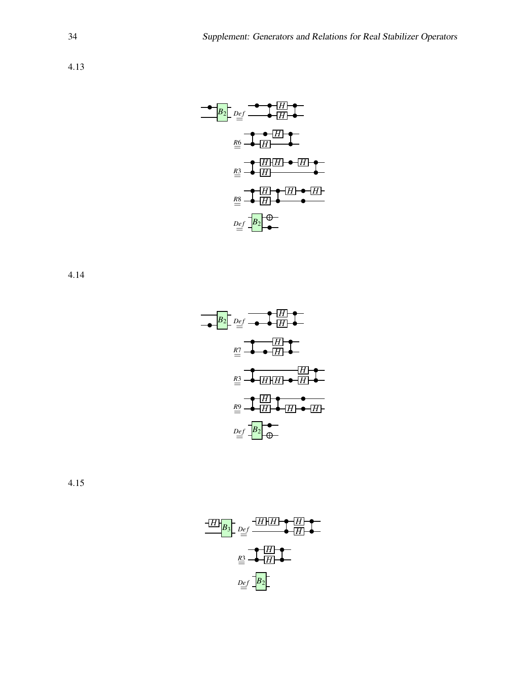

4.14



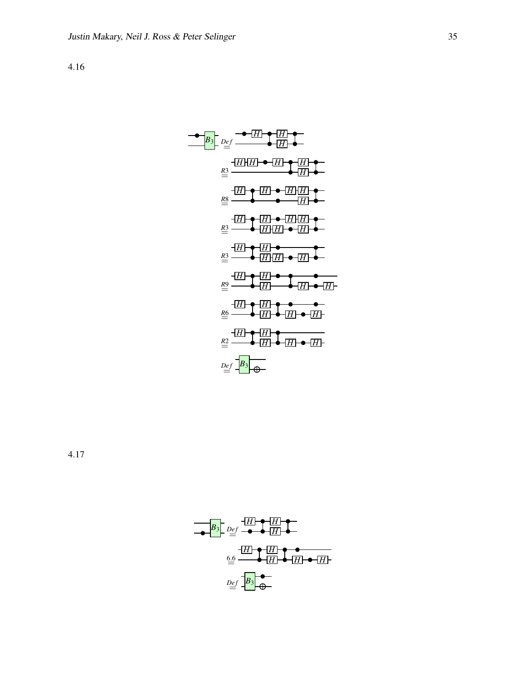$$
\frac{B_3}{B_2} = \frac{1}{\frac{1}{2}} \cdot \frac{1}{\frac{1}{2}} \cdot \frac{1}{\frac{1}{2}} \cdot \frac{1}{\frac{1}{2}} \cdot \frac{1}{\frac{1}{2}} \cdot \frac{1}{\frac{1}{2}} \cdot \frac{1}{\frac{1}{2}} \cdot \frac{1}{\frac{1}{2}} \cdot \frac{1}{\frac{1}{2}} \cdot \frac{1}{\frac{1}{2}} \cdot \frac{1}{\frac{1}{2}} \cdot \frac{1}{\frac{1}{2}} \cdot \frac{1}{\frac{1}{2}} \cdot \frac{1}{\frac{1}{2}} \cdot \frac{1}{\frac{1}{2}} \cdot \frac{1}{\frac{1}{2}} \cdot \frac{1}{\frac{1}{2}} \cdot \frac{1}{\frac{1}{2}} \cdot \frac{1}{\frac{1}{2}} \cdot \frac{1}{\frac{1}{2}} \cdot \frac{1}{\frac{1}{2}} \cdot \frac{1}{\frac{1}{2}} \cdot \frac{1}{\frac{1}{2}} \cdot \frac{1}{\frac{1}{2}} \cdot \frac{1}{\frac{1}{2}} \cdot \frac{1}{\frac{1}{2}} \cdot \frac{1}{\frac{1}{2}} \cdot \frac{1}{\frac{1}{2}} \cdot \frac{1}{\frac{1}{2}} \cdot \frac{1}{\frac{1}{2}} \cdot \frac{1}{\frac{1}{2}} \cdot \frac{1}{\frac{1}{2}} \cdot \frac{1}{\frac{1}{2}} \cdot \frac{1}{\frac{1}{2}} \cdot \frac{1}{\frac{1}{2}} \cdot \frac{1}{\frac{1}{2}} \cdot \frac{1}{\frac{1}{2}} \cdot \frac{1}{\frac{1}{2}} \cdot \frac{1}{\frac{1}{2}} \cdot \frac{1}{\frac{1}{2}} \cdot \frac{1}{\frac{1}{2}} \cdot \frac{1}{\frac{1}{2}} \cdot \frac{1}{\frac{1}{2}} \cdot \frac{1}{\frac{1}{2}} \cdot \frac{1}{\frac{1}{2}} \cdot \frac{1}{\frac{1}{2}} \cdot \frac{1}{\frac{1}{2}} \cdot \frac{1}{\frac{1}{2}} \cdot \frac{1}{\frac{1}{2}} \cdot \frac{1}{\frac{1}{2}} \cdot \frac{1}{\frac{1}{2}} \cdot \frac{1}{\frac{1}{2}} \cdot \frac{1}{\frac{1}{2}} \cdot \frac{1}{\
$$

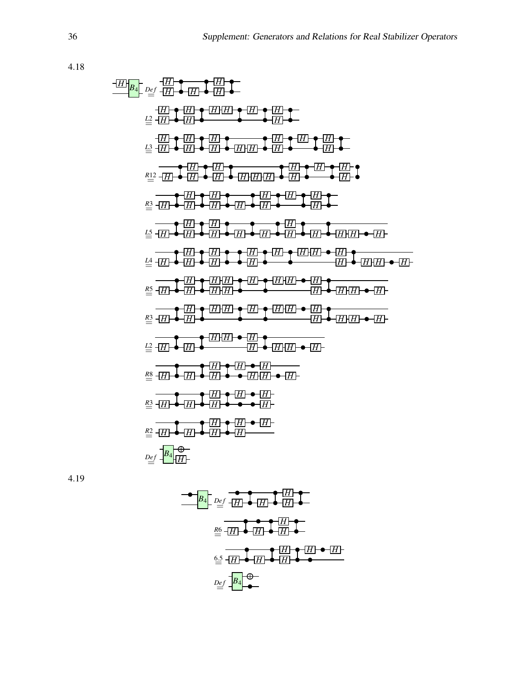*<sup>H</sup> <sup>B</sup>*<sup>4</sup> *De f* = *H H H H H L*2= *H H H H H H H H H L*3= *H H H H H H H H H H H H H <sup>R</sup>*<sup>12</sup> = *<sup>H</sup> <sup>H</sup> H H H H H H H H H H H <sup>R</sup>*3= *<sup>H</sup> <sup>H</sup> H H H H H H H H H <sup>L</sup>*5= *<sup>H</sup> <sup>H</sup> H H H H H H H H H H H <sup>L</sup>*4= *<sup>H</sup> <sup>H</sup> H H H H H H H H H H H H H <sup>R</sup>*5= *<sup>H</sup> <sup>H</sup> H H H H H H H H H H H H H <sup>R</sup>*3= *<sup>H</sup> <sup>H</sup> H H H H H H H H H H H <sup>L</sup>*2= *<sup>H</sup> <sup>H</sup> H H H H H H H <sup>R</sup>*8= *<sup>H</sup> <sup>H</sup> H H H H H H H <sup>R</sup>*3= *<sup>H</sup> <sup>H</sup> H H H H H <sup>R</sup>*2= *<sup>H</sup> <sup>H</sup> H H H H H De f* = *<sup>B</sup>*<sup>4</sup> *<sup>H</sup>*

$$
\begin{array}{c}\n\bullet \\
\hline\nB_4 \\
\hline\n\end{array}
$$
\n
$$
\begin{array}{c}\n\hline\nB_4 \\
\hline\n\end{array}
$$
\n
$$
\begin{array}{c}\n\hline\nB_5 \\
\hline\n\end{array}
$$
\n
$$
\begin{array}{c}\n\hline\nB_6 \\
\hline\n\end{array}
$$
\n
$$
\begin{array}{c}\n\hline\nB_7 \\
\hline\n\end{array}
$$
\n
$$
\begin{array}{c}\n\hline\n\end{array}
$$
\n
$$
\begin{array}{c}\n\hline\n\end{array}
$$
\n
$$
\begin{array}{c}\n\hline\n\end{array}
$$
\n
$$
\begin{array}{c}\n\hline\n\end{array}
$$
\n
$$
\begin{array}{c}\n\hline\n\end{array}
$$
\n
$$
\begin{array}{c}\n\hline\n\end{array}
$$
\n
$$
\begin{array}{c}\n\hline\n\end{array}
$$
\n
$$
\begin{array}{c}\n\hline\n\end{array}
$$
\n
$$
\begin{array}{c}\n\hline\n\end{array}
$$
\n
$$
\begin{array}{c}\n\hline\n\end{array}
$$
\n
$$
\begin{array}{c}\n\hline\n\end{array}
$$
\n
$$
\begin{array}{c}\n\hline\n\end{array}
$$
\n
$$
\begin{array}{c}\n\hline\n\end{array}
$$
\n
$$
\begin{array}{c}\n\hline\n\end{array}
$$
\n
$$
\begin{array}{c}\n\hline\n\end{array}
$$
\n
$$
\begin{array}{c}\n\hline\n\end{array}
$$
\n
$$
\begin{array}{c}\n\hline\n\end{array}
$$
\n
$$
\begin{array}{c}\n\hline\n\end{array}
$$
\n
$$
\begin{array}{c}\n\hline\n\end{array}
$$
\n
$$
\begin{array}{c}\n\hline\n\end{array}
$$
\n
$$
\begin{array}{c}\n\hline\n\end{array}
$$
\n
$$
\begin{array}{c}\n\hline\n\end{array}
$$
\n
$$
\begin{array}{c}\n\hline\n\end{array}
$$
\n
$$
\begin{array}{c}\n\hline\n\end{array}
$$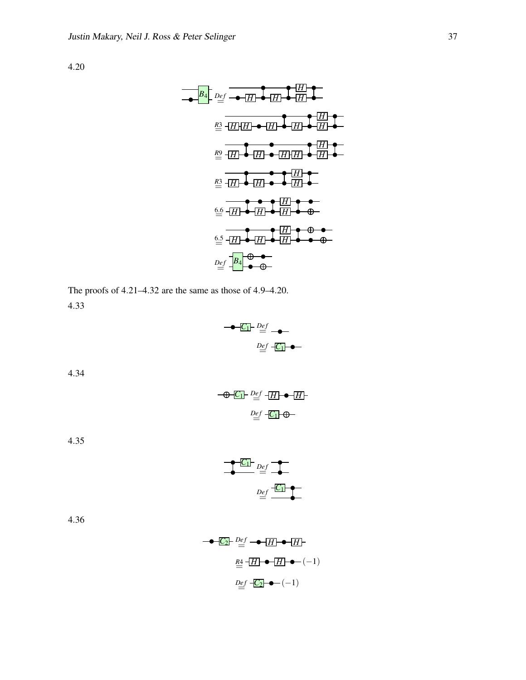| $B_4$           | $Def$ | $[-]$ | $[-]$ | $[-]$ |       |       |       |       |       |       |       |       |       |       |       |       |       |       |       |       |       |       |       |       |       |       |       |       |       |       |       |            |
|-----------------|-------|-------|-------|-------|-------|-------|-------|-------|-------|-------|-------|-------|-------|-------|-------|-------|-------|-------|-------|-------|-------|-------|-------|-------|-------|-------|-------|-------|-------|-------|-------|------------|
| $[\frac{1}{2}]$ | $[-]$ | $[-]$ | $[-]$ | $[-]$ |       |       |       |       |       |       |       |       |       |       |       |       |       |       |       |       |       |       |       |       |       |       |       |       |       |       |       |            |
| $[\frac{1}{2}]$ | $[-]$ | $[-]$ | $[-]$ | $[-]$ | $[-]$ |       |       |       |       |       |       |       |       |       |       |       |       |       |       |       |       |       |       |       |       |       |       |       |       |       |       |            |
| $[\frac{1}{2}]$ | $[-]$ | $[-]$ | $[-]$ | $[-]$ | $[-]$ | $[-]$ |       |       |       |       |       |       |       |       |       |       |       |       |       |       |       |       |       |       |       |       |       |       |       |       |       |            |
| $[\frac{1}{2}]$ | $[-]$ | $[-]$ | $[-]$ | $[-]$ | $[-]$ | $[-]$ |       |       |       |       |       |       |       |       |       |       |       |       |       |       |       |       |       |       |       |       |       |       |       |       |       |            |
| $[\frac{1}{2}]$ | $[-]$ | $[-]$ | $[-]$ | $[-]$ | $[-]$ | $[-]$ | $[-]$ | $[-]$ | $[-]$ | $[-]$ | $[-]$ | $[-]$ | $[-]$ | $[-]$ | $[-]$ | $[-]$ | $[-]$ | $[-]$ | $[-]$ | $[-]$ | $[-]$ | $[-]$ | $[-]$ | $[-]$ | $[-]$ | $[-]$ | $[-]$ | $[-]$ | $[-]$ | $[-]$ | $[-]$ | $[-]$ </td |

The proofs of 4.21–4.32 are the same as those of 4.9–4.20. 4.33



4.34

$$
\begin{array}{c}\n\begin{array}{c}\n-\bigoplus \boxed{C_1} & Def \\
\hline\n\end{array} & -\boxed{H} \quad \blacktriangleright \quad \boxed{H} \\
\hline\n\end{array}
$$

4.35

$$
Def
$$
\n
$$
Def
$$
\n
$$
Def
$$
\n
$$
Def
$$
\n
$$
Def
$$
\n
$$
Def
$$
\n
$$
def
$$
\n
$$
def
$$
\n
$$
def
$$
\n
$$
def
$$
\n
$$
def
$$
\n
$$
def
$$
\n
$$
def
$$
\n
$$
def
$$
\n
$$
def
$$
\n
$$
def
$$
\n
$$
def
$$
\n
$$
def
$$
\n
$$
def
$$
\n
$$
def
$$
\n
$$
def
$$
\n
$$
def
$$
\n
$$
def
$$
\n
$$
def
$$
\n
$$
def
$$
\n
$$
def
$$
\n
$$
def
$$
\n
$$
def
$$
\n
$$
def
$$
\n
$$
def
$$
\n
$$
def
$$
\n
$$
def
$$
\n
$$
def
$$
\n
$$
def
$$
\n
$$
def
$$
\n
$$
def
$$
\n
$$
def
$$
\n
$$
def
$$
\n
$$
def
$$
\n
$$
def
$$
\n
$$
def
$$
\n
$$
def
$$
\n
$$
def
$$
\n
$$
def
$$
\n
$$
def
$$
\n
$$
def
$$
\n
$$
def
$$
\n
$$
def
$$
\n
$$
def
$$
\n
$$
def
$$
\n
$$
def
$$
\n
$$
def
$$
\n
$$
def
$$
\n
$$
def
$$
\n
$$
def
$$
\n
$$
def
$$
\n
$$
def
$$
\n
$$
def
$$
\n
$$
def
$$
\n
$$
def
$$
\n
$$
def
$$
\n
$$
def
$$
\n
$$
def
$$
\n
$$
def
$$
\n
$$
def
$$
\n
$$
def
$$
\n
$$
def
$$
\n
$$
def
$$
\n
$$
def
$$
\n

$$
\begin{array}{r}\n\bullet \boxed{C_2} \quad \stackrel{Def}{=} \bullet \boxed{H} \bullet \boxed{H} \\
\stackrel{RA}{=} \boxed{H} \bullet \boxed{H} \bullet \boxed{H} \bullet \boxed{-1} \\
\stackrel{Def}{=} \boxed{C_2} \bullet \boxed{-1}\n\end{array}
$$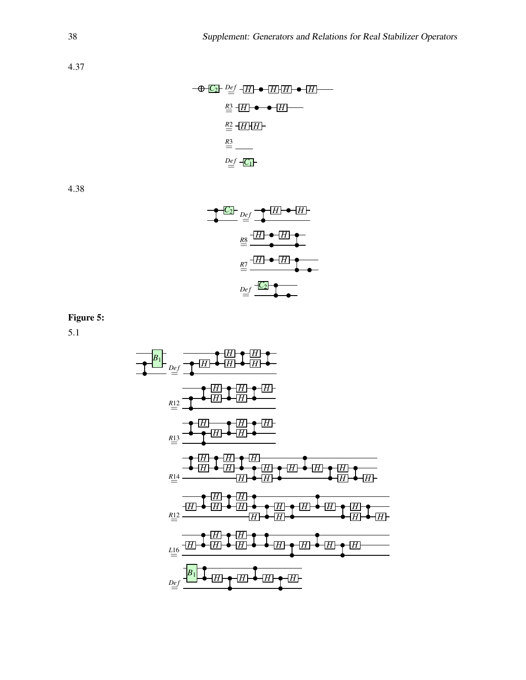$$
\begin{array}{r}\n\begin{array}{r}\n\hline\n\text{+ } \mathbf{C} \\
\hline\n\end{array} \quad \begin{array}{r}\n\hline\n\text{+ } \mathbf{D} \cdot \mathbf{E} \\
\hline\n\end{array} \quad\n\begin{array}{r}\n\hline\n\text{+ } \mathbf{E} \\
\hline\n\end{array} \quad\n\begin{array}{r}\n\hline\n\text{+ } \mathbf{E} \\
\hline\n\end{array} \quad\n\begin{array}{r}\n\hline\n\text{+ } \mathbf{E} \\
\hline\n\end{array} \quad\n\begin{array}{r}\n\hline\n\text{+ } \mathbf{E} \\
\hline\n\end{array} \quad\n\begin{array}{r}\n\hline\n\text{+ } \mathbf{E} \\
\hline\n\end{array} \quad\n\begin{array}{r}\n\hline\n\text{+ } \mathbf{E} \\
\hline\n\end{array} \quad\n\begin{array}{r}\n\hline\n\text{+ } \mathbf{E} \\
\hline\n\end{array} \quad\n\begin{array}{r}\n\hline\n\text{+ } \mathbf{E} \\
\hline\n\end{array} \quad\n\begin{array}{r}\n\hline\n\text{+ } \mathbf{E} \\
\hline\n\end{array} \quad\n\begin{array}{r}\n\hline\n\text{+ } \mathbf{E} \\
\hline\n\end{array} \quad\n\begin{array}{r}\n\hline\n\text{+ } \mathbf{E} \\
\hline\n\end{array} \quad\n\begin{array}{r}\n\hline\n\text{+ } \mathbf{E} \\
\hline\n\end{array} \quad\n\begin{array}{r}\n\hline\n\text{+ } \mathbf{E} \\
\hline\n\end{array} \quad\n\begin{array}{r}\n\hline\n\text{+ } \mathbf{E} \\
\hline\n\end{array} \quad\n\begin{array}{r}\n\hline\n\text{+ } \mathbf{E} \\
\hline\n\end{array} \quad\n\begin{array}{r}\n\hline\n\text{+ } \mathbf{E} \\
\hline\n\end{array} \quad\n\begin{array}{r}\n\hline\n\text{+ } \mathbf{E} \\
\hline\n\end{array} \quad\n\begin{array}{r}\n\hline\n\text{+ } \mathbf{E} \\
\hline\n\end{array} \quad\n\begin{array}{r}\n\hline\n\text{+ } \mathbf{E} \\
\
$$

4.38

$$
\frac{pq}{\frac{pq}{\frac{1}{2}}}
$$
\n
$$
\frac{pq}{\frac{1}{2}} = \frac{\frac{1}{2} \cdot \frac{1}{2} \cdot \frac{1}{2} \cdot \frac{1}{2}}{\frac{1}{2} \cdot \frac{1}{2} \cdot \frac{1}{2} \cdot \frac{1}{2} \cdot \frac{1}{2}}
$$
\n
$$
\frac{pq}{\frac{1}{2}} = \frac{\frac{1}{2} \cdot \frac{1}{2} \cdot \frac{1}{2}}{\frac{1}{2} \cdot \frac{1}{2} \cdot \frac{1}{2}}
$$

## Figure 5:

| $B_1$ | $DEf$ | $2Ef$ | $2Ef$ | $2Ef$ | $2Ef$ | $2Ef$ | $2Ef$ | $2Ef$ | $2Ef$ | $2Ef$ | $2Ef$ | $2Ef$ | $2Ef$ | $2Ef$ | $2Ef$ | $2Ef$ | $2Ef$ | $2Ef$ | $2Ef$ | $2Ef$ | $2Ef$ | $2Ef$ | $2Ef$ | $2Ef$ | $2Ef$ | $2Ef$ | $2Ef$ | $2Ef$ | $2Ef$ | $2Ef$ | $2Ef$ | $2Ef$ | $2Ef$ | $2Ef$ | $2Ef$ | $2Ef$ | $2Ef$ | $2Ef$ | $2Ef$ | $2Ef$ | $2Ef$ | $2Ef$ | $2Ef$ | $2Ef$ | $2Ef$ | $2Ef$ | $2Ef$ | $2Ef$ | $2Ef$ | $2Ef$ | $2Ef$ | $2Ef$ | $2Ef$ | $2Ef$ | $2Ef$ | $2Ef$ | $2Ef$ | $$ |
|-------|-------|-------|-------|-------|-------|-------|-------|-------|-------|-------|-------|-------|-------|-------|-------|-------|-------|-------|-------|-------|-------|-------|-------|-------|-------|-------|-------|-------|-------|-------|-------|-------|-------|-------|-------|-------|-------|-------|-------|-------|-------|-------|-------|-------|-------|-------|-------|-------|-------|-------|-------|-------|-------|-------|-------|-------|-------|----|
|-------|-------|-------|-------|-------|-------|-------|-------|-------|-------|-------|-------|-------|-------|-------|-------|-------|-------|-------|-------|-------|-------|-------|-------|-------|-------|-------|-------|-------|-------|-------|-------|-------|-------|-------|-------|-------|-------|-------|-------|-------|-------|-------|-------|-------|-------|-------|-------|-------|-------|-------|-------|-------|-------|-------|-------|-------|-------|----|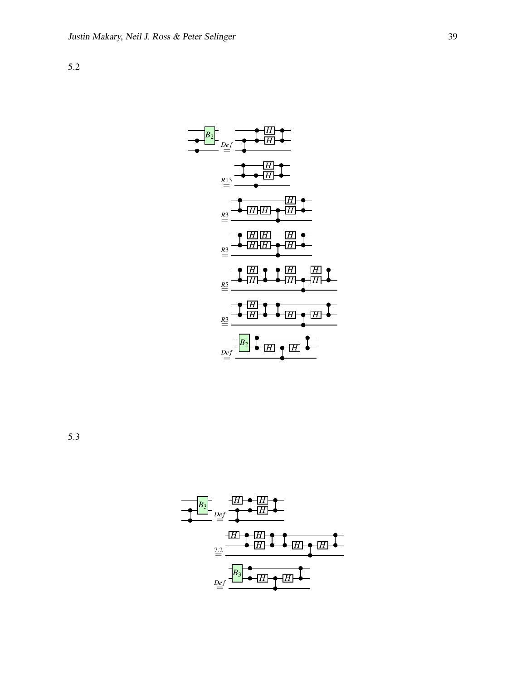

5.3

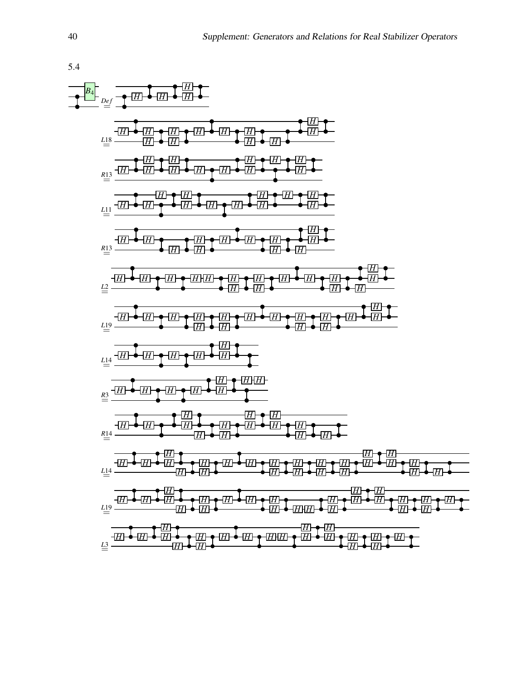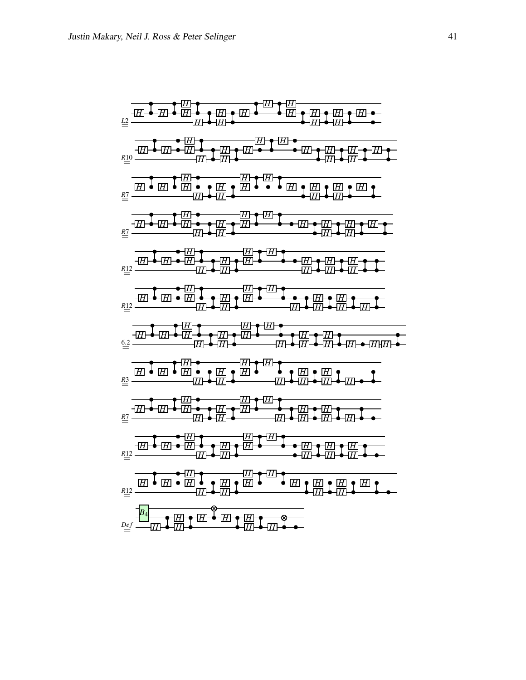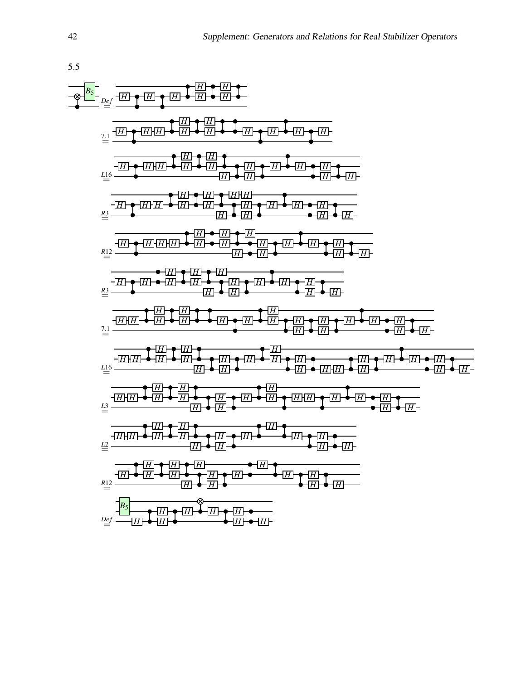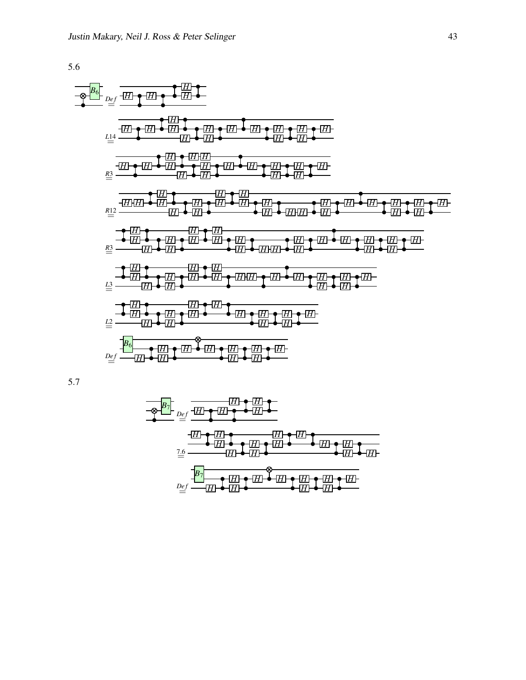

$$
\frac{1}{\frac{1}{2} \cdot \frac{1}{2} \cdot \frac{1}{2} \cdot \frac{1}{2} \cdot \frac{1}{2} \cdot \frac{1}{2} \cdot \frac{1}{2} \cdot \frac{1}{2} \cdot \frac{1}{2} \cdot \frac{1}{2} \cdot \frac{1}{2} \cdot \frac{1}{2} \cdot \frac{1}{2} \cdot \frac{1}{2} \cdot \frac{1}{2} \cdot \frac{1}{2} \cdot \frac{1}{2} \cdot \frac{1}{2} \cdot \frac{1}{2} \cdot \frac{1}{2} \cdot \frac{1}{2} \cdot \frac{1}{2} \cdot \frac{1}{2} \cdot \frac{1}{2} \cdot \frac{1}{2} \cdot \frac{1}{2} \cdot \frac{1}{2} \cdot \frac{1}{2} \cdot \frac{1}{2} \cdot \frac{1}{2} \cdot \frac{1}{2} \cdot \frac{1}{2} \cdot \frac{1}{2} \cdot \frac{1}{2} \cdot \frac{1}{2} \cdot \frac{1}{2} \cdot \frac{1}{2} \cdot \frac{1}{2} \cdot \frac{1}{2} \cdot \frac{1}{2} \cdot \frac{1}{2} \cdot \frac{1}{2} \cdot \frac{1}{2} \cdot \frac{1}{2} \cdot \frac{1}{2} \cdot \frac{1}{2} \cdot \frac{1}{2} \cdot \frac{1}{2} \cdot \frac{1}{2} \cdot \frac{1}{2} \cdot \frac{1}{2} \cdot \frac{1}{2} \cdot \frac{1}{2} \cdot \frac{1}{2} \cdot \frac{1}{2} \cdot \frac{1}{2} \cdot \frac{1}{2} \cdot \frac{1}{2} \cdot \frac{1}{2} \cdot \frac{1}{2} \cdot \frac{1}{2} \cdot \frac{1}{2} \cdot \frac{1}{2} \cdot \frac{1}{2} \cdot \frac{1}{2} \cdot \frac{1}{2} \cdot \frac{1}{2} \cdot \frac{1}{2} \cdot \frac{1}{2} \cdot \frac{1}{2} \cdot \frac{1}{2} \cdot \frac{1}{2} \cdot \frac{1}{2} \cdot \frac{1}{2} \cdot \frac{1}{2} \cdot \frac{1}{2} \cdot \frac{1}{2} \cdot \frac{1}{2} \cdot \frac{1}{2} \cdot \frac{1}{2} \cdot \frac{1}{2} \cdot \frac{1}{2} \cdot \frac{1}{2} \cdot \frac{1}{2} \
$$

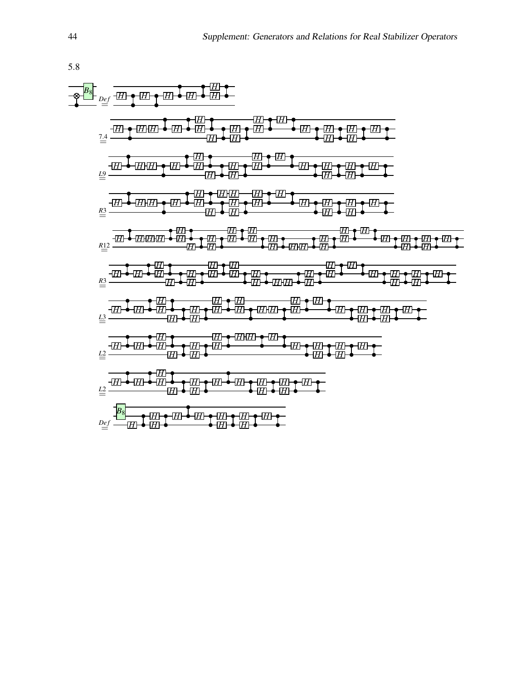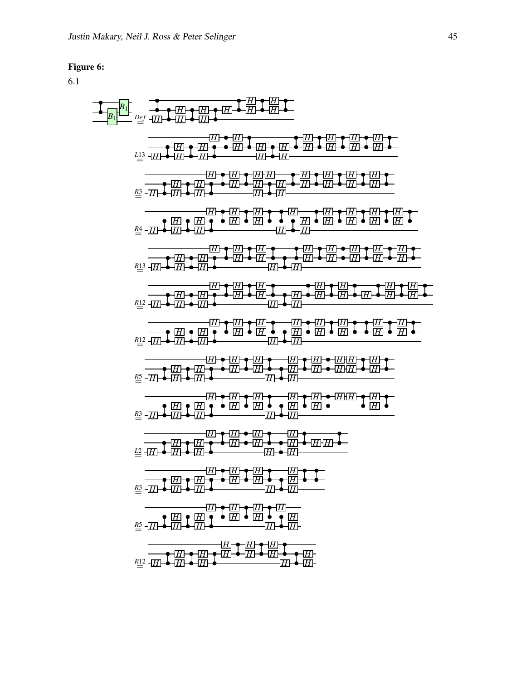#### Figure 6:

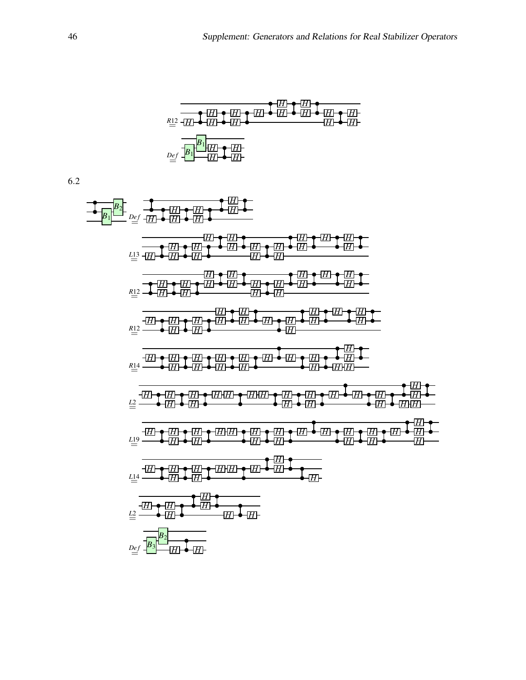

$$
\frac{1}{\frac{1}{2} \cdot \frac{1}{2} \cdot \frac{1}{2} \cdot \frac{1}{2} \cdot \frac{1}{2} \cdot \frac{1}{2} \cdot \frac{1}{2} \cdot \frac{1}{2} \cdot \frac{1}{2} \cdot \frac{1}{2} \cdot \frac{1}{2} \cdot \frac{1}{2} \cdot \frac{1}{2} \cdot \frac{1}{2} \cdot \frac{1}{2} \cdot \frac{1}{2} \cdot \frac{1}{2} \cdot \frac{1}{2} \cdot \frac{1}{2} \cdot \frac{1}{2} \cdot \frac{1}{2} \cdot \frac{1}{2} \cdot \frac{1}{2} \cdot \frac{1}{2} \cdot \frac{1}{2} \cdot \frac{1}{2} \cdot \frac{1}{2} \cdot \frac{1}{2} \cdot \frac{1}{2} \cdot \frac{1}{2} \cdot \frac{1}{2} \cdot \frac{1}{2} \cdot \frac{1}{2} \cdot \frac{1}{2} \cdot \frac{1}{2} \cdot \frac{1}{2} \cdot \frac{1}{2} \cdot \frac{1}{2} \cdot \frac{1}{2} \cdot \frac{1}{2} \cdot \frac{1}{2} \cdot \frac{1}{2} \cdot \frac{1}{2} \cdot \frac{1}{2} \cdot \frac{1}{2} \cdot \frac{1}{2} \cdot \frac{1}{2} \cdot \frac{1}{2} \cdot \frac{1}{2} \cdot \frac{1}{2} \cdot \frac{1}{2} \cdot \frac{1}{2} \cdot \frac{1}{2} \cdot \frac{1}{2} \cdot \frac{1}{2} \cdot \frac{1}{2} \cdot \frac{1}{2} \cdot \frac{1}{2} \cdot \frac{1}{2} \cdot \frac{1}{2} \cdot \frac{1}{2} \cdot \frac{1}{2} \cdot \frac{1}{2} \cdot \frac{1}{2} \cdot \frac{1}{2} \cdot \frac{1}{2} \cdot \frac{1}{2} \cdot \frac{1}{2} \cdot \frac{1}{2} \cdot \frac{1}{2} \cdot \frac{1}{2} \cdot \frac{1}{2} \cdot \frac{1}{2} \cdot \frac{1}{2} \cdot \frac{1}{2} \cdot \frac{1}{2} \cdot \frac{1}{2} \cdot \frac{1}{2} \cdot \frac{1}{2} \cdot \frac{1}{2} \cdot \frac{1}{2} \cdot \frac{1}{2} \cdot \frac{1}{2} \cdot \frac{1}{2} \
$$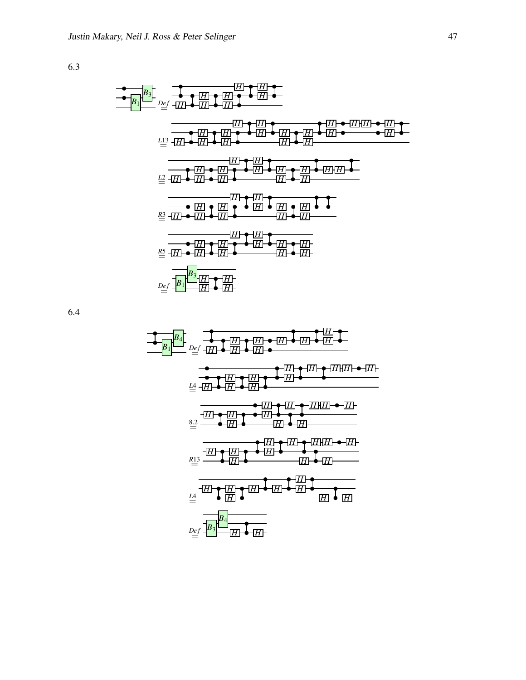

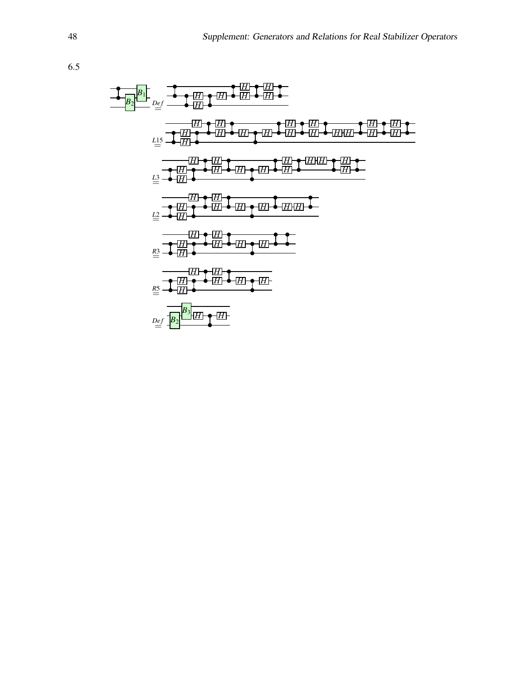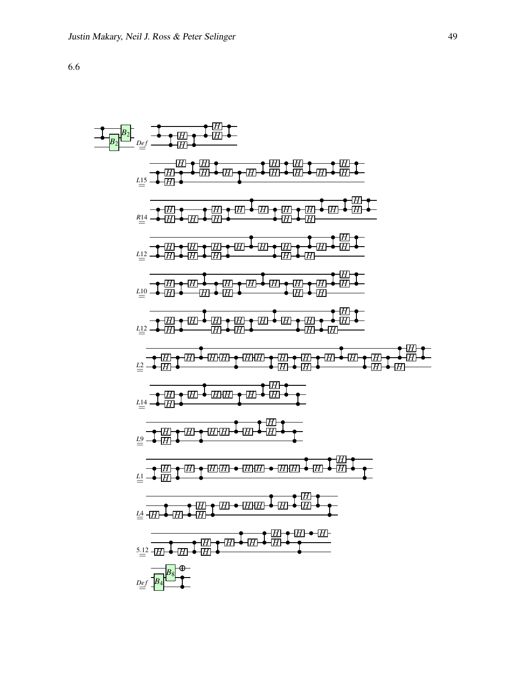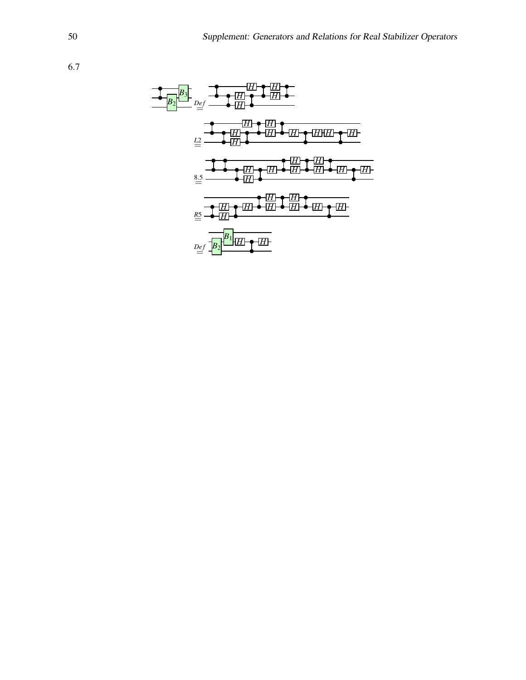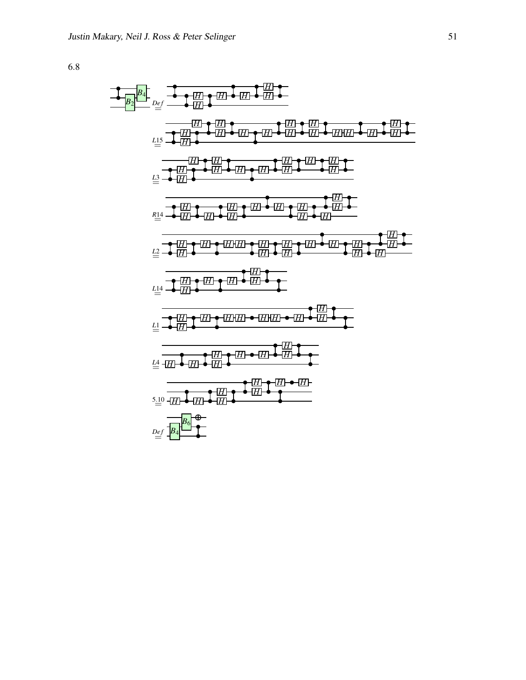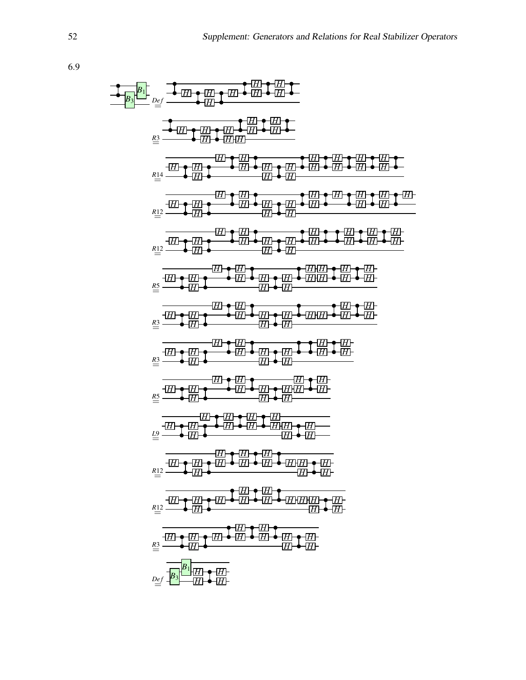| $\frac{a_1}{a_2} = \frac{1}{a_2} + \frac{1}{a_2} + \frac{1}{a_2} + \frac{1}{a_2} + \frac{1}{a_2} + \frac{1}{a_2} + \frac{1}{a_2} + \frac{1}{a_2} + \frac{1}{a_2} + \frac{1}{a_2} + \frac{1}{a_2} + \frac{1}{a_2} + \frac{1}{a_2} + \frac{1}{a_2} + \frac{1}{a_2} + \frac{1}{a_2} + \frac{1}{a_2} + \frac{1}{a_2} + \frac{1}{a_2} + \frac{1}{a_2} + \frac{1}{a_2} + \frac{1}{a_2} + \frac{1}{a_2} + \frac{1}{a_2} + \frac{1}{a_2} + \frac{1}{a_2} + \frac{1}{a_2} + \frac{1}{a_2} + \frac{1}{a_2} + \frac{1}{a_2} + \frac{1}{a_2} + \frac{1}{a_2} + \frac{1}{a_2} + \frac{1}{a_2} + \frac{1}{a_2} + \frac{1}{a_2} + \frac{1}{a_2} + \frac{1}{a_2} + \frac{1}{a_2} + \frac{1}{a_2} + \frac{1}{a_2} + \frac{1}{a_2} + \frac{1}{a_2} + \frac{1}{a_2} + \frac{1}{a_2} + \frac{1}{a_2} + \frac{1}{a_2} + \frac{1}{a_2} + \frac{1}{a_2} + \frac{1}{a_2} + \frac{1}{a_2} + \frac{1}{a_2} + \frac{1}{a_2} + \frac{1}{a_2} + \frac{1}{a_2} + \frac{1}{a_2} + \frac{1}{a_2} + \frac{1}{a_2} + \frac{1}{a_2} + \frac{1}{a_2} + \frac{1}{a_2} + \frac{1}{a_2} + \frac{1}{a_2} + \frac{1}{a_2} + \frac{1}{a_2} + \frac{1}{a_2} + \frac{1}{a_2} + \frac{1}{a_2} + \frac{1}{a_2} + \frac{1}{a_2} + \frac{1}{a_2} + \frac{1}{a_2} + \frac{1}{a_2} + \frac{1}{a_2} + \$ |
|-------------------------------------------------------------------------------------------------------------------------------------------------------------------------------------------------------------------------------------------------------------------------------------------------------------------------------------------------------------------------------------------------------------------------------------------------------------------------------------------------------------------------------------------------------------------------------------------------------------------------------------------------------------------------------------------------------------------------------------------------------------------------------------------------------------------------------------------------------------------------------------------------------------------------------------------------------------------------------------------------------------------------------------------------------------------------------------------------------------------------------------------------------------------------------------------------------------------------------------------------------|
|-------------------------------------------------------------------------------------------------------------------------------------------------------------------------------------------------------------------------------------------------------------------------------------------------------------------------------------------------------------------------------------------------------------------------------------------------------------------------------------------------------------------------------------------------------------------------------------------------------------------------------------------------------------------------------------------------------------------------------------------------------------------------------------------------------------------------------------------------------------------------------------------------------------------------------------------------------------------------------------------------------------------------------------------------------------------------------------------------------------------------------------------------------------------------------------------------------------------------------------------------------|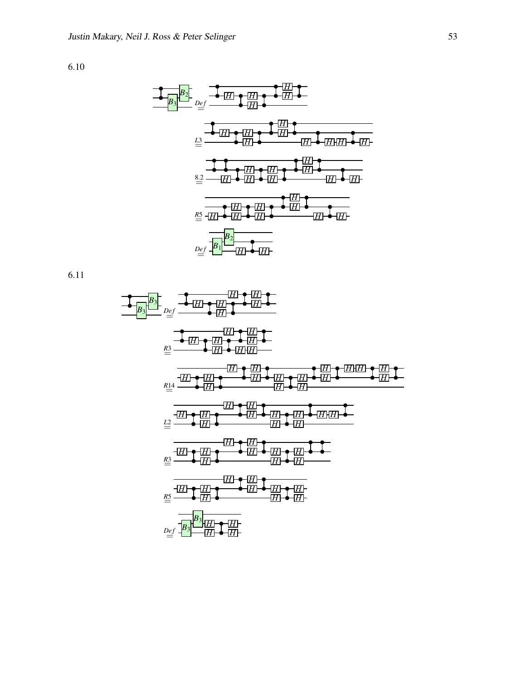

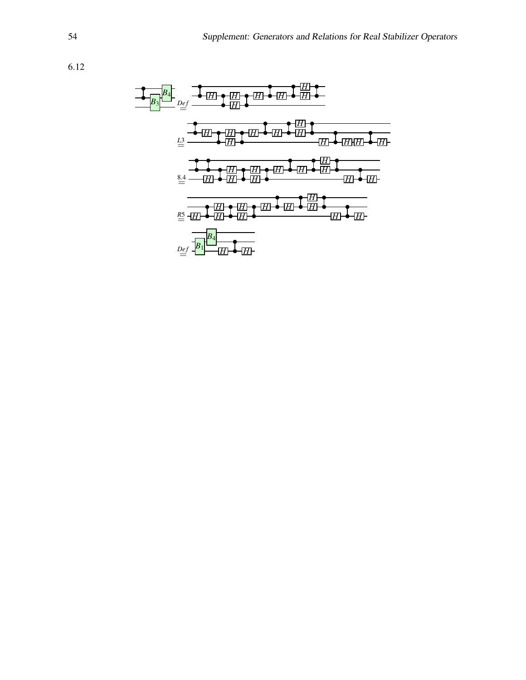

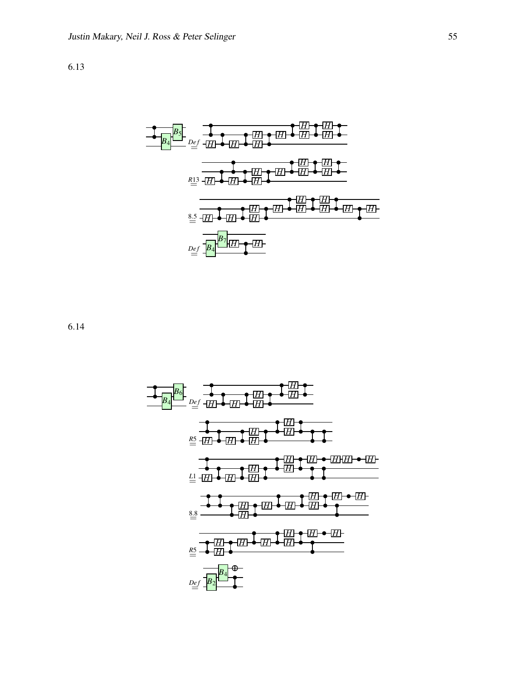

6.14

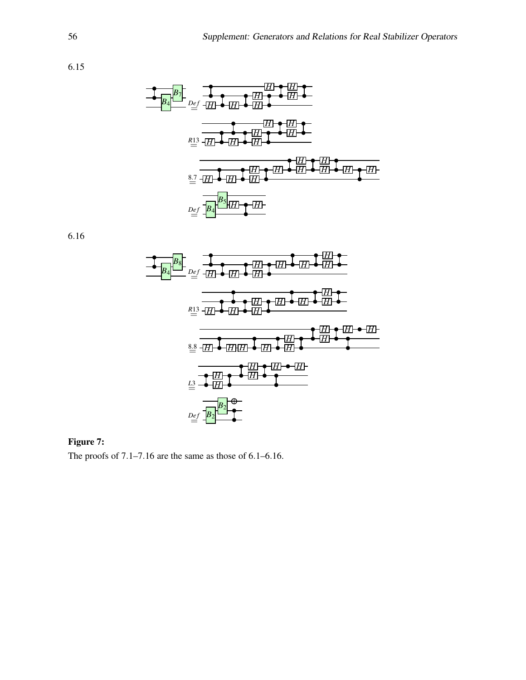

6.16



### Figure 7:

The proofs of 7.1–7.16 are the same as those of 6.1–6.16.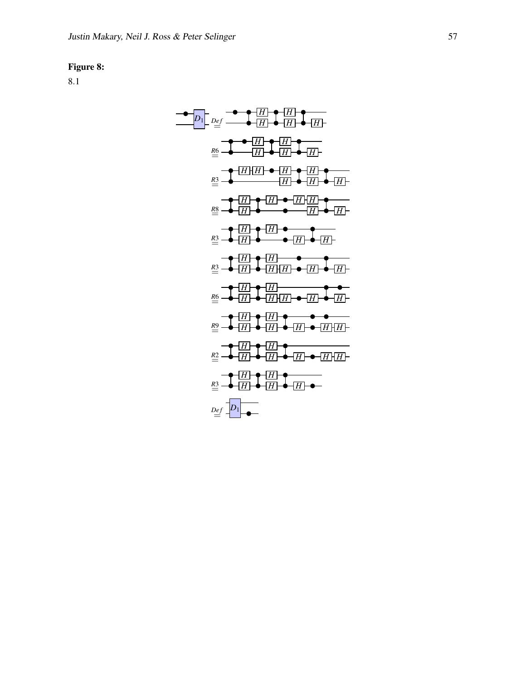#### Figure 8:

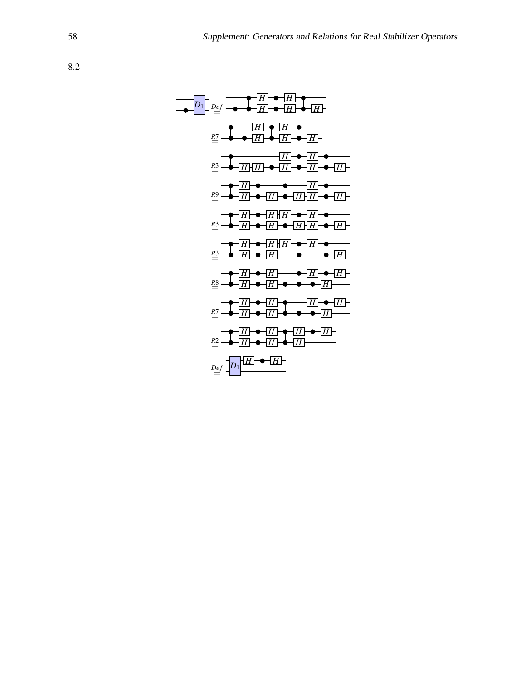| $D_1$ | $D_2$ | $D_3$ | $D_4$ | $D_5$ | $D_6$ | $D_7$ | $D_8$ | $D_9$ | $D_8$ | $D_9$ | $D_9$ | $D_9$ | $D_9$ | $D_9$ | $D_9$ | $D_9$ | $D_9$ | $D_9$ | $D_9$ | $D_9$ | $D_9$ | $D_9$ | $D_9$ | $D_9$ | $D_9$ | $D_9$ | $D_9$ | $D_9$ | $D_9$ | $D_9$ | $D_9$ | $D_9$ | $D_9$ | $D_9$ | $D_9$ | $D_9$ | $D_9$ | $D_9$ | $D_9$ | $D_9$ | $D_9$ | $D_9$ | $D_9$ | $D_9$ | $D_9$ | $D_9$ | $D_9$ | $D_9$ | $D_9$ | $D_9$ | $D_9$ | $D_9$ | $D_9$ | $D_9$ | $D_9$ | $D_9$ | $D_9$ | $D_9$ | $D_9$ | $D_9$ | $D_9$ | $D_9$ |
|-------|-------|-------|-------|-------|-------|-------|-------|-------|-------|-------|-------|-------|-------|-------|-------|-------|-------|-------|-------|-------|-------|-------|-------|-------|-------|-------|-------|-------|-------|-------|-------|-------|-------|-------|-------|-------|-------|-------|-------|-------|-------|-------|-------|-------|-------|-------|-------|-------|-------|-------|-------|-------|-------|-------|-------|-------|-------|-------|-------|-------|-------|-------|
|-------|-------|-------|-------|-------|-------|-------|-------|-------|-------|-------|-------|-------|-------|-------|-------|-------|-------|-------|-------|-------|-------|-------|-------|-------|-------|-------|-------|-------|-------|-------|-------|-------|-------|-------|-------|-------|-------|-------|-------|-------|-------|-------|-------|-------|-------|-------|-------|-------|-------|-------|-------|-------|-------|-------|-------|-------|-------|-------|-------|-------|-------|-------|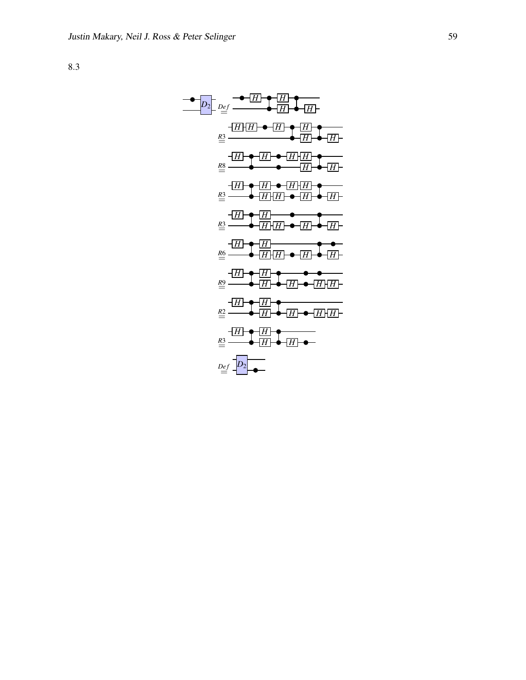*H H D*<sup>2</sup> *De f H H* = *H H H H R*3= *H H H H H H R*8= *H H H H H H R*3= *H H H H H H R*3= *H H H H H H R*6= *H H H H H H R*9= *H H H H H H R*2= *H H H H H H R*3= *H H D*2*De f* =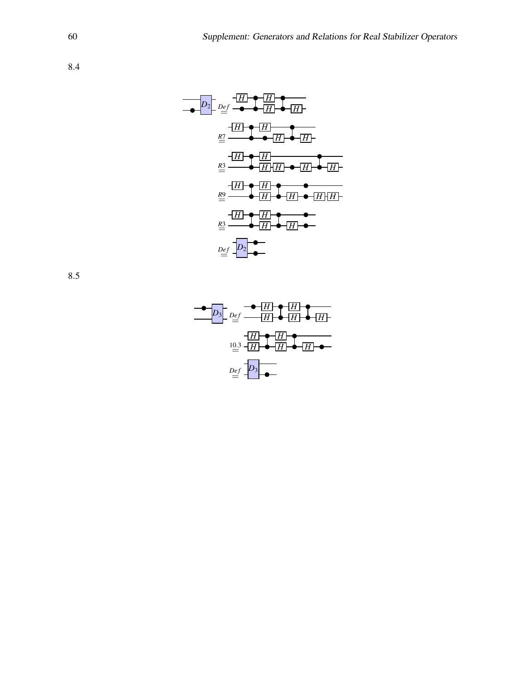$$
D_{2}
$$
  $D_{eff}$   $\frac{H}{H}$   $\frac{H}{H}$   $\frac{H}{H}$   $\frac{H}{H}$   $\frac{H}{H}$   $\frac{H}{H}$   $\frac{H}{H}$   $\frac{H}{H}$   $\frac{H}{H}$   $\frac{H}{H}$   $\frac{H}{H}$   $\frac{H}{H}$   $\frac{H}{H}$   $\frac{H}{H}$   $\frac{H}{H}$   $\frac{H}{H}$   $\frac{H}{H}$   $\frac{H}{H}$   $\frac{H}{H}$   $\frac{H}{H}$   $\frac{H}{H}$   $\frac{H}{H}$   $\frac{H}{H}$   $\frac{H}{H}$   $\frac{H}{H}$   $\frac{H}{H}$   $\frac{H}{H}$   $\frac{H}{H}$   $\frac{H}{H}$   $\frac{H}{H}$   $\frac{H}{H}$   $\frac{H}{H}$   $\frac{H}{H}$   $\frac{H}{H}$   $\frac{H}{H}$   $\frac{H}{H}$   $\frac{H}{H}$   $\frac{H}{H}$   $\frac{H}{H}$   $\frac{H}{H}$   $\frac{H}{H}$   $\frac{H}{H}$   $\frac{H}{H}$   $\frac{H}{H}$   $\frac{H}{H}$   $\frac{H}{H}$   $\frac{H}{H}$   $\frac{H}{H}$   $\frac{H}{H}$   $\frac{H}{H}$   $\frac{H}{H}$   $\frac{H}{H}$   $\frac{H}{H}$   $\frac{H}{H}$   $\frac{H}{H}$   $\frac{H}{H}$   $\frac{H}{H}$   $\frac{H}{H}$   $\frac{H}{H}$   $\frac{H}{H}$   $\frac{H}{H}$   $\frac{H}{H}$   $\frac{H}{H}$   $\frac{H}{H}$   $\frac{H}{H}$   $\frac{H}{H}$   $\frac{H}{H}$   $\frac{H}{H$ 

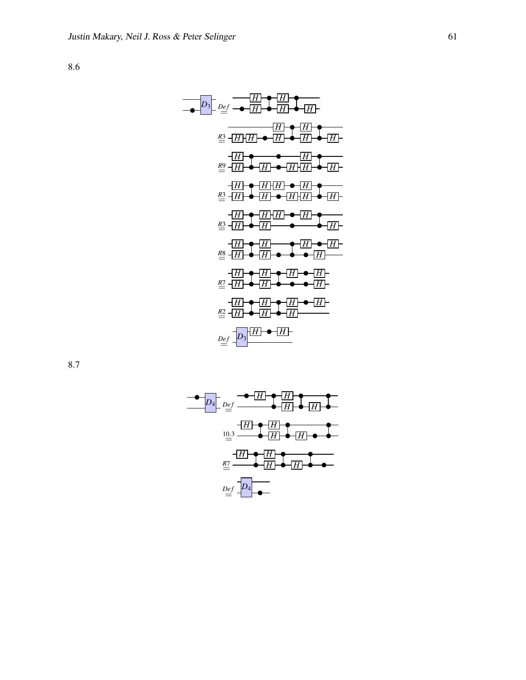| $D_3$ | $Def$         | $\rightarrow$ | $H$           | $\rightarrow$ | $H$           | $\rightarrow$ |
|-------|---------------|---------------|---------------|---------------|---------------|---------------|
| $Q_3$ | $\rightarrow$ | $H$           | $\rightarrow$ | $H$           | $\rightarrow$ | $H$           |
| $Q_2$ | $\rightarrow$ | $H$           | $\rightarrow$ | $H$           | $\rightarrow$ | $H$           |
| $Q_3$ | $\rightarrow$ | $H$           | $\rightarrow$ | $H$           | $\rightarrow$ | $H$           |
| $Q_3$ | $\rightarrow$ | $H$           | $\rightarrow$ | $H$           | $\rightarrow$ | $H$           |
| $Q_3$ | $\rightarrow$ | $H$           | $\rightarrow$ | $H$           | $\rightarrow$ | $H$           |
| $Q_3$ | $\rightarrow$ | $H$           | $\rightarrow$ | $H$           | $\rightarrow$ | $H$           |
| $Q_3$ | $\rightarrow$ | $H$           | $\rightarrow$ | $H$           | $\rightarrow$ | $H$           |
| $Q_3$ | $\rightarrow$ | $H$           | $\rightarrow$ | $H$           | $\rightarrow$ | $H$           |
| $Q_3$ |               |               |               |               |               |               |

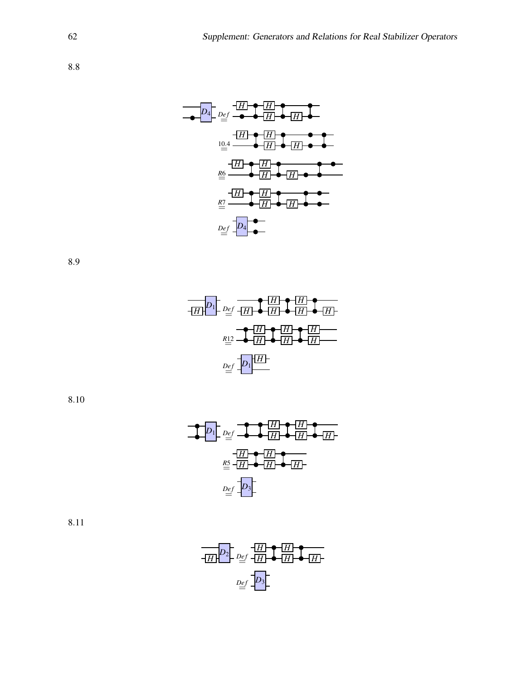| $D_4$  | $D_{eff}$ | $H$ | $H$ |
|--------|-----------|-----|-----|
| $10.4$ | $H$       | $H$ | $H$ |
| $10.4$ | $H$       | $H$ | $H$ |
| $H$    | $H$       | $H$ | $H$ |
| $M$    | $H$       | $H$ | $H$ |
| $M$    | $H$       | $H$ | $H$ |
| $M$    | $H$       | $H$ | $H$ |
| $M$    | $H$       | $H$ | $H$ |
| $M$    | $H$       | $H$ | $H$ |
| $M$    | $H$       | $H$ | $H$ |
| $M$    | $H$       | $H$ | $H$ |
| $M$    | $H$       | $H$ | $H$ |
| $M$    | $H$       | $H$ | $H$ |
| $M$    | $H$       | $H$ | $H$ |

8.9



8.10



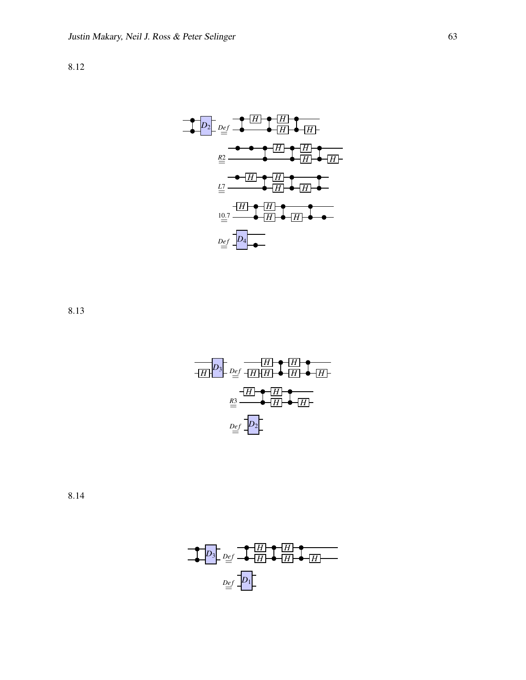

8.13



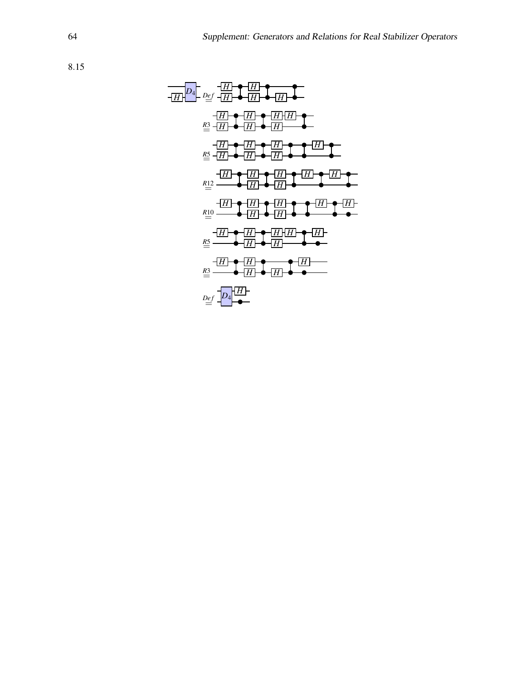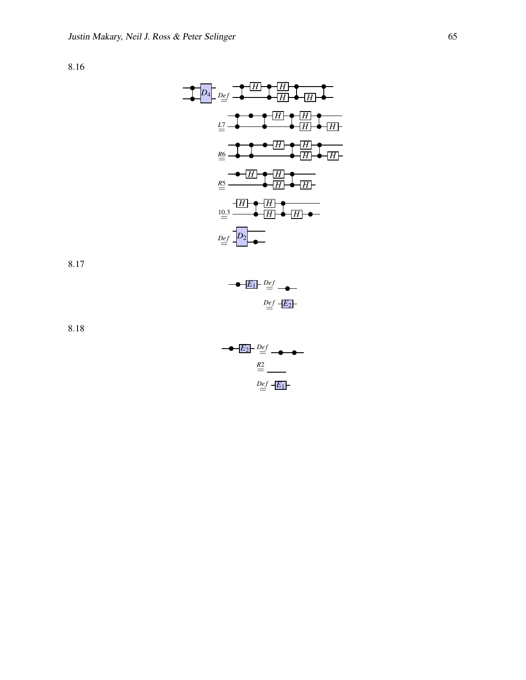| $D_4$           | $D_{eff}$ | $H$ | $H$ | $H$ |
|-----------------|-----------|-----|-----|-----|
| $\underline{H}$ | $H$       | $H$ |     |     |
| $\underline{H}$ | $H$       | $H$ |     |     |
| $\underline{H}$ | $H$       | $H$ |     |     |
| $\underline{H}$ | $H$       | $H$ |     |     |
| $\underline{H}$ | $H$       | $H$ |     |     |
| $\underline{H}$ | $H$       | $H$ |     |     |
| $\underline{H}$ | $H$       | $H$ |     |     |
| $\underline{H}$ | $H$       | $H$ |     |     |
| $\underline{H}$ | $H$       | $H$ |     |     |
| $\underline{H}$ | $H$       | $H$ |     |     |
| $\underline{H}$ | $H$       | $H$ |     |     |
| $\underline{H}$ | $H$       | $H$ |     |     |
| $\underline{H}$ | $H$       | $H$ |     |     |
| $\underline{H}$ | $H$       | $H$ |     |     |
| $\underline{H}$ | $H$       | $H$ |     |     |
| $\underline{H}$ | $H$       | $H$ |     |     |

8.17



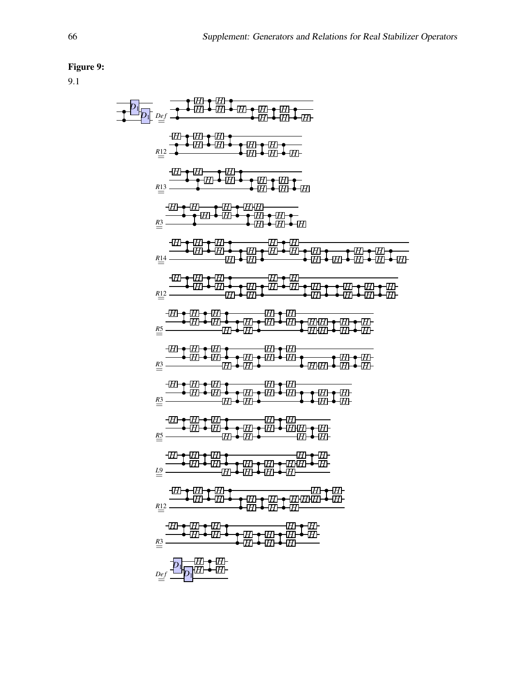# Figure 9:

$$
\frac{1}{1} = \frac{1}{1} = \frac{1}{1} = \frac{1}{1} = \frac{1}{1} = \frac{1}{1} = \frac{1}{1} = \frac{1}{1} = \frac{1}{1} = \frac{1}{1} = \frac{1}{1} = \frac{1}{1} = \frac{1}{1} = \frac{1}{1} = \frac{1}{1} = \frac{1}{1} = \frac{1}{1} = \frac{1}{1} = \frac{1}{1} = \frac{1}{1} = \frac{1}{1} = \frac{1}{1} = \frac{1}{1} = \frac{1}{1} = \frac{1}{1} = \frac{1}{1} = \frac{1}{1} = \frac{1}{1} = \frac{1}{1} = \frac{1}{1} = \frac{1}{1} = \frac{1}{1} = \frac{1}{1} = \frac{1}{1} = \frac{1}{1} = \frac{1}{1} = \frac{1}{1} = \frac{1}{1} = \frac{1}{1} = \frac{1}{1} = \frac{1}{1} = \frac{1}{1} = \frac{1}{1} = \frac{1}{1} = \frac{1}{1} = \frac{1}{1} = \frac{1}{1} = \frac{1}{1} = \frac{1}{1} = \frac{1}{1} = \frac{1}{1} = \frac{1}{1} = \frac{1}{1} = \frac{1}{1} = \frac{1}{1} = \frac{1}{1} = \frac{1}{1} = \frac{1}{1} = \frac{1}{1} = \frac{1}{1} = \frac{1}{1} = \frac{1}{1} = \frac{1}{1} = \frac{1}{1} = \frac{1}{1} = \frac{1}{1} = \frac{1}{1} = \frac{1}{1} = \frac{1}{1} = \frac{1}{1} = \frac{1}{1} = \frac{1}{1} = \frac{1}{1} = \frac{1}{1} = \frac{1}{1} = \frac{1}{1} = \frac{1}{1} = \frac{1}{1} = \frac{1}{1} = \frac{1}{1} = \frac{1}{1} = \frac{1}{1} = \frac{1}{1} = \frac{1}{1} = \frac{1}{1} = \frac{1}{1} = \frac{1}{1} = \frac{1}{1} = \frac{1}{1} = \frac{1}{1} = \frac{1}{1} = \frac{1}{1} = \frac{1}{1} = \frac{1}{1} = \frac{1}{1} =
$$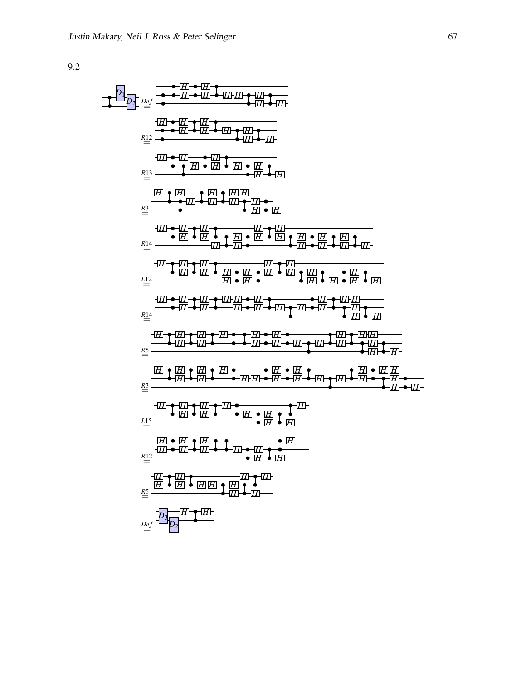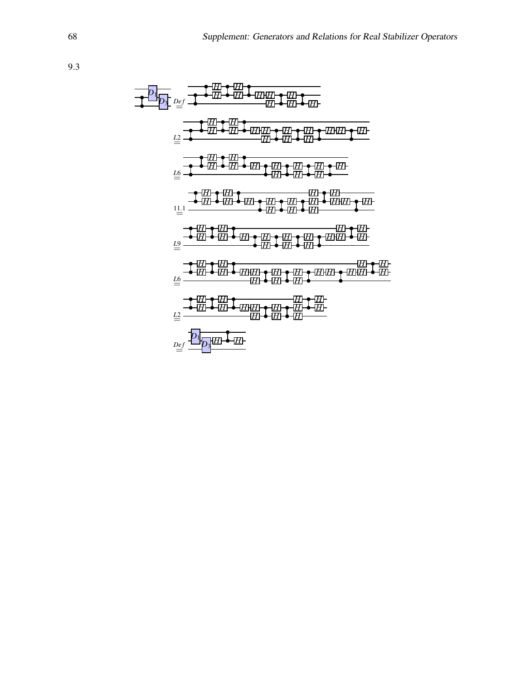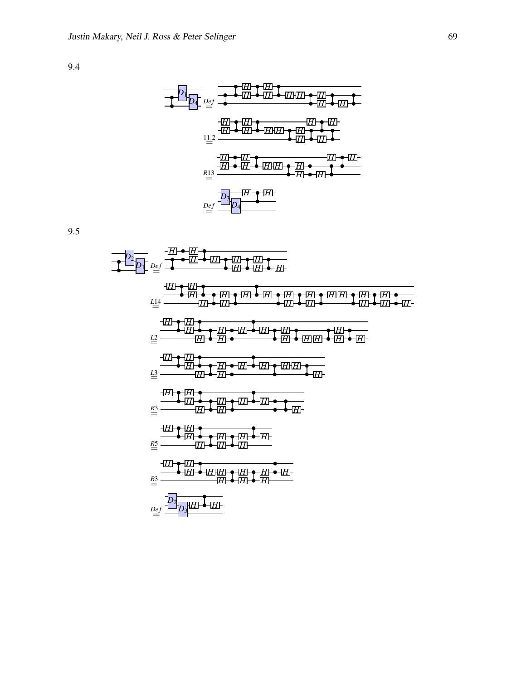

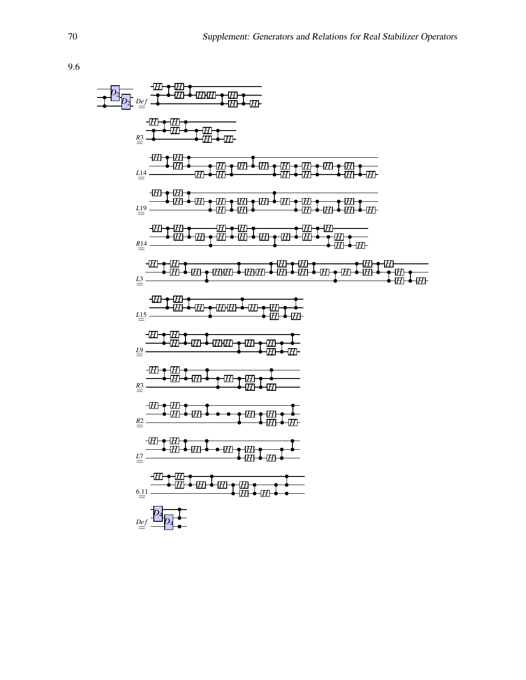| \n $2\frac{1}{2}$<br>\n $2\frac{1}{2}$<br>\n $2\frac{1}{2}$<br>\n $2\frac{1}{2}$<br>\n $2\frac{1}{2}$<br>\n $2\frac{1}{2}$<br>\n $2\frac{1}{2}$<br>\n $2\frac{1}{2}$<br>\n $2\frac{1}{2}$<br>\n $2\frac{1}{2}$<br>\n $2\frac{1}{2}$<br>\n $2\frac{1}{2}$<br>\n $2\frac{1}{2}$<br>\n $2\frac{1}{2}$<br>\n $2\frac{1}{2}$<br>\n $2\frac{1}{2}$<br>\n $2\frac{1}{2}$<br>\n $2\frac{1}{2}$<br>\n $2\frac{1}{2}$<br>\n $2\frac{1}{2}$<br>\n $2\frac{1}{2}$<br>\n $2\frac{1}{2}$<br>\n $2\frac{1}{2}$<br>\n $2\frac{1}{2}$<br>\n $2\frac{1}{2}$<br>\n $2\frac{1}{2}$<br>\n $2\frac{1}{2}$<br>\n $2\frac{1}{2}$<br>\n $2\frac{1}{2}$<br>\n $2\frac{1}{2}$<br>\n $2\frac{1}{2}$<br>\n $2\frac{1}{2}$<br>\n $2\frac{1}{2}$<br>\n $2\frac{1}{2}$<br>\n $2\frac{1}{2}$<br>\n $2\frac{1}{2}$<br>\n $2\frac{1}{2}$<br>\n $2\frac{1}{2}$<br>\n $2\frac{1}{2}$<br>\n $2\frac{1}{2}$<br>\n $2\frac{1}{2}$<br>\n $2\frac{1}{2}$<br>\n $2\frac{1}{2}$<br>\n $2\frac{1}{2}$<br>\n $2\frac{1}{2}$<br>\n $2\frac{1}{2}$<br>\n $2\frac{1}{2}$<br>\n $2$ |
|-----------------------------------------------------------------------------------------------------------------------------------------------------------------------------------------------------------------------------------------------------------------------------------------------------------------------------------------------------------------------------------------------------------------------------------------------------------------------------------------------------------------------------------------------------------------------------------------------------------------------------------------------------------------------------------------------------------------------------------------------------------------------------------------------------------------------------------------------------------------------------------------------------------------------------------------------------------------------------------------------------------------------------------|
|-----------------------------------------------------------------------------------------------------------------------------------------------------------------------------------------------------------------------------------------------------------------------------------------------------------------------------------------------------------------------------------------------------------------------------------------------------------------------------------------------------------------------------------------------------------------------------------------------------------------------------------------------------------------------------------------------------------------------------------------------------------------------------------------------------------------------------------------------------------------------------------------------------------------------------------------------------------------------------------------------------------------------------------|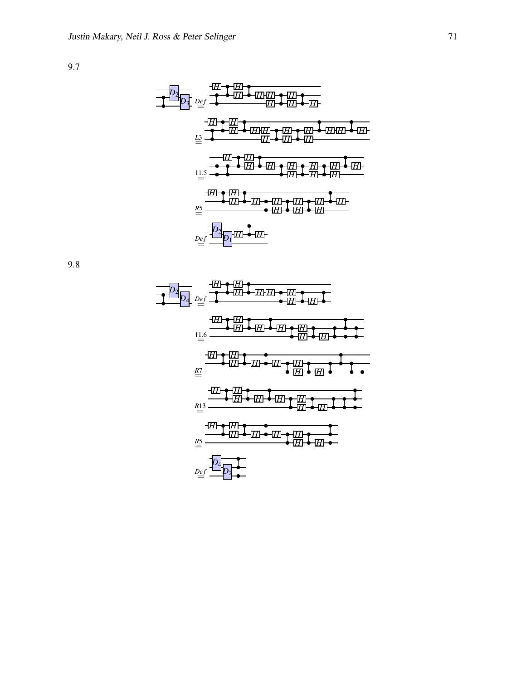

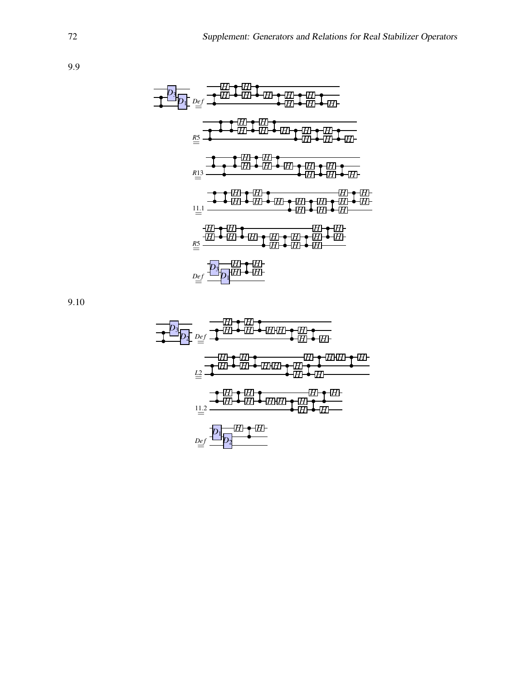

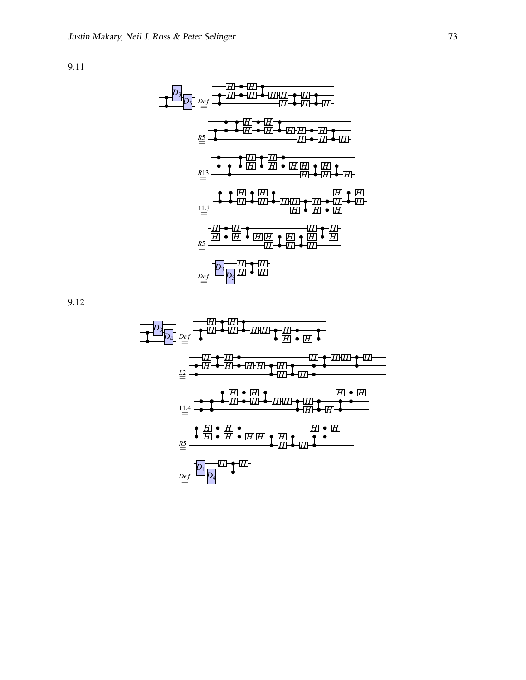

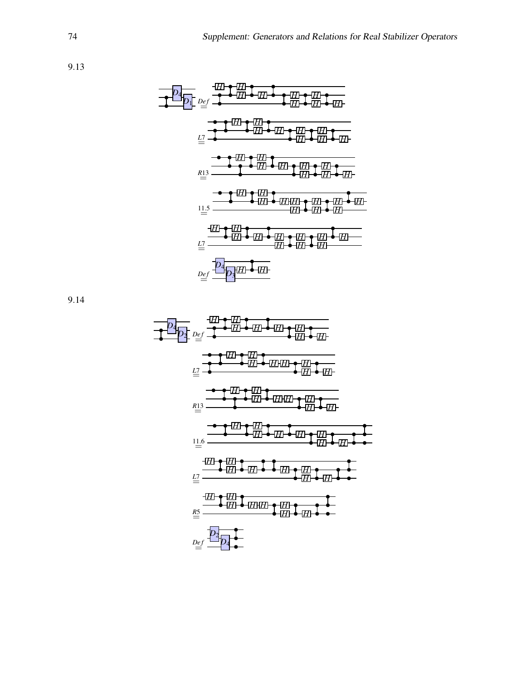



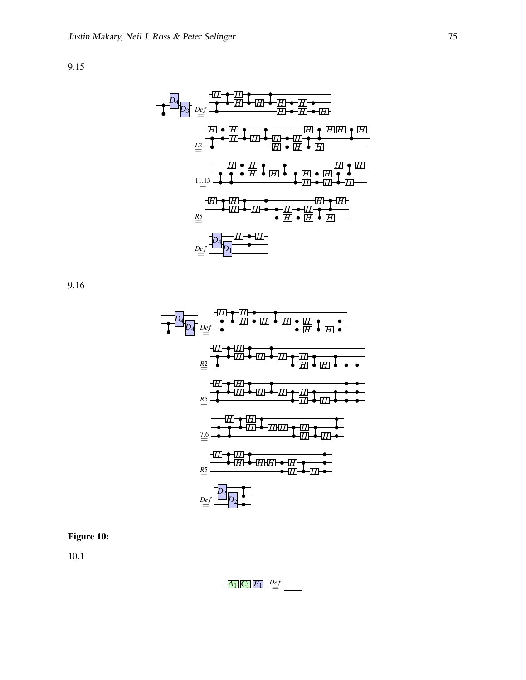

9.16



## Figure 10:

$$
\frac{A_1}{C_1}\frac{E_1}{E_1} = \frac{Def}{}
$$